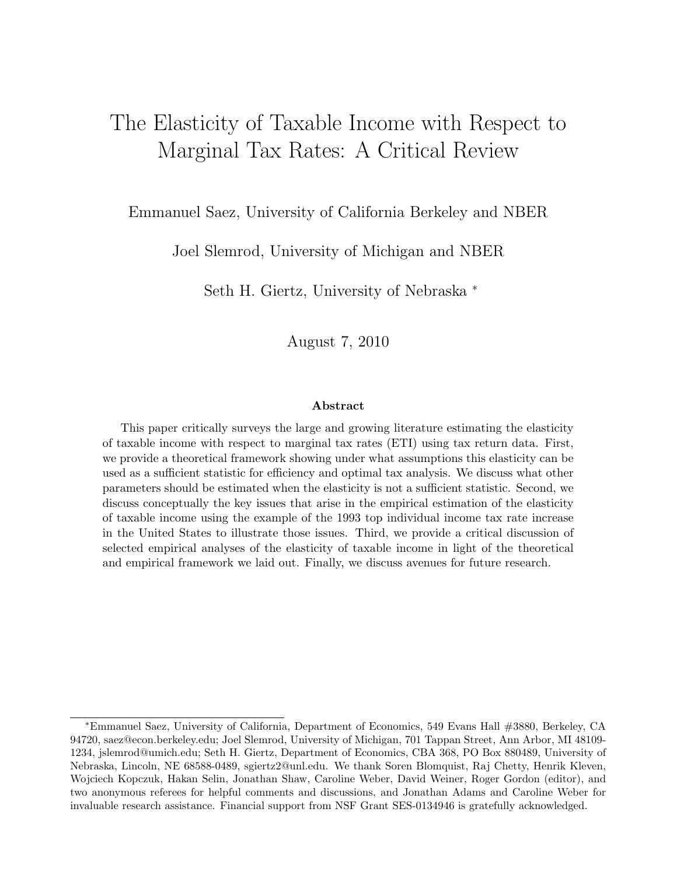# The Elasticity of Taxable Income with Respect to Marginal Tax Rates: A Critical Review

Emmanuel Saez, University of California Berkeley and NBER

Joel Slemrod, University of Michigan and NBER

Seth H. Giertz, University of Nebraska <sup>∗</sup>

August 7, 2010

#### Abstract

This paper critically surveys the large and growing literature estimating the elasticity of taxable income with respect to marginal tax rates (ETI) using tax return data. First, we provide a theoretical framework showing under what assumptions this elasticity can be used as a sufficient statistic for efficiency and optimal tax analysis. We discuss what other parameters should be estimated when the elasticity is not a sufficient statistic. Second, we discuss conceptually the key issues that arise in the empirical estimation of the elasticity of taxable income using the example of the 1993 top individual income tax rate increase in the United States to illustrate those issues. Third, we provide a critical discussion of selected empirical analyses of the elasticity of taxable income in light of the theoretical and empirical framework we laid out. Finally, we discuss avenues for future research.

<sup>∗</sup>Emmanuel Saez, University of California, Department of Economics, 549 Evans Hall #3880, Berkeley, CA 94720, saez@econ.berkeley.edu; Joel Slemrod, University of Michigan, 701 Tappan Street, Ann Arbor, MI 48109- 1234, jslemrod@umich.edu; Seth H. Giertz, Department of Economics, CBA 368, PO Box 880489, University of Nebraska, Lincoln, NE 68588-0489, sgiertz2@unl.edu. We thank Soren Blomquist, Raj Chetty, Henrik Kleven, Wojciech Kopczuk, Hakan Selin, Jonathan Shaw, Caroline Weber, David Weiner, Roger Gordon (editor), and two anonymous referees for helpful comments and discussions, and Jonathan Adams and Caroline Weber for invaluable research assistance. Financial support from NSF Grant SES-0134946 is gratefully acknowledged.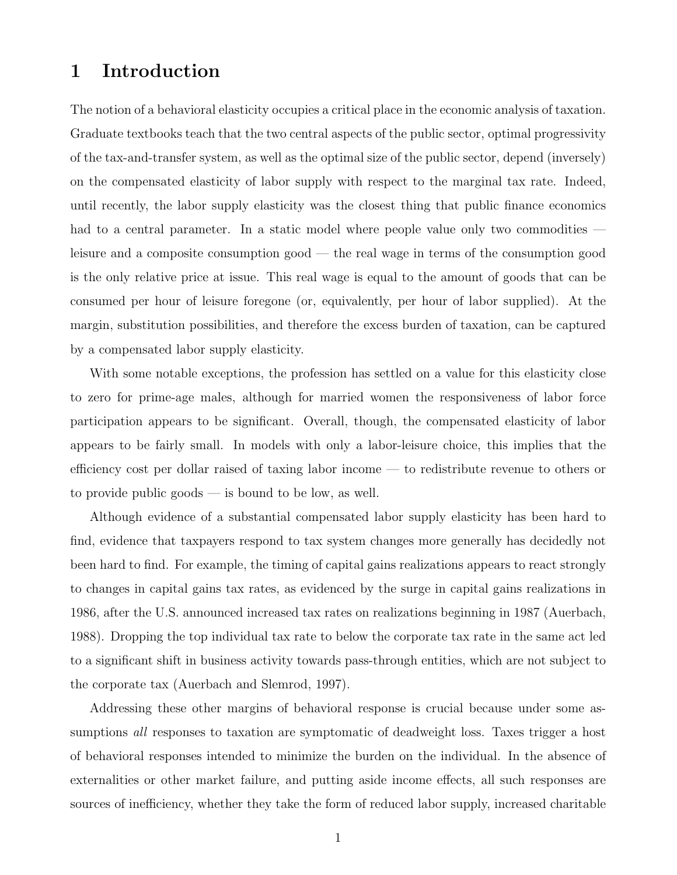## 1 Introduction

The notion of a behavioral elasticity occupies a critical place in the economic analysis of taxation. Graduate textbooks teach that the two central aspects of the public sector, optimal progressivity of the tax-and-transfer system, as well as the optimal size of the public sector, depend (inversely) on the compensated elasticity of labor supply with respect to the marginal tax rate. Indeed, until recently, the labor supply elasticity was the closest thing that public finance economics had to a central parameter. In a static model where people value only two commodities  $$ leisure and a composite consumption good — the real wage in terms of the consumption good is the only relative price at issue. This real wage is equal to the amount of goods that can be consumed per hour of leisure foregone (or, equivalently, per hour of labor supplied). At the margin, substitution possibilities, and therefore the excess burden of taxation, can be captured by a compensated labor supply elasticity.

With some notable exceptions, the profession has settled on a value for this elasticity close to zero for prime-age males, although for married women the responsiveness of labor force participation appears to be significant. Overall, though, the compensated elasticity of labor appears to be fairly small. In models with only a labor-leisure choice, this implies that the efficiency cost per dollar raised of taxing labor income — to redistribute revenue to others or to provide public goods — is bound to be low, as well.

Although evidence of a substantial compensated labor supply elasticity has been hard to find, evidence that taxpayers respond to tax system changes more generally has decidedly not been hard to find. For example, the timing of capital gains realizations appears to react strongly to changes in capital gains tax rates, as evidenced by the surge in capital gains realizations in 1986, after the U.S. announced increased tax rates on realizations beginning in 1987 (Auerbach, 1988). Dropping the top individual tax rate to below the corporate tax rate in the same act led to a significant shift in business activity towards pass-through entities, which are not subject to the corporate tax (Auerbach and Slemrod, 1997).

Addressing these other margins of behavioral response is crucial because under some assumptions *all* responses to taxation are symptomatic of deadweight loss. Taxes trigger a host of behavioral responses intended to minimize the burden on the individual. In the absence of externalities or other market failure, and putting aside income effects, all such responses are sources of inefficiency, whether they take the form of reduced labor supply, increased charitable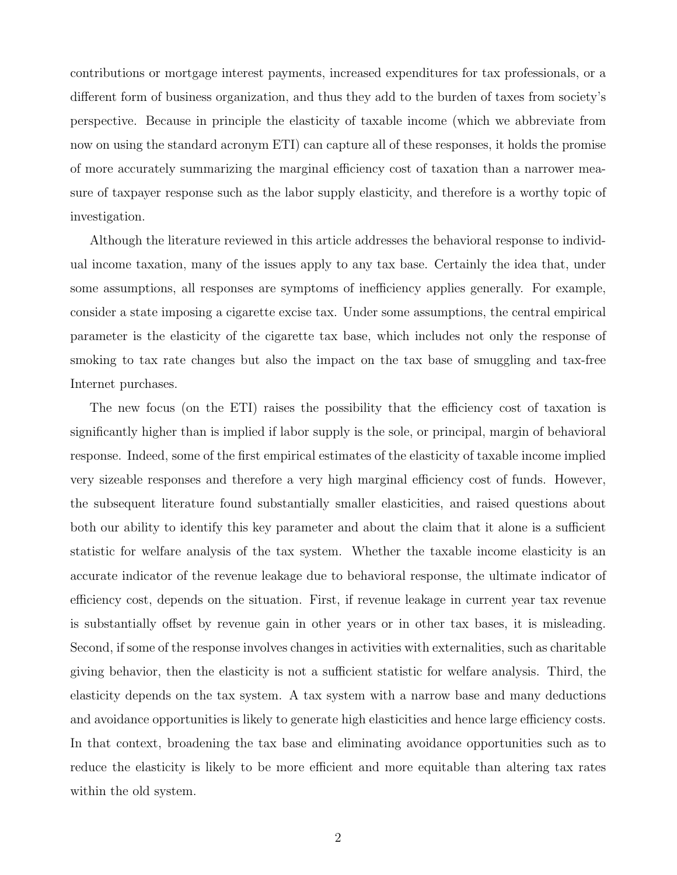contributions or mortgage interest payments, increased expenditures for tax professionals, or a different form of business organization, and thus they add to the burden of taxes from society's perspective. Because in principle the elasticity of taxable income (which we abbreviate from now on using the standard acronym ETI) can capture all of these responses, it holds the promise of more accurately summarizing the marginal efficiency cost of taxation than a narrower measure of taxpayer response such as the labor supply elasticity, and therefore is a worthy topic of investigation.

Although the literature reviewed in this article addresses the behavioral response to individual income taxation, many of the issues apply to any tax base. Certainly the idea that, under some assumptions, all responses are symptoms of inefficiency applies generally. For example, consider a state imposing a cigarette excise tax. Under some assumptions, the central empirical parameter is the elasticity of the cigarette tax base, which includes not only the response of smoking to tax rate changes but also the impact on the tax base of smuggling and tax-free Internet purchases.

The new focus (on the ETI) raises the possibility that the efficiency cost of taxation is significantly higher than is implied if labor supply is the sole, or principal, margin of behavioral response. Indeed, some of the first empirical estimates of the elasticity of taxable income implied very sizeable responses and therefore a very high marginal efficiency cost of funds. However, the subsequent literature found substantially smaller elasticities, and raised questions about both our ability to identify this key parameter and about the claim that it alone is a sufficient statistic for welfare analysis of the tax system. Whether the taxable income elasticity is an accurate indicator of the revenue leakage due to behavioral response, the ultimate indicator of efficiency cost, depends on the situation. First, if revenue leakage in current year tax revenue is substantially offset by revenue gain in other years or in other tax bases, it is misleading. Second, if some of the response involves changes in activities with externalities, such as charitable giving behavior, then the elasticity is not a sufficient statistic for welfare analysis. Third, the elasticity depends on the tax system. A tax system with a narrow base and many deductions and avoidance opportunities is likely to generate high elasticities and hence large efficiency costs. In that context, broadening the tax base and eliminating avoidance opportunities such as to reduce the elasticity is likely to be more efficient and more equitable than altering tax rates within the old system.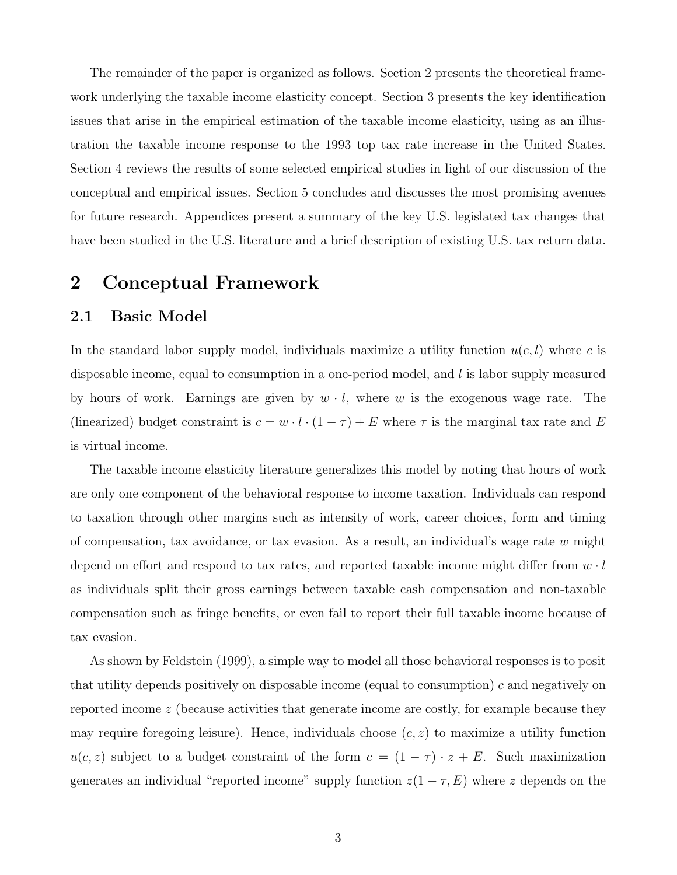The remainder of the paper is organized as follows. Section 2 presents the theoretical framework underlying the taxable income elasticity concept. Section 3 presents the key identification issues that arise in the empirical estimation of the taxable income elasticity, using as an illustration the taxable income response to the 1993 top tax rate increase in the United States. Section 4 reviews the results of some selected empirical studies in light of our discussion of the conceptual and empirical issues. Section 5 concludes and discusses the most promising avenues for future research. Appendices present a summary of the key U.S. legislated tax changes that have been studied in the U.S. literature and a brief description of existing U.S. tax return data.

## 2 Conceptual Framework

### 2.1 Basic Model

In the standard labor supply model, individuals maximize a utility function  $u(c, l)$  where c is disposable income, equal to consumption in a one-period model, and  $l$  is labor supply measured by hours of work. Earnings are given by  $w \cdot l$ , where w is the exogenous wage rate. The (linearized) budget constraint is  $c = w \cdot l \cdot (1 - \tau) + E$  where  $\tau$  is the marginal tax rate and E is virtual income.

The taxable income elasticity literature generalizes this model by noting that hours of work are only one component of the behavioral response to income taxation. Individuals can respond to taxation through other margins such as intensity of work, career choices, form and timing of compensation, tax avoidance, or tax evasion. As a result, an individual's wage rate  $w$  might depend on effort and respond to tax rates, and reported taxable income might differ from  $w \cdot l$ as individuals split their gross earnings between taxable cash compensation and non-taxable compensation such as fringe benefits, or even fail to report their full taxable income because of tax evasion.

As shown by Feldstein (1999), a simple way to model all those behavioral responses is to posit that utility depends positively on disposable income (equal to consumption) c and negatively on reported income z (because activities that generate income are costly, for example because they may require foregoing leisure). Hence, individuals choose  $(c, z)$  to maximize a utility function  $u(c, z)$  subject to a budget constraint of the form  $c = (1 - \tau) \cdot z + E$ . Such maximization generates an individual "reported income" supply function  $z(1 - \tau, E)$  where z depends on the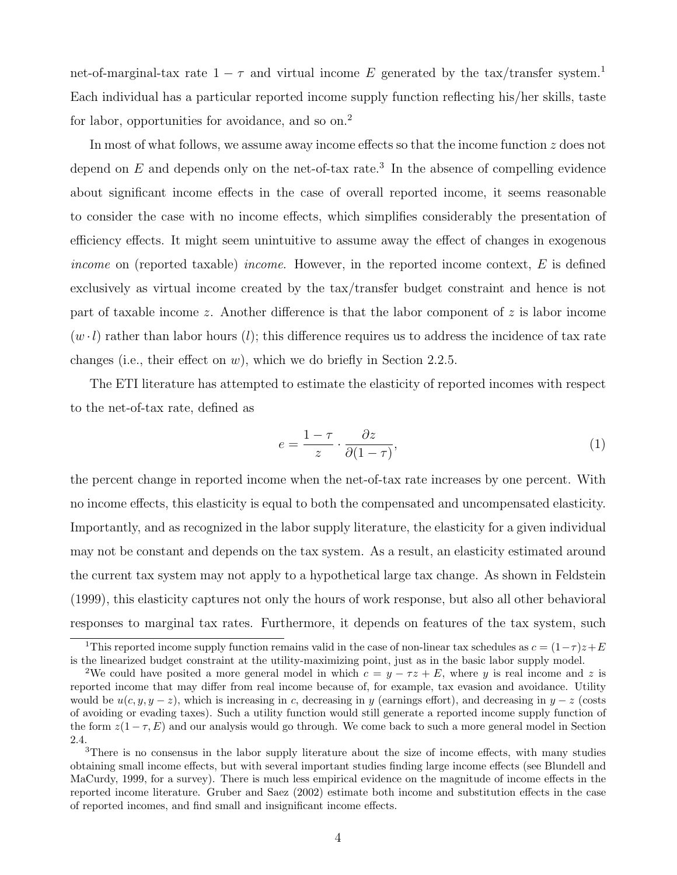net-of-marginal-tax rate  $1 - \tau$  and virtual income E generated by the tax/transfer system.<sup>1</sup> Each individual has a particular reported income supply function reflecting his/her skills, taste for labor, opportunities for avoidance, and so on.<sup>2</sup>

In most of what follows, we assume away income effects so that the income function z does not depend on  $E$  and depends only on the net-of-tax rate.<sup>3</sup> In the absence of compelling evidence about significant income effects in the case of overall reported income, it seems reasonable to consider the case with no income effects, which simplifies considerably the presentation of efficiency effects. It might seem unintuitive to assume away the effect of changes in exogenous *income* on (reported taxable) *income*. However, in the reported income context,  $E$  is defined exclusively as virtual income created by the tax/transfer budget constraint and hence is not part of taxable income z. Another difference is that the labor component of z is labor income  $(w \cdot l)$  rather than labor hours (*l*); this difference requires us to address the incidence of tax rate changes (i.e., their effect on  $w$ ), which we do briefly in Section 2.2.5.

The ETI literature has attempted to estimate the elasticity of reported incomes with respect to the net-of-tax rate, defined as

$$
e = \frac{1 - \tau}{z} \cdot \frac{\partial z}{\partial (1 - \tau)},\tag{1}
$$

the percent change in reported income when the net-of-tax rate increases by one percent. With no income effects, this elasticity is equal to both the compensated and uncompensated elasticity. Importantly, and as recognized in the labor supply literature, the elasticity for a given individual may not be constant and depends on the tax system. As a result, an elasticity estimated around the current tax system may not apply to a hypothetical large tax change. As shown in Feldstein (1999), this elasticity captures not only the hours of work response, but also all other behavioral responses to marginal tax rates. Furthermore, it depends on features of the tax system, such

<sup>&</sup>lt;sup>1</sup>This reported income supply function remains valid in the case of non-linear tax schedules as  $c = (1 - \tau)z + E$ is the linearized budget constraint at the utility-maximizing point, just as in the basic labor supply model.

<sup>&</sup>lt;sup>2</sup>We could have posited a more general model in which  $c = y - \tau z + E$ , where y is real income and z is reported income that may differ from real income because of, for example, tax evasion and avoidance. Utility would be  $u(c, y, y - z)$ , which is increasing in c, decreasing in y (earnings effort), and decreasing in  $y - z$  (costs of avoiding or evading taxes). Such a utility function would still generate a reported income supply function of the form  $z(1 - \tau, E)$  and our analysis would go through. We come back to such a more general model in Section 2.4.

<sup>&</sup>lt;sup>3</sup>There is no consensus in the labor supply literature about the size of income effects, with many studies obtaining small income effects, but with several important studies finding large income effects (see Blundell and MaCurdy, 1999, for a survey). There is much less empirical evidence on the magnitude of income effects in the reported income literature. Gruber and Saez (2002) estimate both income and substitution effects in the case of reported incomes, and find small and insignificant income effects.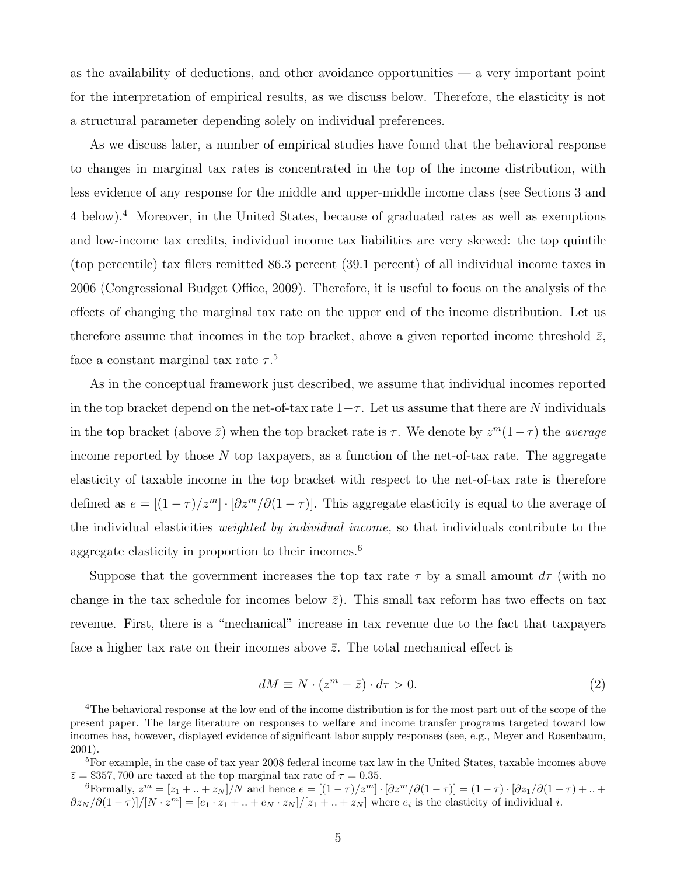as the availability of deductions, and other avoidance opportunities — a very important point for the interpretation of empirical results, as we discuss below. Therefore, the elasticity is not a structural parameter depending solely on individual preferences.

As we discuss later, a number of empirical studies have found that the behavioral response to changes in marginal tax rates is concentrated in the top of the income distribution, with less evidence of any response for the middle and upper-middle income class (see Sections 3 and 4 below).<sup>4</sup> Moreover, in the United States, because of graduated rates as well as exemptions and low-income tax credits, individual income tax liabilities are very skewed: the top quintile (top percentile) tax filers remitted 86.3 percent (39.1 percent) of all individual income taxes in 2006 (Congressional Budget Office, 2009). Therefore, it is useful to focus on the analysis of the effects of changing the marginal tax rate on the upper end of the income distribution. Let us therefore assume that incomes in the top bracket, above a given reported income threshold  $\bar{z}$ , face a constant marginal tax rate  $\tau$ .<sup>5</sup>

As in the conceptual framework just described, we assume that individual incomes reported in the top bracket depend on the net-of-tax rate  $1-\tau$ . Let us assume that there are N individuals in the top bracket (above  $\bar{z}$ ) when the top bracket rate is  $\tau$ . We denote by  $z^m(1-\tau)$  the *average* income reported by those  $N$  top taxpayers, as a function of the net-of-tax rate. The aggregate elasticity of taxable income in the top bracket with respect to the net-of-tax rate is therefore defined as  $e = [(1 - \tau)/z^m] \cdot [\partial z^m/\partial (1 - \tau)]$ . This aggregate elasticity is equal to the average of the individual elasticities weighted by individual income, so that individuals contribute to the aggregate elasticity in proportion to their incomes.<sup>6</sup>

Suppose that the government increases the top tax rate  $\tau$  by a small amount  $d\tau$  (with no change in the tax schedule for incomes below  $\bar{z}$ ). This small tax reform has two effects on tax revenue. First, there is a "mechanical" increase in tax revenue due to the fact that taxpayers face a higher tax rate on their incomes above  $\bar{z}$ . The total mechanical effect is

$$
dM \equiv N \cdot (z^m - \bar{z}) \cdot d\tau > 0. \tag{2}
$$

<sup>&</sup>lt;sup>4</sup>The behavioral response at the low end of the income distribution is for the most part out of the scope of the present paper. The large literature on responses to welfare and income transfer programs targeted toward low incomes has, however, displayed evidence of significant labor supply responses (see, e.g., Meyer and Rosenbaum, 2001).

<sup>&</sup>lt;sup>5</sup>For example, in the case of tax year 2008 federal income tax law in the United States, taxable incomes above  $\bar{z} = $357,700$  are taxed at the top marginal tax rate of  $\tau = 0.35$ .

<sup>&</sup>lt;sup>6</sup>Formally,  $z^m = [z_1 + ... + z_N]/N$  and hence  $e = [(1 - \tau)/z^m] \cdot [\partial z^m/\partial (1 - \tau)] = (1 - \tau) \cdot [\partial z_1/\partial (1 - \tau) + ... +$  $\partial z_N/\partial(1-\tau)]/[N \cdot z^m] = [e_1 \cdot z_1 + ... + e_N \cdot z_N]/[z_1 + ... + z_N]$  where  $e_i$  is the elasticity of individual *i*.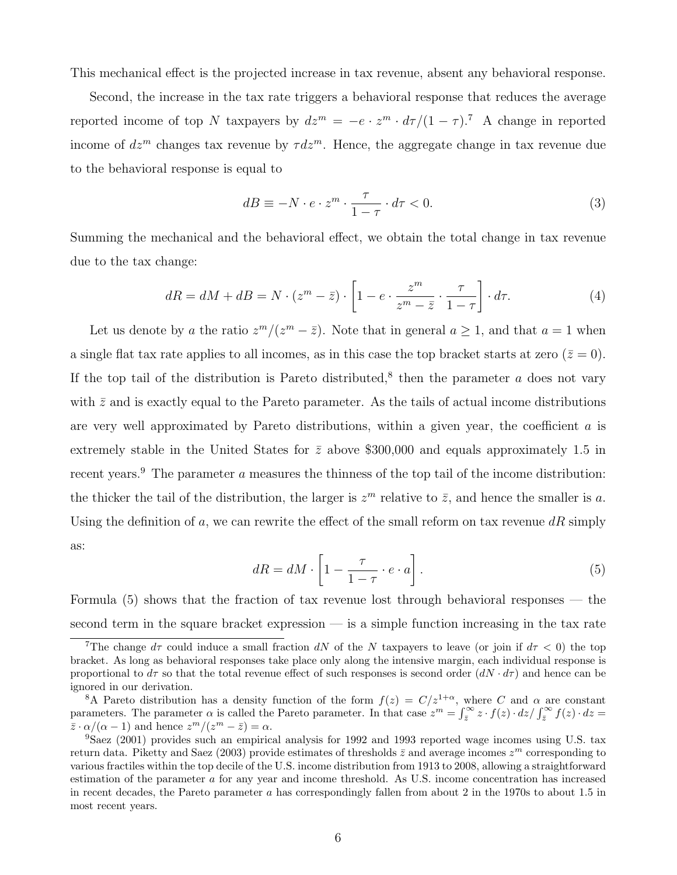This mechanical effect is the projected increase in tax revenue, absent any behavioral response.

Second, the increase in the tax rate triggers a behavioral response that reduces the average reported income of top N taxpayers by  $dz^m = -e \cdot z^m \cdot d\tau/(1-\tau)$ .<sup>7</sup> A change in reported income of  $dz^m$  changes tax revenue by  $\tau dz^m$ . Hence, the aggregate change in tax revenue due to the behavioral response is equal to

$$
dB \equiv -N \cdot e \cdot z^m \cdot \frac{\tau}{1-\tau} \cdot d\tau < 0. \tag{3}
$$

Summing the mechanical and the behavioral effect, we obtain the total change in tax revenue due to the tax change:

$$
dR = dM + dB = N \cdot (z^m - \bar{z}) \cdot \left[1 - e \cdot \frac{z^m}{z^m - \bar{z}} \cdot \frac{\tau}{1 - \tau}\right] \cdot d\tau.
$$
 (4)

Let us denote by a the ratio  $z^m/(z^m - \bar{z})$ . Note that in general  $a \ge 1$ , and that  $a = 1$  when a single flat tax rate applies to all incomes, as in this case the top bracket starts at zero  $(\bar{z} = 0)$ . If the top tail of the distribution is Pareto distributed,<sup>8</sup> then the parameter  $a$  does not vary with  $\bar{z}$  and is exactly equal to the Pareto parameter. As the tails of actual income distributions are very well approximated by Pareto distributions, within a given year, the coefficient  $a$  is extremely stable in the United States for  $\bar{z}$  above \$300,000 and equals approximately 1.5 in recent years.<sup>9</sup> The parameter a measures the thinness of the top tail of the income distribution: the thicker the tail of the distribution, the larger is  $z<sup>m</sup>$  relative to  $\bar{z}$ , and hence the smaller is a. Using the definition of a, we can rewrite the effect of the small reform on tax revenue  $dR$  simply as:

$$
dR = dM \cdot \left[1 - \frac{\tau}{1 - \tau} \cdot e \cdot a\right].
$$
 (5)

Formula (5) shows that the fraction of tax revenue lost through behavioral responses — the second term in the square bracket expression — is a simple function increasing in the tax rate

<sup>&</sup>lt;sup>7</sup>The change  $d\tau$  could induce a small fraction dN of the N taxpayers to leave (or join if  $d\tau < 0$ ) the top bracket. As long as behavioral responses take place only along the intensive margin, each individual response is proportional to  $d\tau$  so that the total revenue effect of such responses is second order  $(dN \cdot d\tau)$  and hence can be ignored in our derivation.

<sup>&</sup>lt;sup>8</sup>A Pareto distribution has a density function of the form  $f(z) = C/z^{1+\alpha}$ , where C and  $\alpha$  are constant parameters. The parameter  $\alpha$  is called the Pareto parameter. In that case  $z^m = \int_{\bar{z}}^{\infty} z \cdot f(z) \cdot dz / \int_{\bar{z}}^{\infty} f(z) \cdot dz =$  $\bar{z} \cdot \alpha/(\alpha - 1)$  and hence  $z^m/(z^m - \bar{z}) = \alpha$ .

<sup>9</sup>Saez (2001) provides such an empirical analysis for 1992 and 1993 reported wage incomes using U.S. tax return data. Piketty and Saez (2003) provide estimates of thresholds  $\bar{z}$  and average incomes  $z^m$  corresponding to various fractiles within the top decile of the U.S. income distribution from 1913 to 2008, allowing a straightforward estimation of the parameter a for any year and income threshold. As U.S. income concentration has increased in recent decades, the Pareto parameter a has correspondingly fallen from about 2 in the 1970s to about 1.5 in most recent years.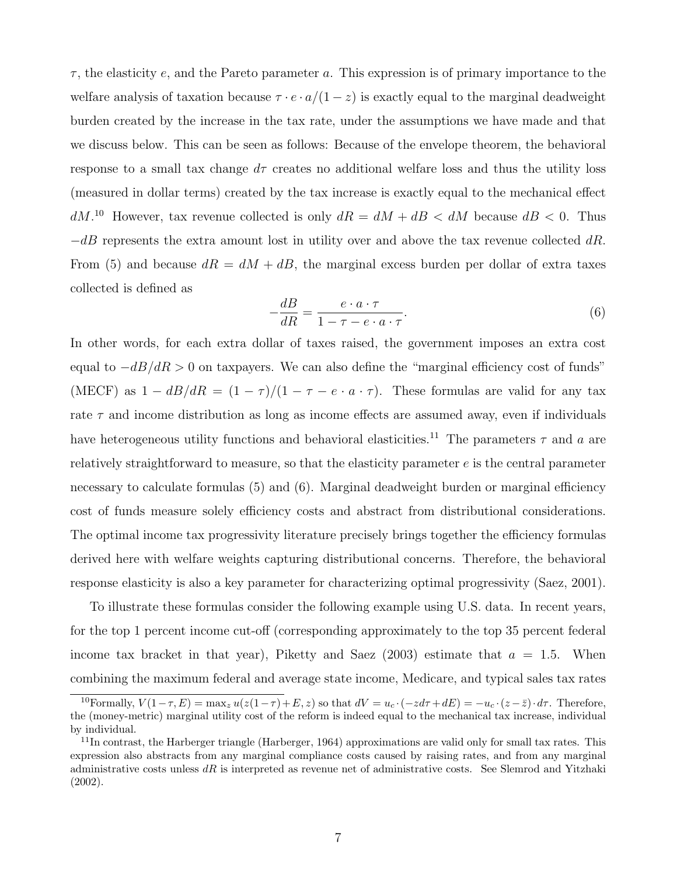$\tau$ , the elasticity e, and the Pareto parameter a. This expression is of primary importance to the welfare analysis of taxation because  $\tau \cdot e \cdot a/(1-z)$  is exactly equal to the marginal deadweight burden created by the increase in the tax rate, under the assumptions we have made and that we discuss below. This can be seen as follows: Because of the envelope theorem, the behavioral response to a small tax change  $d\tau$  creates no additional welfare loss and thus the utility loss (measured in dollar terms) created by the tax increase is exactly equal to the mechanical effect  $dM$ <sup>10</sup> However, tax revenue collected is only  $dR = dM + dB < dM$  because  $dB < 0$ . Thus  $-dB$  represents the extra amount lost in utility over and above the tax revenue collected dR. From (5) and because  $dR = dM + dB$ , the marginal excess burden per dollar of extra taxes collected is defined as

$$
-\frac{dB}{dR} = \frac{e \cdot a \cdot \tau}{1 - \tau - e \cdot a \cdot \tau}.\tag{6}
$$

In other words, for each extra dollar of taxes raised, the government imposes an extra cost equal to  $-dB/dR > 0$  on taxpayers. We can also define the "marginal efficiency cost of funds" (MECF) as  $1 - dB/dR = (1 - \tau)/(1 - \tau - e \cdot a \cdot \tau)$ . These formulas are valid for any tax rate  $\tau$  and income distribution as long as income effects are assumed away, even if individuals have heterogeneous utility functions and behavioral elasticities.<sup>11</sup> The parameters  $\tau$  and  $\alpha$  are relatively straightforward to measure, so that the elasticity parameter  $e$  is the central parameter necessary to calculate formulas (5) and (6). Marginal deadweight burden or marginal efficiency cost of funds measure solely efficiency costs and abstract from distributional considerations. The optimal income tax progressivity literature precisely brings together the efficiency formulas derived here with welfare weights capturing distributional concerns. Therefore, the behavioral response elasticity is also a key parameter for characterizing optimal progressivity (Saez, 2001).

To illustrate these formulas consider the following example using U.S. data. In recent years, for the top 1 percent income cut-off (corresponding approximately to the top 35 percent federal income tax bracket in that year), Piketty and Saez  $(2003)$  estimate that  $a = 1.5$ . When combining the maximum federal and average state income, Medicare, and typical sales tax rates

<sup>&</sup>lt;sup>10</sup>Formally,  $V(1-\tau, E) = \max_z u(z(1-\tau) + E, z)$  so that  $dV = u_c \cdot (-z d\tau + dE) = -u_c \cdot (z - \overline{z}) \cdot d\tau$ . Therefore, the (money-metric) marginal utility cost of the reform is indeed equal to the mechanical tax increase, individual by individual.

 $11$ In contrast, the Harberger triangle (Harberger, 1964) approximations are valid only for small tax rates. This expression also abstracts from any marginal compliance costs caused by raising rates, and from any marginal administrative costs unless  $dR$  is interpreted as revenue net of administrative costs. See Slemrod and Yitzhaki (2002).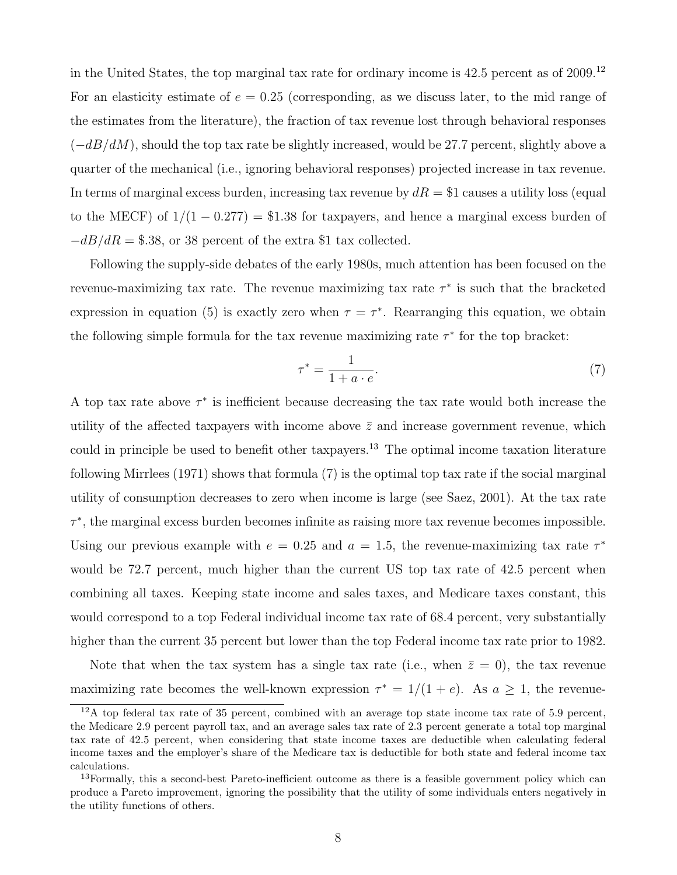in the United States, the top marginal tax rate for ordinary income is 42.5 percent as of 2009.<sup>12</sup> For an elasticity estimate of  $e = 0.25$  (corresponding, as we discuss later, to the mid range of the estimates from the literature), the fraction of tax revenue lost through behavioral responses  $(-dB/dM)$ , should the top tax rate be slightly increased, would be 27.7 percent, slightly above a quarter of the mechanical (i.e., ignoring behavioral responses) projected increase in tax revenue. In terms of marginal excess burden, increasing tax revenue by  $dR = $1$  causes a utility loss (equal to the MECF) of  $1/(1 - 0.277) = $1.38$  for taxpayers, and hence a marginal excess burden of  $-dB/dR =$  \$.38, or 38 percent of the extra \$1 tax collected.

Following the supply-side debates of the early 1980s, much attention has been focused on the revenue-maximizing tax rate. The revenue maximizing tax rate  $\tau^*$  is such that the bracketed expression in equation (5) is exactly zero when  $\tau = \tau^*$ . Rearranging this equation, we obtain the following simple formula for the tax revenue maximizing rate  $\tau^*$  for the top bracket:

$$
\tau^* = \frac{1}{1 + a \cdot e}.\tag{7}
$$

A top tax rate above  $\tau^*$  is inefficient because decreasing the tax rate would both increase the utility of the affected taxpayers with income above  $\bar{z}$  and increase government revenue, which could in principle be used to benefit other taxpayers.<sup>13</sup> The optimal income taxation literature following Mirrlees (1971) shows that formula (7) is the optimal top tax rate if the social marginal utility of consumption decreases to zero when income is large (see Saez, 2001). At the tax rate τ ∗ , the marginal excess burden becomes infinite as raising more tax revenue becomes impossible. Using our previous example with  $e = 0.25$  and  $a = 1.5$ , the revenue-maximizing tax rate  $\tau^*$ would be 72.7 percent, much higher than the current US top tax rate of 42.5 percent when combining all taxes. Keeping state income and sales taxes, and Medicare taxes constant, this would correspond to a top Federal individual income tax rate of 68.4 percent, very substantially higher than the current 35 percent but lower than the top Federal income tax rate prior to 1982.

Note that when the tax system has a single tax rate (i.e., when  $\bar{z} = 0$ ), the tax revenue maximizing rate becomes the well-known expression  $\tau^* = 1/(1+e)$ . As  $a \ge 1$ , the revenue-

 $12A$  top federal tax rate of 35 percent, combined with an average top state income tax rate of 5.9 percent, the Medicare 2.9 percent payroll tax, and an average sales tax rate of 2.3 percent generate a total top marginal tax rate of 42.5 percent, when considering that state income taxes are deductible when calculating federal income taxes and the employer's share of the Medicare tax is deductible for both state and federal income tax calculations.

<sup>&</sup>lt;sup>13</sup>Formally, this a second-best Pareto-inefficient outcome as there is a feasible government policy which can produce a Pareto improvement, ignoring the possibility that the utility of some individuals enters negatively in the utility functions of others.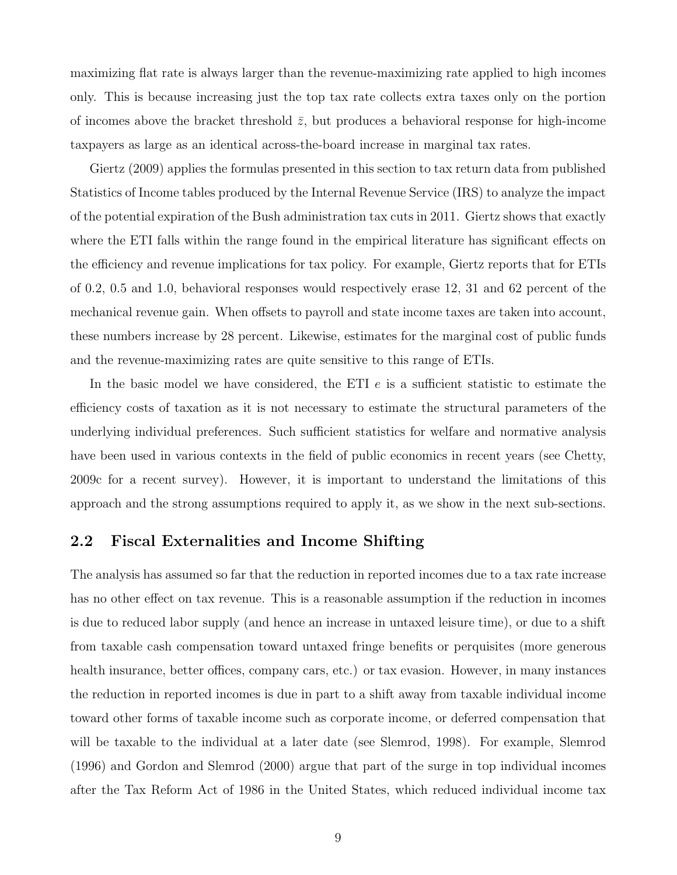maximizing flat rate is always larger than the revenue-maximizing rate applied to high incomes only. This is because increasing just the top tax rate collects extra taxes only on the portion of incomes above the bracket threshold  $\bar{z}$ , but produces a behavioral response for high-income taxpayers as large as an identical across-the-board increase in marginal tax rates.

Giertz (2009) applies the formulas presented in this section to tax return data from published Statistics of Income tables produced by the Internal Revenue Service (IRS) to analyze the impact of the potential expiration of the Bush administration tax cuts in 2011. Giertz shows that exactly where the ETI falls within the range found in the empirical literature has significant effects on the efficiency and revenue implications for tax policy. For example, Giertz reports that for ETIs of 0.2, 0.5 and 1.0, behavioral responses would respectively erase 12, 31 and 62 percent of the mechanical revenue gain. When offsets to payroll and state income taxes are taken into account, these numbers increase by 28 percent. Likewise, estimates for the marginal cost of public funds and the revenue-maximizing rates are quite sensitive to this range of ETIs.

In the basic model we have considered, the ETI  $e$  is a sufficient statistic to estimate the efficiency costs of taxation as it is not necessary to estimate the structural parameters of the underlying individual preferences. Such sufficient statistics for welfare and normative analysis have been used in various contexts in the field of public economics in recent years (see Chetty, 2009c for a recent survey). However, it is important to understand the limitations of this approach and the strong assumptions required to apply it, as we show in the next sub-sections.

### 2.2 Fiscal Externalities and Income Shifting

The analysis has assumed so far that the reduction in reported incomes due to a tax rate increase has no other effect on tax revenue. This is a reasonable assumption if the reduction in incomes is due to reduced labor supply (and hence an increase in untaxed leisure time), or due to a shift from taxable cash compensation toward untaxed fringe benefits or perquisites (more generous health insurance, better offices, company cars, etc.) or tax evasion. However, in many instances the reduction in reported incomes is due in part to a shift away from taxable individual income toward other forms of taxable income such as corporate income, or deferred compensation that will be taxable to the individual at a later date (see Slemrod, 1998). For example, Slemrod (1996) and Gordon and Slemrod (2000) argue that part of the surge in top individual incomes after the Tax Reform Act of 1986 in the United States, which reduced individual income tax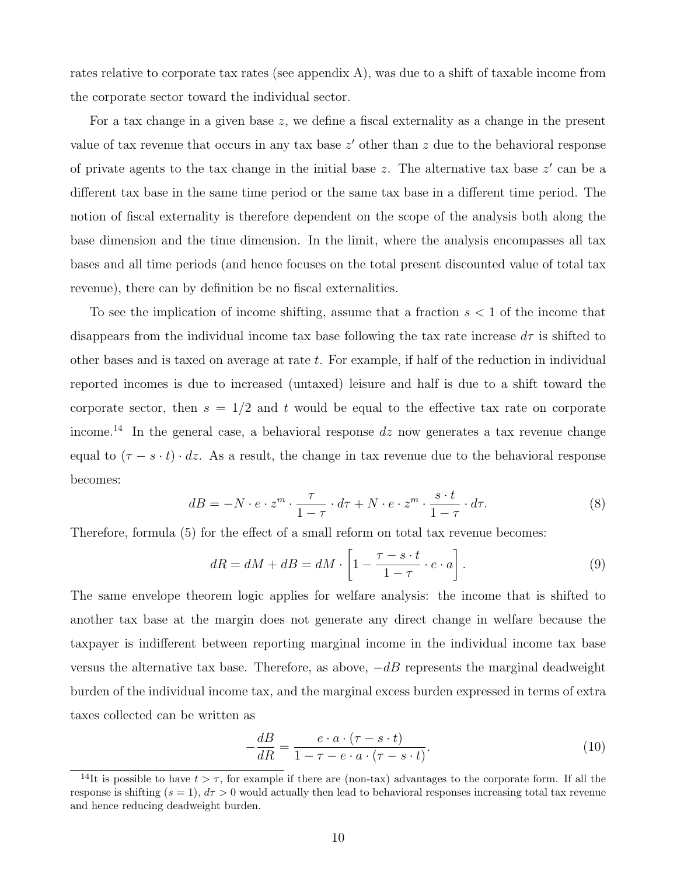rates relative to corporate tax rates (see appendix A), was due to a shift of taxable income from the corporate sector toward the individual sector.

For a tax change in a given base z, we define a fiscal externality as a change in the present value of tax revenue that occurs in any tax base  $z'$  other than  $z$  due to the behavioral response of private agents to the tax change in the initial base  $z$ . The alternative tax base  $z'$  can be a different tax base in the same time period or the same tax base in a different time period. The notion of fiscal externality is therefore dependent on the scope of the analysis both along the base dimension and the time dimension. In the limit, where the analysis encompasses all tax bases and all time periods (and hence focuses on the total present discounted value of total tax revenue), there can by definition be no fiscal externalities.

To see the implication of income shifting, assume that a fraction  $s < 1$  of the income that disappears from the individual income tax base following the tax rate increase  $d\tau$  is shifted to other bases and is taxed on average at rate  $t$ . For example, if half of the reduction in individual reported incomes is due to increased (untaxed) leisure and half is due to a shift toward the corporate sector, then  $s = 1/2$  and t would be equal to the effective tax rate on corporate income.<sup>14</sup> In the general case, a behavioral response dz now generates a tax revenue change equal to  $(\tau - s \cdot t) \cdot dz$ . As a result, the change in tax revenue due to the behavioral response becomes:

$$
dB = -N \cdot e \cdot z^m \cdot \frac{\tau}{1-\tau} \cdot d\tau + N \cdot e \cdot z^m \cdot \frac{s \cdot t}{1-\tau} \cdot d\tau. \tag{8}
$$

Therefore, formula (5) for the effect of a small reform on total tax revenue becomes:

$$
dR = dM + dB = dM \cdot \left[1 - \frac{\tau - s \cdot t}{1 - \tau} \cdot e \cdot a\right].
$$
\n(9)

The same envelope theorem logic applies for welfare analysis: the income that is shifted to another tax base at the margin does not generate any direct change in welfare because the taxpayer is indifferent between reporting marginal income in the individual income tax base versus the alternative tax base. Therefore, as above,  $-dB$  represents the marginal deadweight burden of the individual income tax, and the marginal excess burden expressed in terms of extra taxes collected can be written as

$$
-\frac{dB}{dR} = \frac{e \cdot a \cdot (\tau - s \cdot t)}{1 - \tau - e \cdot a \cdot (\tau - s \cdot t)}.
$$
\n(10)

<sup>&</sup>lt;sup>14</sup>It is possible to have  $t > \tau$ , for example if there are (non-tax) advantages to the corporate form. If all the response is shifting  $(s = 1)$ ,  $d\tau > 0$  would actually then lead to behavioral responses increasing total tax revenue and hence reducing deadweight burden.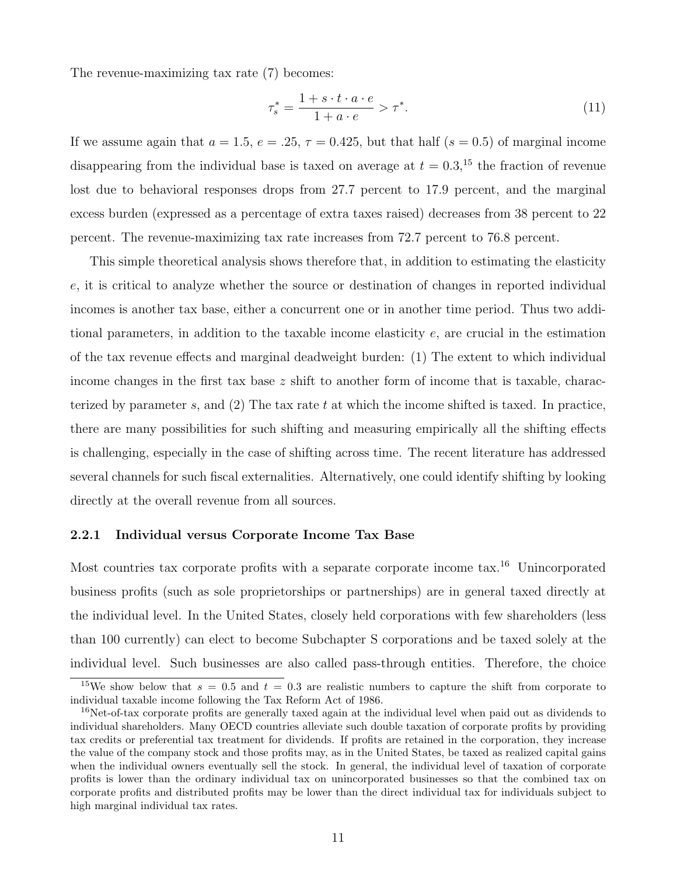The revenue-maximizing tax rate (7) becomes:

$$
\tau_s^* = \frac{1 + s \cdot t \cdot a \cdot e}{1 + a \cdot e} > \tau^*.
$$
\n
$$
(11)
$$

If we assume again that  $a = 1.5$ ,  $e = .25$ ,  $\tau = 0.425$ , but that half  $(s = 0.5)$  of marginal income disappearing from the individual base is taxed on average at  $t = 0.3$ ,<sup>15</sup> the fraction of revenue lost due to behavioral responses drops from 27.7 percent to 17.9 percent, and the marginal excess burden (expressed as a percentage of extra taxes raised) decreases from 38 percent to 22 percent. The revenue-maximizing tax rate increases from 72.7 percent to 76.8 percent.

This simple theoretical analysis shows therefore that, in addition to estimating the elasticity e, it is critical to analyze whether the source or destination of changes in reported individual incomes is another tax base, either a concurrent one or in another time period. Thus two additional parameters, in addition to the taxable income elasticity e, are crucial in the estimation of the tax revenue effects and marginal deadweight burden: (1) The extent to which individual income changes in the first tax base z shift to another form of income that is taxable, characterized by parameter  $s$ , and  $(2)$  The tax rate  $t$  at which the income shifted is taxed. In practice, there are many possibilities for such shifting and measuring empirically all the shifting effects is challenging, especially in the case of shifting across time. The recent literature has addressed several channels for such fiscal externalities. Alternatively, one could identify shifting by looking directly at the overall revenue from all sources.

#### 2.2.1 Individual versus Corporate Income Tax Base

Most countries tax corporate profits with a separate corporate income tax.<sup>16</sup> Unincorporated business profits (such as sole proprietorships or partnerships) are in general taxed directly at the individual level. In the United States, closely held corporations with few shareholders (less than 100 currently) can elect to become Subchapter S corporations and be taxed solely at the individual level. Such businesses are also called pass-through entities. Therefore, the choice

<sup>&</sup>lt;sup>15</sup>We show below that  $s = 0.5$  and  $t = 0.3$  are realistic numbers to capture the shift from corporate to individual taxable income following the Tax Reform Act of 1986.

<sup>&</sup>lt;sup>16</sup>Net-of-tax corporate profits are generally taxed again at the individual level when paid out as dividends to individual shareholders. Many OECD countries alleviate such double taxation of corporate profits by providing tax credits or preferential tax treatment for dividends. If profits are retained in the corporation, they increase the value of the company stock and those profits may, as in the United States, be taxed as realized capital gains when the individual owners eventually sell the stock. In general, the individual level of taxation of corporate profits is lower than the ordinary individual tax on unincorporated businesses so that the combined tax on corporate profits and distributed profits may be lower than the direct individual tax for individuals subject to high marginal individual tax rates.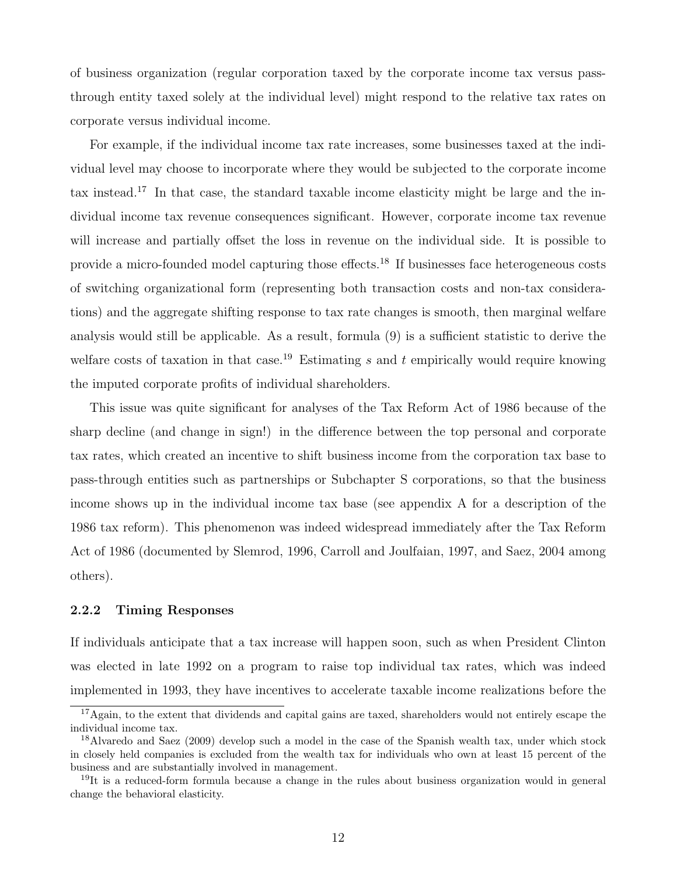of business organization (regular corporation taxed by the corporate income tax versus passthrough entity taxed solely at the individual level) might respond to the relative tax rates on corporate versus individual income.

For example, if the individual income tax rate increases, some businesses taxed at the individual level may choose to incorporate where they would be subjected to the corporate income tax instead.<sup>17</sup> In that case, the standard taxable income elasticity might be large and the individual income tax revenue consequences significant. However, corporate income tax revenue will increase and partially offset the loss in revenue on the individual side. It is possible to provide a micro-founded model capturing those effects.<sup>18</sup> If businesses face heterogeneous costs of switching organizational form (representing both transaction costs and non-tax considerations) and the aggregate shifting response to tax rate changes is smooth, then marginal welfare analysis would still be applicable. As a result, formula (9) is a sufficient statistic to derive the welfare costs of taxation in that case.<sup>19</sup> Estimating s and t empirically would require knowing the imputed corporate profits of individual shareholders.

This issue was quite significant for analyses of the Tax Reform Act of 1986 because of the sharp decline (and change in sign!) in the difference between the top personal and corporate tax rates, which created an incentive to shift business income from the corporation tax base to pass-through entities such as partnerships or Subchapter S corporations, so that the business income shows up in the individual income tax base (see appendix A for a description of the 1986 tax reform). This phenomenon was indeed widespread immediately after the Tax Reform Act of 1986 (documented by Slemrod, 1996, Carroll and Joulfaian, 1997, and Saez, 2004 among others).

#### 2.2.2 Timing Responses

If individuals anticipate that a tax increase will happen soon, such as when President Clinton was elected in late 1992 on a program to raise top individual tax rates, which was indeed implemented in 1993, they have incentives to accelerate taxable income realizations before the

<sup>&</sup>lt;sup>17</sup>Again, to the extent that dividends and capital gains are taxed, shareholders would not entirely escape the individual income tax.

<sup>18</sup>Alvaredo and Saez (2009) develop such a model in the case of the Spanish wealth tax, under which stock in closely held companies is excluded from the wealth tax for individuals who own at least 15 percent of the business and are substantially involved in management.

<sup>&</sup>lt;sup>19</sup>It is a reduced-form formula because a change in the rules about business organization would in general change the behavioral elasticity.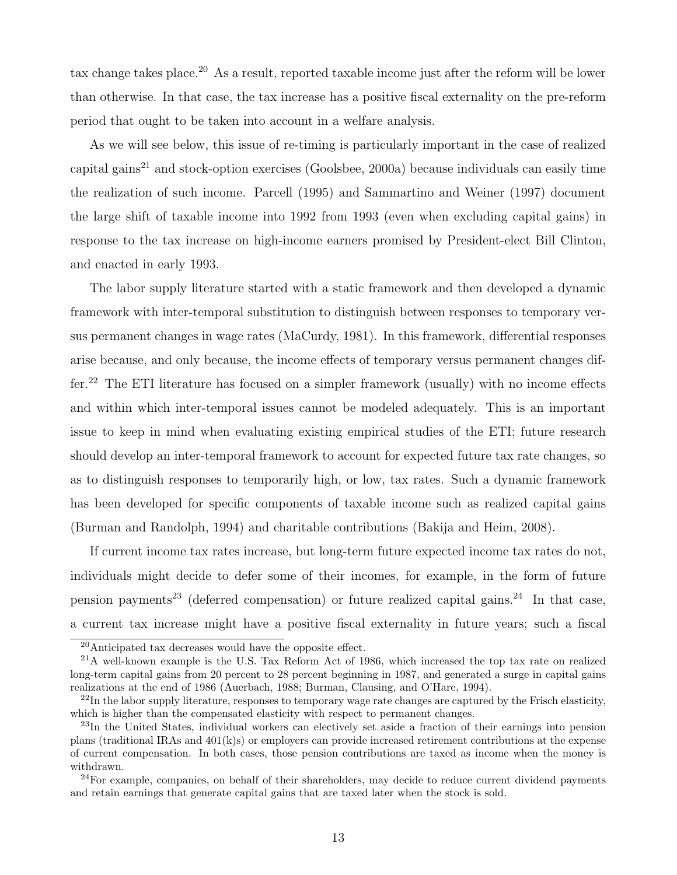tax change takes place.<sup>20</sup> As a result, reported taxable income just after the reform will be lower than otherwise. In that case, the tax increase has a positive fiscal externality on the pre-reform period that ought to be taken into account in a welfare analysis.

As we will see below, this issue of re-timing is particularly important in the case of realized capital gains<sup>21</sup> and stock-option exercises (Goolsbee, 2000a) because individuals can easily time the realization of such income. Parcell (1995) and Sammartino and Weiner (1997) document the large shift of taxable income into 1992 from 1993 (even when excluding capital gains) in response to the tax increase on high-income earners promised by President-elect Bill Clinton, and enacted in early 1993.

The labor supply literature started with a static framework and then developed a dynamic framework with inter-temporal substitution to distinguish between responses to temporary versus permanent changes in wage rates (MaCurdy, 1981). In this framework, differential responses arise because, and only because, the income effects of temporary versus permanent changes differ.<sup>22</sup> The ETI literature has focused on a simpler framework (usually) with no income effects and within which inter-temporal issues cannot be modeled adequately. This is an important issue to keep in mind when evaluating existing empirical studies of the ETI; future research should develop an inter-temporal framework to account for expected future tax rate changes, so as to distinguish responses to temporarily high, or low, tax rates. Such a dynamic framework has been developed for specific components of taxable income such as realized capital gains (Burman and Randolph, 1994) and charitable contributions (Bakija and Heim, 2008).

If current income tax rates increase, but long-term future expected income tax rates do not, individuals might decide to defer some of their incomes, for example, in the form of future pension payments<sup>23</sup> (deferred compensation) or future realized capital gains.<sup>24</sup> In that case, a current tax increase might have a positive fiscal externality in future years; such a fiscal

<sup>20</sup>Anticipated tax decreases would have the opposite effect.

<sup>21</sup>A well-known example is the U.S. Tax Reform Act of 1986, which increased the top tax rate on realized long-term capital gains from 20 percent to 28 percent beginning in 1987, and generated a surge in capital gains realizations at the end of 1986 (Auerbach, 1988; Burman, Clausing, and O'Hare, 1994).

 $^{22}$ In the labor supply literature, responses to temporary wage rate changes are captured by the Frisch elasticity, which is higher than the compensated elasticity with respect to permanent changes.

<sup>&</sup>lt;sup>23</sup>In the United States, individual workers can electively set aside a fraction of their earnings into pension plans (traditional IRAs and 401(k)s) or employers can provide increased retirement contributions at the expense of current compensation. In both cases, those pension contributions are taxed as income when the money is withdrawn.

 $24$ For example, companies, on behalf of their shareholders, may decide to reduce current dividend payments and retain earnings that generate capital gains that are taxed later when the stock is sold.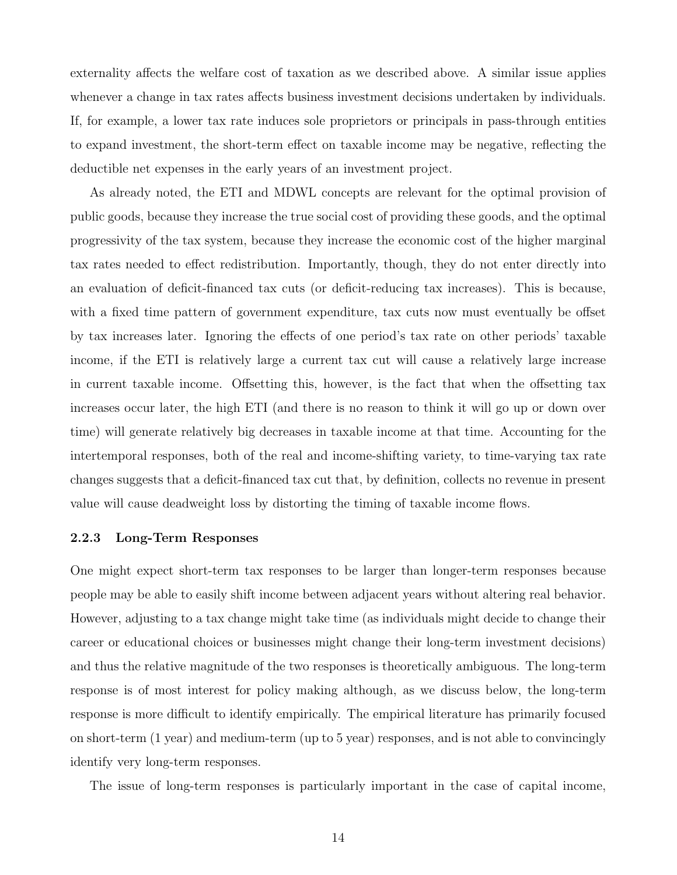externality affects the welfare cost of taxation as we described above. A similar issue applies whenever a change in tax rates affects business investment decisions undertaken by individuals. If, for example, a lower tax rate induces sole proprietors or principals in pass-through entities to expand investment, the short-term effect on taxable income may be negative, reflecting the deductible net expenses in the early years of an investment project.

As already noted, the ETI and MDWL concepts are relevant for the optimal provision of public goods, because they increase the true social cost of providing these goods, and the optimal progressivity of the tax system, because they increase the economic cost of the higher marginal tax rates needed to effect redistribution. Importantly, though, they do not enter directly into an evaluation of deficit-financed tax cuts (or deficit-reducing tax increases). This is because, with a fixed time pattern of government expenditure, tax cuts now must eventually be offset by tax increases later. Ignoring the effects of one period's tax rate on other periods' taxable income, if the ETI is relatively large a current tax cut will cause a relatively large increase in current taxable income. Offsetting this, however, is the fact that when the offsetting tax increases occur later, the high ETI (and there is no reason to think it will go up or down over time) will generate relatively big decreases in taxable income at that time. Accounting for the intertemporal responses, both of the real and income-shifting variety, to time-varying tax rate changes suggests that a deficit-financed tax cut that, by definition, collects no revenue in present value will cause deadweight loss by distorting the timing of taxable income flows.

#### 2.2.3 Long-Term Responses

One might expect short-term tax responses to be larger than longer-term responses because people may be able to easily shift income between adjacent years without altering real behavior. However, adjusting to a tax change might take time (as individuals might decide to change their career or educational choices or businesses might change their long-term investment decisions) and thus the relative magnitude of the two responses is theoretically ambiguous. The long-term response is of most interest for policy making although, as we discuss below, the long-term response is more difficult to identify empirically. The empirical literature has primarily focused on short-term (1 year) and medium-term (up to 5 year) responses, and is not able to convincingly identify very long-term responses.

The issue of long-term responses is particularly important in the case of capital income,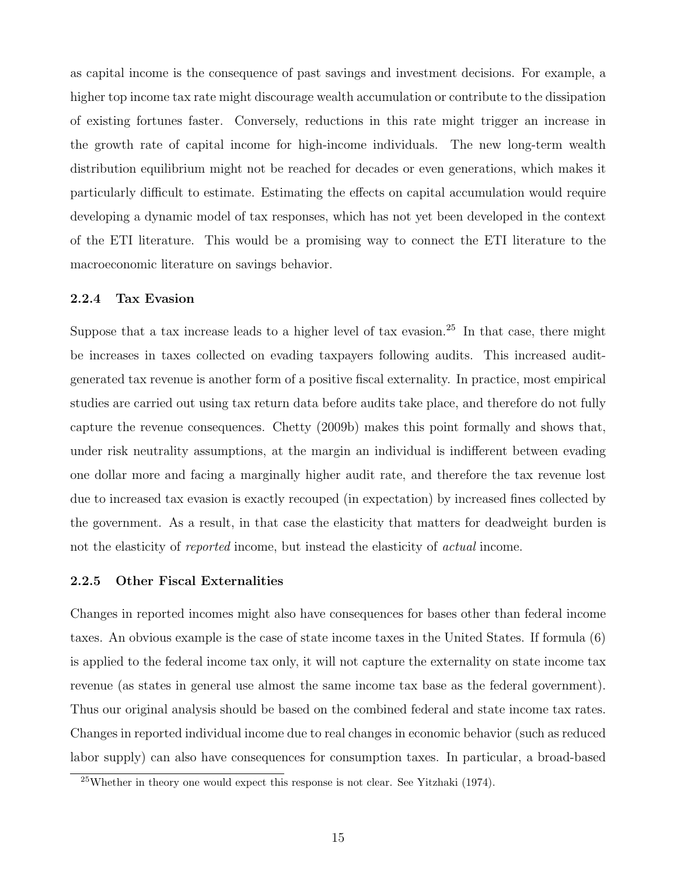as capital income is the consequence of past savings and investment decisions. For example, a higher top income tax rate might discourage wealth accumulation or contribute to the dissipation of existing fortunes faster. Conversely, reductions in this rate might trigger an increase in the growth rate of capital income for high-income individuals. The new long-term wealth distribution equilibrium might not be reached for decades or even generations, which makes it particularly difficult to estimate. Estimating the effects on capital accumulation would require developing a dynamic model of tax responses, which has not yet been developed in the context of the ETI literature. This would be a promising way to connect the ETI literature to the macroeconomic literature on savings behavior.

### 2.2.4 Tax Evasion

Suppose that a tax increase leads to a higher level of tax evasion.<sup>25</sup> In that case, there might be increases in taxes collected on evading taxpayers following audits. This increased auditgenerated tax revenue is another form of a positive fiscal externality. In practice, most empirical studies are carried out using tax return data before audits take place, and therefore do not fully capture the revenue consequences. Chetty (2009b) makes this point formally and shows that, under risk neutrality assumptions, at the margin an individual is indifferent between evading one dollar more and facing a marginally higher audit rate, and therefore the tax revenue lost due to increased tax evasion is exactly recouped (in expectation) by increased fines collected by the government. As a result, in that case the elasticity that matters for deadweight burden is not the elasticity of reported income, but instead the elasticity of actual income.

#### 2.2.5 Other Fiscal Externalities

Changes in reported incomes might also have consequences for bases other than federal income taxes. An obvious example is the case of state income taxes in the United States. If formula (6) is applied to the federal income tax only, it will not capture the externality on state income tax revenue (as states in general use almost the same income tax base as the federal government). Thus our original analysis should be based on the combined federal and state income tax rates. Changes in reported individual income due to real changes in economic behavior (such as reduced labor supply) can also have consequences for consumption taxes. In particular, a broad-based

<sup>25</sup>Whether in theory one would expect this response is not clear. See Yitzhaki (1974).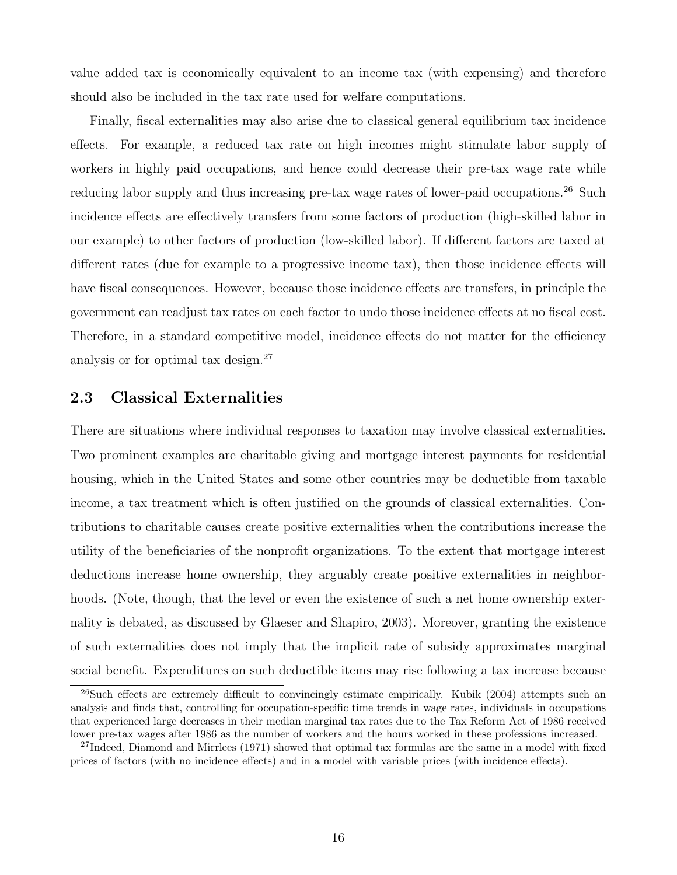value added tax is economically equivalent to an income tax (with expensing) and therefore should also be included in the tax rate used for welfare computations.

Finally, fiscal externalities may also arise due to classical general equilibrium tax incidence effects. For example, a reduced tax rate on high incomes might stimulate labor supply of workers in highly paid occupations, and hence could decrease their pre-tax wage rate while reducing labor supply and thus increasing pre-tax wage rates of lower-paid occupations.<sup>26</sup> Such incidence effects are effectively transfers from some factors of production (high-skilled labor in our example) to other factors of production (low-skilled labor). If different factors are taxed at different rates (due for example to a progressive income tax), then those incidence effects will have fiscal consequences. However, because those incidence effects are transfers, in principle the government can readjust tax rates on each factor to undo those incidence effects at no fiscal cost. Therefore, in a standard competitive model, incidence effects do not matter for the efficiency analysis or for optimal tax design.<sup>27</sup>

## 2.3 Classical Externalities

There are situations where individual responses to taxation may involve classical externalities. Two prominent examples are charitable giving and mortgage interest payments for residential housing, which in the United States and some other countries may be deductible from taxable income, a tax treatment which is often justified on the grounds of classical externalities. Contributions to charitable causes create positive externalities when the contributions increase the utility of the beneficiaries of the nonprofit organizations. To the extent that mortgage interest deductions increase home ownership, they arguably create positive externalities in neighborhoods. (Note, though, that the level or even the existence of such a net home ownership externality is debated, as discussed by Glaeser and Shapiro, 2003). Moreover, granting the existence of such externalities does not imply that the implicit rate of subsidy approximates marginal social benefit. Expenditures on such deductible items may rise following a tax increase because

<sup>&</sup>lt;sup>26</sup>Such effects are extremely difficult to convincingly estimate empirically. Kubik (2004) attempts such an analysis and finds that, controlling for occupation-specific time trends in wage rates, individuals in occupations that experienced large decreases in their median marginal tax rates due to the Tax Reform Act of 1986 received lower pre-tax wages after 1986 as the number of workers and the hours worked in these professions increased.

<sup>&</sup>lt;sup>27</sup>Indeed, Diamond and Mirrlees (1971) showed that optimal tax formulas are the same in a model with fixed prices of factors (with no incidence effects) and in a model with variable prices (with incidence effects).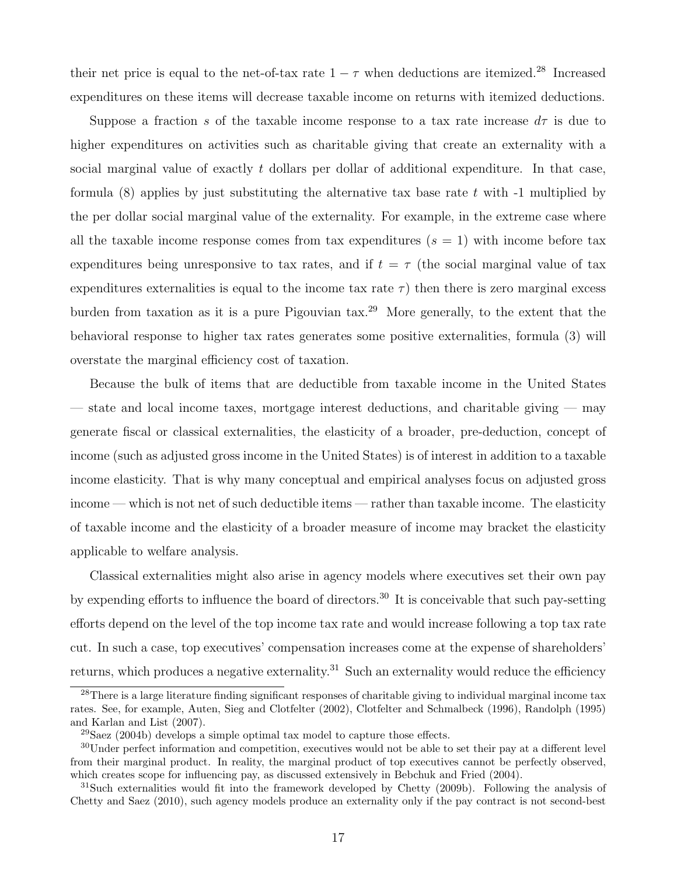their net price is equal to the net-of-tax rate  $1 - \tau$  when deductions are itemized.<sup>28</sup> Increased expenditures on these items will decrease taxable income on returns with itemized deductions.

Suppose a fraction s of the taxable income response to a tax rate increase  $d\tau$  is due to higher expenditures on activities such as charitable giving that create an externality with a social marginal value of exactly  $t$  dollars per dollar of additional expenditure. In that case, formula  $(8)$  applies by just substituting the alternative tax base rate t with  $-1$  multiplied by the per dollar social marginal value of the externality. For example, in the extreme case where all the taxable income response comes from tax expenditures  $(s = 1)$  with income before tax expenditures being unresponsive to tax rates, and if  $t = \tau$  (the social marginal value of tax expenditures externalities is equal to the income tax rate  $\tau$ ) then there is zero marginal excess burden from taxation as it is a pure Pigouvian tax.<sup>29</sup> More generally, to the extent that the behavioral response to higher tax rates generates some positive externalities, formula (3) will overstate the marginal efficiency cost of taxation.

Because the bulk of items that are deductible from taxable income in the United States state and local income taxes, mortgage interest deductions, and charitable giving  $-$  may generate fiscal or classical externalities, the elasticity of a broader, pre-deduction, concept of income (such as adjusted gross income in the United States) is of interest in addition to a taxable income elasticity. That is why many conceptual and empirical analyses focus on adjusted gross income — which is not net of such deductible items — rather than taxable income. The elasticity of taxable income and the elasticity of a broader measure of income may bracket the elasticity applicable to welfare analysis.

Classical externalities might also arise in agency models where executives set their own pay by expending efforts to influence the board of directors.<sup>30</sup> It is conceivable that such pay-setting efforts depend on the level of the top income tax rate and would increase following a top tax rate cut. In such a case, top executives' compensation increases come at the expense of shareholders' returns, which produces a negative externality.<sup>31</sup> Such an externality would reduce the efficiency

<sup>&</sup>lt;sup>28</sup>There is a large literature finding significant responses of charitable giving to individual marginal income tax rates. See, for example, Auten, Sieg and Clotfelter (2002), Clotfelter and Schmalbeck (1996), Randolph (1995) and Karlan and List (2007).

 $29$ Saez (2004b) develops a simple optimal tax model to capture those effects.

<sup>&</sup>lt;sup>30</sup>Under perfect information and competition, executives would not be able to set their pay at a different level from their marginal product. In reality, the marginal product of top executives cannot be perfectly observed, which creates scope for influencing pay, as discussed extensively in Bebchuk and Fried (2004).

 $31$ Such externalities would fit into the framework developed by Chetty (2009b). Following the analysis of Chetty and Saez (2010), such agency models produce an externality only if the pay contract is not second-best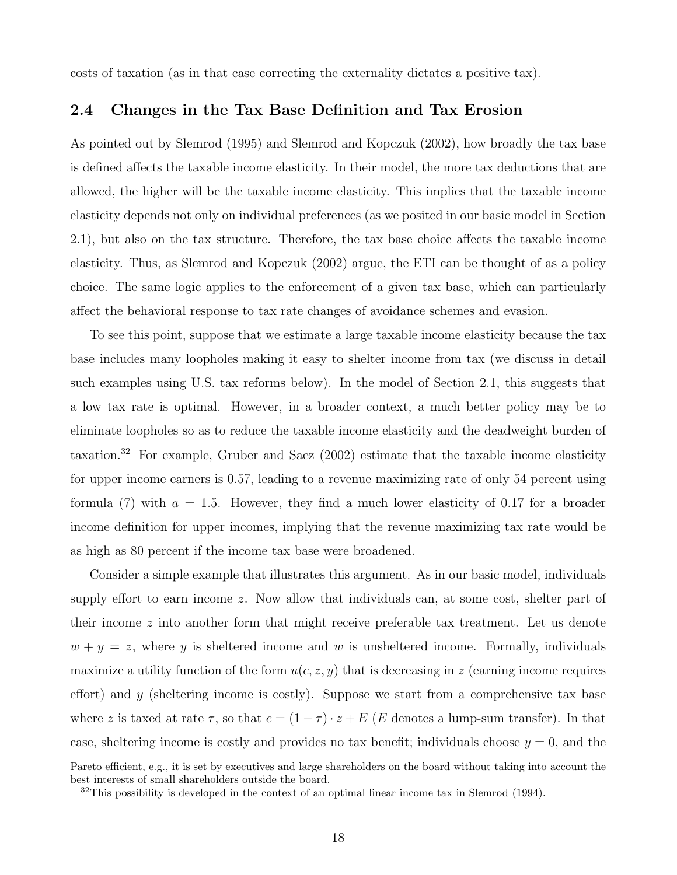costs of taxation (as in that case correcting the externality dictates a positive tax).

## 2.4 Changes in the Tax Base Definition and Tax Erosion

As pointed out by Slemrod (1995) and Slemrod and Kopczuk (2002), how broadly the tax base is defined affects the taxable income elasticity. In their model, the more tax deductions that are allowed, the higher will be the taxable income elasticity. This implies that the taxable income elasticity depends not only on individual preferences (as we posited in our basic model in Section 2.1), but also on the tax structure. Therefore, the tax base choice affects the taxable income elasticity. Thus, as Slemrod and Kopczuk (2002) argue, the ETI can be thought of as a policy choice. The same logic applies to the enforcement of a given tax base, which can particularly affect the behavioral response to tax rate changes of avoidance schemes and evasion.

To see this point, suppose that we estimate a large taxable income elasticity because the tax base includes many loopholes making it easy to shelter income from tax (we discuss in detail such examples using U.S. tax reforms below). In the model of Section 2.1, this suggests that a low tax rate is optimal. However, in a broader context, a much better policy may be to eliminate loopholes so as to reduce the taxable income elasticity and the deadweight burden of taxation.<sup>32</sup> For example, Gruber and Saez (2002) estimate that the taxable income elasticity for upper income earners is 0.57, leading to a revenue maximizing rate of only 54 percent using formula (7) with  $a = 1.5$ . However, they find a much lower elasticity of 0.17 for a broader income definition for upper incomes, implying that the revenue maximizing tax rate would be as high as 80 percent if the income tax base were broadened.

Consider a simple example that illustrates this argument. As in our basic model, individuals supply effort to earn income z. Now allow that individuals can, at some cost, shelter part of their income z into another form that might receive preferable tax treatment. Let us denote  $w + y = z$ , where y is sheltered income and w is unsheltered income. Formally, individuals maximize a utility function of the form  $u(c, z, y)$  that is decreasing in z (earning income requires effort) and y (sheltering income is costly). Suppose we start from a comprehensive tax base where z is taxed at rate  $\tau$ , so that  $c = (1 - \tau) \cdot z + E$  (E denotes a lump-sum transfer). In that case, sheltering income is costly and provides no tax benefit; individuals choose  $y = 0$ , and the

Pareto efficient, e.g., it is set by executives and large shareholders on the board without taking into account the best interests of small shareholders outside the board.

<sup>&</sup>lt;sup>32</sup>This possibility is developed in the context of an optimal linear income tax in Slemrod (1994).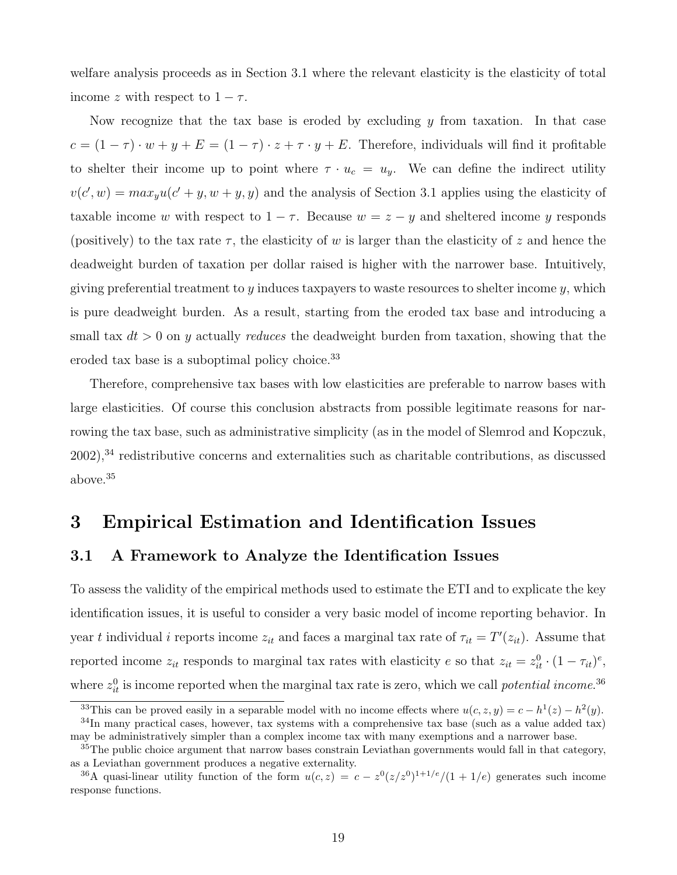welfare analysis proceeds as in Section 3.1 where the relevant elasticity is the elasticity of total income z with respect to  $1 - \tau$ .

Now recognize that the tax base is eroded by excluding y from taxation. In that case  $c = (1 - \tau) \cdot w + y + E = (1 - \tau) \cdot z + \tau \cdot y + E$ . Therefore, individuals will find it profitable to shelter their income up to point where  $\tau \cdot u_c = u_y$ . We can define the indirect utility  $v(c', w) = max_y u(c' + y, w + y, y)$  and the analysis of Section 3.1 applies using the elasticity of taxable income w with respect to  $1 - \tau$ . Because  $w = z - y$  and sheltered income y responds (positively) to the tax rate  $\tau$ , the elasticity of w is larger than the elasticity of z and hence the deadweight burden of taxation per dollar raised is higher with the narrower base. Intuitively, giving preferential treatment to  $y$  induces taxpayers to waste resources to shelter income  $y$ , which is pure deadweight burden. As a result, starting from the eroded tax base and introducing a small tax  $dt > 0$  on y actually *reduces* the deadweight burden from taxation, showing that the eroded tax base is a suboptimal policy choice.<sup>33</sup>

Therefore, comprehensive tax bases with low elasticities are preferable to narrow bases with large elasticities. Of course this conclusion abstracts from possible legitimate reasons for narrowing the tax base, such as administrative simplicity (as in the model of Slemrod and Kopczuk,  $2002$ ,  $34$  redistributive concerns and externalities such as charitable contributions, as discussed above.<sup>35</sup>

## 3 Empirical Estimation and Identification Issues

## 3.1 A Framework to Analyze the Identification Issues

To assess the validity of the empirical methods used to estimate the ETI and to explicate the key identification issues, it is useful to consider a very basic model of income reporting behavior. In year t individual i reports income  $z_{it}$  and faces a marginal tax rate of  $\tau_{it} = T'(z_{it})$ . Assume that reported income  $z_{it}$  responds to marginal tax rates with elasticity e so that  $z_{it} = z_{it}^0 \cdot (1 - \tau_{it})^e$ , where  $z_{it}^0$  is income reported when the marginal tax rate is zero, which we call *potential income*.<sup>36</sup>

<sup>&</sup>lt;sup>33</sup>This can be proved easily in a separable model with no income effects where  $u(c, z, y) = c - h<sup>1</sup>(z) - h<sup>2</sup>(y)$ .

 $34$ In many practical cases, however, tax systems with a comprehensive tax base (such as a value added tax) may be administratively simpler than a complex income tax with many exemptions and a narrower base.

<sup>&</sup>lt;sup>35</sup>The public choice argument that narrow bases constrain Leviathan governments would fall in that category, as a Leviathan government produces a negative externality.

<sup>&</sup>lt;sup>36</sup>A quasi-linear utility function of the form  $u(c, z) = c - z^0 (z/z^0)^{1+1/e}/(1 + 1/e)$  generates such income response functions.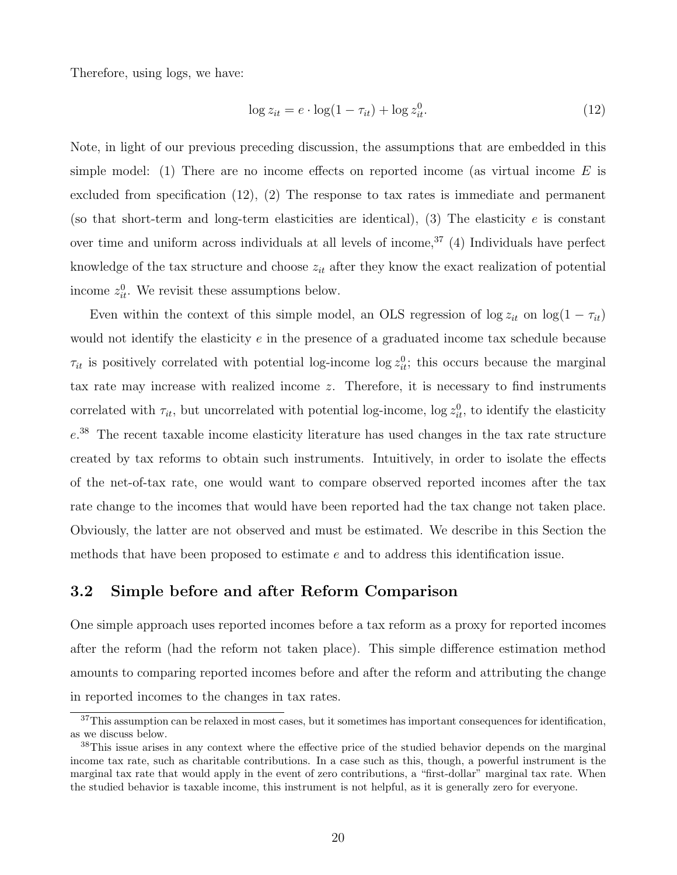Therefore, using logs, we have:

$$
\log z_{it} = e \cdot \log(1 - \tau_{it}) + \log z_{it}^0. \tag{12}
$$

Note, in light of our previous preceding discussion, the assumptions that are embedded in this simple model: (1) There are no income effects on reported income (as virtual income  $E$  is excluded from specification (12), (2) The response to tax rates is immediate and permanent (so that short-term and long-term elasticities are identical), (3) The elasticity  $e$  is constant over time and uniform across individuals at all levels of income,  $37$  (4) Individuals have perfect knowledge of the tax structure and choose  $z_{it}$  after they know the exact realization of potential income  $z_{it}^0$ . We revisit these assumptions below.

Even within the context of this simple model, an OLS regression of  $\log z_{it}$  on  $\log(1 - \tau_{it})$ would not identify the elasticity  $e$  in the presence of a graduated income tax schedule because  $\tau_{it}$  is positively correlated with potential log-income log  $z_{it}^0$ ; this occurs because the marginal tax rate may increase with realized income z. Therefore, it is necessary to find instruments correlated with  $\tau_{it}$ , but uncorrelated with potential log-income, log  $z_{it}^0$ , to identify the elasticity  $e^{i\theta}$ .<sup>38</sup> The recent taxable income elasticity literature has used changes in the tax rate structure created by tax reforms to obtain such instruments. Intuitively, in order to isolate the effects of the net-of-tax rate, one would want to compare observed reported incomes after the tax rate change to the incomes that would have been reported had the tax change not taken place. Obviously, the latter are not observed and must be estimated. We describe in this Section the methods that have been proposed to estimate e and to address this identification issue.

## 3.2 Simple before and after Reform Comparison

One simple approach uses reported incomes before a tax reform as a proxy for reported incomes after the reform (had the reform not taken place). This simple difference estimation method amounts to comparing reported incomes before and after the reform and attributing the change in reported incomes to the changes in tax rates.

<sup>&</sup>lt;sup>37</sup>This assumption can be relaxed in most cases, but it sometimes has important consequences for identification, as we discuss below.

<sup>&</sup>lt;sup>38</sup>This issue arises in any context where the effective price of the studied behavior depends on the marginal income tax rate, such as charitable contributions. In a case such as this, though, a powerful instrument is the marginal tax rate that would apply in the event of zero contributions, a "first-dollar" marginal tax rate. When the studied behavior is taxable income, this instrument is not helpful, as it is generally zero for everyone.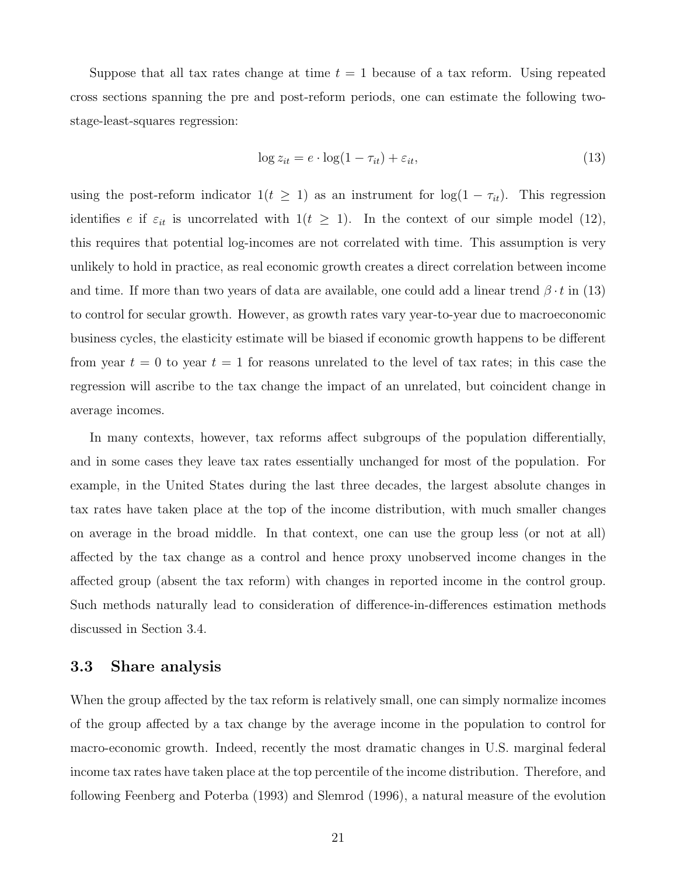Suppose that all tax rates change at time  $t = 1$  because of a tax reform. Using repeated cross sections spanning the pre and post-reform periods, one can estimate the following twostage-least-squares regression:

$$
\log z_{it} = e \cdot \log(1 - \tau_{it}) + \varepsilon_{it},\tag{13}
$$

using the post-reform indicator  $1(t \geq 1)$  as an instrument for  $log(1 - \tau_{it})$ . This regression identifies e if  $\varepsilon_{it}$  is uncorrelated with  $1(t \geq 1)$ . In the context of our simple model (12), this requires that potential log-incomes are not correlated with time. This assumption is very unlikely to hold in practice, as real economic growth creates a direct correlation between income and time. If more than two years of data are available, one could add a linear trend  $\beta \cdot t$  in (13) to control for secular growth. However, as growth rates vary year-to-year due to macroeconomic business cycles, the elasticity estimate will be biased if economic growth happens to be different from year  $t = 0$  to year  $t = 1$  for reasons unrelated to the level of tax rates; in this case the regression will ascribe to the tax change the impact of an unrelated, but coincident change in average incomes.

In many contexts, however, tax reforms affect subgroups of the population differentially, and in some cases they leave tax rates essentially unchanged for most of the population. For example, in the United States during the last three decades, the largest absolute changes in tax rates have taken place at the top of the income distribution, with much smaller changes on average in the broad middle. In that context, one can use the group less (or not at all) affected by the tax change as a control and hence proxy unobserved income changes in the affected group (absent the tax reform) with changes in reported income in the control group. Such methods naturally lead to consideration of difference-in-differences estimation methods discussed in Section 3.4.

### 3.3 Share analysis

When the group affected by the tax reform is relatively small, one can simply normalize incomes of the group affected by a tax change by the average income in the population to control for macro-economic growth. Indeed, recently the most dramatic changes in U.S. marginal federal income tax rates have taken place at the top percentile of the income distribution. Therefore, and following Feenberg and Poterba (1993) and Slemrod (1996), a natural measure of the evolution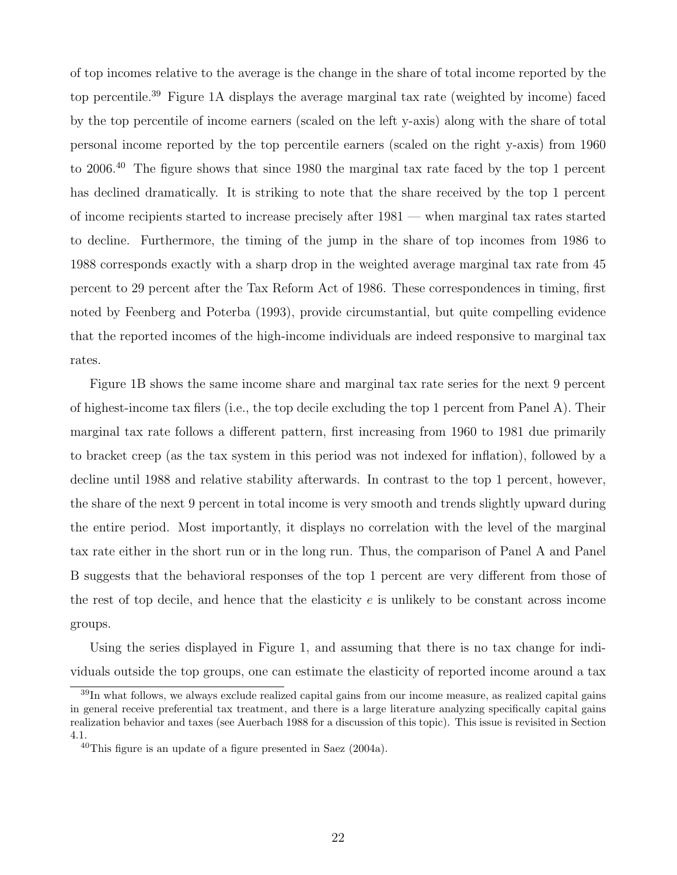of top incomes relative to the average is the change in the share of total income reported by the top percentile.<sup>39</sup> Figure 1A displays the average marginal tax rate (weighted by income) faced by the top percentile of income earners (scaled on the left y-axis) along with the share of total personal income reported by the top percentile earners (scaled on the right y-axis) from 1960 to 2006.<sup>40</sup> The figure shows that since 1980 the marginal tax rate faced by the top 1 percent has declined dramatically. It is striking to note that the share received by the top 1 percent of income recipients started to increase precisely after 1981 — when marginal tax rates started to decline. Furthermore, the timing of the jump in the share of top incomes from 1986 to 1988 corresponds exactly with a sharp drop in the weighted average marginal tax rate from 45 percent to 29 percent after the Tax Reform Act of 1986. These correspondences in timing, first noted by Feenberg and Poterba (1993), provide circumstantial, but quite compelling evidence that the reported incomes of the high-income individuals are indeed responsive to marginal tax rates.

Figure 1B shows the same income share and marginal tax rate series for the next 9 percent of highest-income tax filers (i.e., the top decile excluding the top 1 percent from Panel A). Their marginal tax rate follows a different pattern, first increasing from 1960 to 1981 due primarily to bracket creep (as the tax system in this period was not indexed for inflation), followed by a decline until 1988 and relative stability afterwards. In contrast to the top 1 percent, however, the share of the next 9 percent in total income is very smooth and trends slightly upward during the entire period. Most importantly, it displays no correlation with the level of the marginal tax rate either in the short run or in the long run. Thus, the comparison of Panel A and Panel B suggests that the behavioral responses of the top 1 percent are very different from those of the rest of top decile, and hence that the elasticity  $e$  is unlikely to be constant across income groups.

Using the series displayed in Figure 1, and assuming that there is no tax change for individuals outside the top groups, one can estimate the elasticity of reported income around a tax

<sup>39</sup>In what follows, we always exclude realized capital gains from our income measure, as realized capital gains in general receive preferential tax treatment, and there is a large literature analyzing specifically capital gains realization behavior and taxes (see Auerbach 1988 for a discussion of this topic). This issue is revisited in Section 4.1.

<sup>40</sup>This figure is an update of a figure presented in Saez (2004a).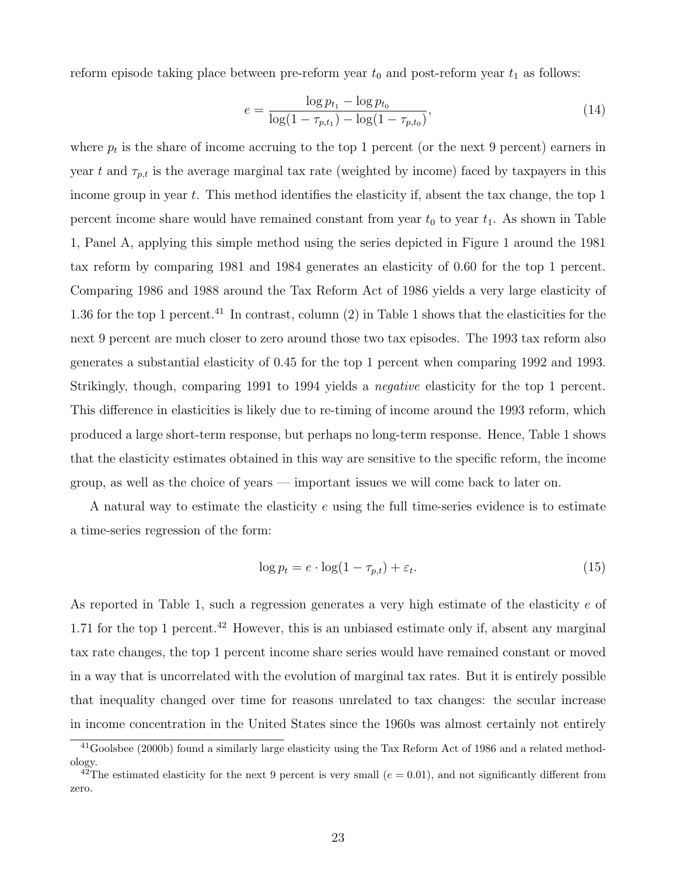reform episode taking place between pre-reform year  $t_0$  and post-reform year  $t_1$  as follows:

$$
e = \frac{\log p_{t_1} - \log p_{t_0}}{\log(1 - \tau_{p, t_1}) - \log(1 - \tau_{p, t_0})},\tag{14}
$$

where  $p_t$  is the share of income accruing to the top 1 percent (or the next 9 percent) earners in year t and  $\tau_{p,t}$  is the average marginal tax rate (weighted by income) faced by taxpayers in this income group in year t. This method identifies the elasticity if, absent the tax change, the top 1 percent income share would have remained constant from year  $t_0$  to year  $t_1$ . As shown in Table 1, Panel A, applying this simple method using the series depicted in Figure 1 around the 1981 tax reform by comparing 1981 and 1984 generates an elasticity of 0.60 for the top 1 percent. Comparing 1986 and 1988 around the Tax Reform Act of 1986 yields a very large elasticity of 1.36 for the top 1 percent.<sup>41</sup> In contrast, column  $(2)$  in Table 1 shows that the elasticities for the next 9 percent are much closer to zero around those two tax episodes. The 1993 tax reform also generates a substantial elasticity of 0.45 for the top 1 percent when comparing 1992 and 1993. Strikingly, though, comparing 1991 to 1994 yields a negative elasticity for the top 1 percent. This difference in elasticities is likely due to re-timing of income around the 1993 reform, which produced a large short-term response, but perhaps no long-term response. Hence, Table 1 shows that the elasticity estimates obtained in this way are sensitive to the specific reform, the income group, as well as the choice of years — important issues we will come back to later on.

A natural way to estimate the elasticity e using the full time-series evidence is to estimate a time-series regression of the form:

$$
\log p_t = e \cdot \log(1 - \tau_{p,t}) + \varepsilon_t. \tag{15}
$$

As reported in Table 1, such a regression generates a very high estimate of the elasticity e of 1.71 for the top 1 percent.<sup>42</sup> However, this is an unbiased estimate only if, absent any marginal tax rate changes, the top 1 percent income share series would have remained constant or moved in a way that is uncorrelated with the evolution of marginal tax rates. But it is entirely possible that inequality changed over time for reasons unrelated to tax changes: the secular increase in income concentration in the United States since the 1960s was almost certainly not entirely

<sup>41</sup>Goolsbee (2000b) found a similarly large elasticity using the Tax Reform Act of 1986 and a related methodology.

<sup>&</sup>lt;sup>42</sup>The estimated elasticity for the next 9 percent is very small ( $e = 0.01$ ), and not significantly different from zero.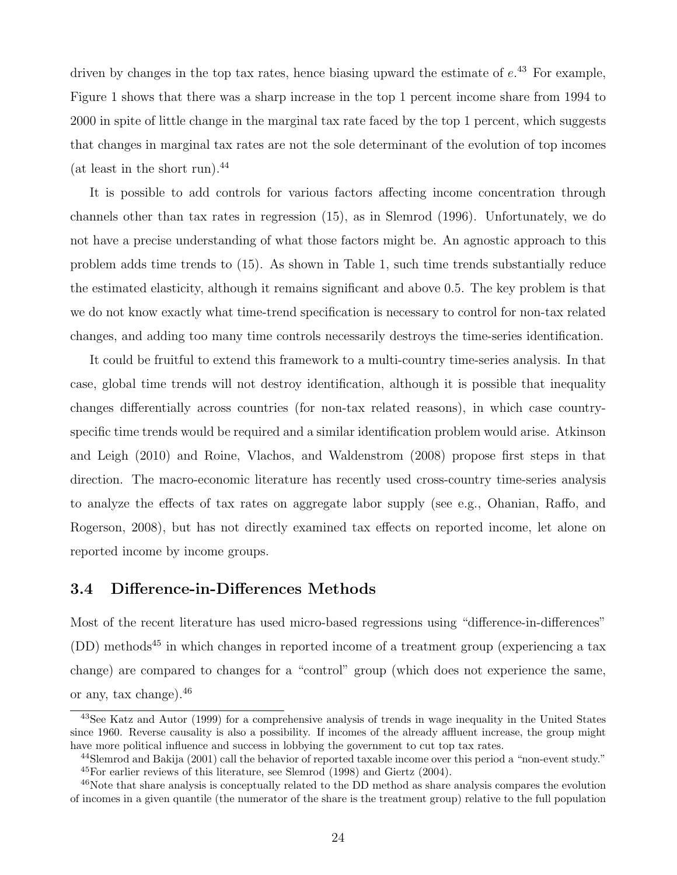driven by changes in the top tax rates, hence biasing upward the estimate of  $e^{.43}$  For example, Figure 1 shows that there was a sharp increase in the top 1 percent income share from 1994 to 2000 in spite of little change in the marginal tax rate faced by the top 1 percent, which suggests that changes in marginal tax rates are not the sole determinant of the evolution of top incomes (at least in the short run).  $44$ 

It is possible to add controls for various factors affecting income concentration through channels other than tax rates in regression (15), as in Slemrod (1996). Unfortunately, we do not have a precise understanding of what those factors might be. An agnostic approach to this problem adds time trends to (15). As shown in Table 1, such time trends substantially reduce the estimated elasticity, although it remains significant and above 0.5. The key problem is that we do not know exactly what time-trend specification is necessary to control for non-tax related changes, and adding too many time controls necessarily destroys the time-series identification.

It could be fruitful to extend this framework to a multi-country time-series analysis. In that case, global time trends will not destroy identification, although it is possible that inequality changes differentially across countries (for non-tax related reasons), in which case countryspecific time trends would be required and a similar identification problem would arise. Atkinson and Leigh (2010) and Roine, Vlachos, and Waldenstrom (2008) propose first steps in that direction. The macro-economic literature has recently used cross-country time-series analysis to analyze the effects of tax rates on aggregate labor supply (see e.g., Ohanian, Raffo, and Rogerson, 2008), but has not directly examined tax effects on reported income, let alone on reported income by income groups.

## 3.4 Difference-in-Differences Methods

Most of the recent literature has used micro-based regressions using "difference-in-differences"  $(DD)$  methods<sup>45</sup> in which changes in reported income of a treatment group (experiencing a tax change) are compared to changes for a "control" group (which does not experience the same, or any, tax change).<sup>46</sup>

<sup>43</sup>See Katz and Autor (1999) for a comprehensive analysis of trends in wage inequality in the United States since 1960. Reverse causality is also a possibility. If incomes of the already affluent increase, the group might have more political influence and success in lobbying the government to cut top tax rates.

<sup>44</sup>Slemrod and Bakija (2001) call the behavior of reported taxable income over this period a "non-event study." <sup>45</sup>For earlier reviews of this literature, see Slemrod (1998) and Giertz (2004).

<sup>46</sup>Note that share analysis is conceptually related to the DD method as share analysis compares the evolution of incomes in a given quantile (the numerator of the share is the treatment group) relative to the full population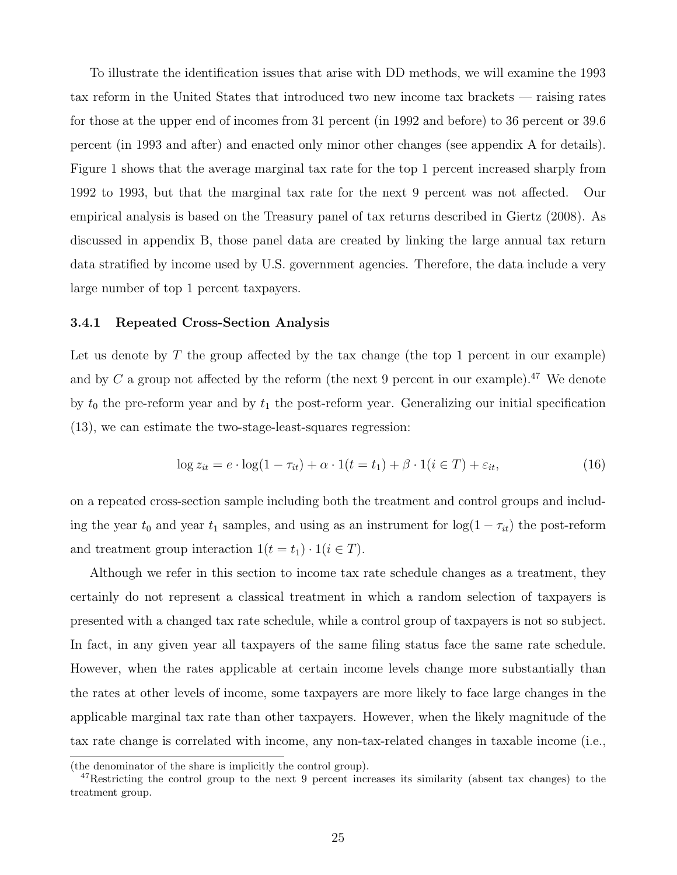To illustrate the identification issues that arise with DD methods, we will examine the 1993 tax reform in the United States that introduced two new income tax brackets — raising rates for those at the upper end of incomes from 31 percent (in 1992 and before) to 36 percent or 39.6 percent (in 1993 and after) and enacted only minor other changes (see appendix A for details). Figure 1 shows that the average marginal tax rate for the top 1 percent increased sharply from 1992 to 1993, but that the marginal tax rate for the next 9 percent was not affected. Our empirical analysis is based on the Treasury panel of tax returns described in Giertz (2008). As discussed in appendix B, those panel data are created by linking the large annual tax return data stratified by income used by U.S. government agencies. Therefore, the data include a very large number of top 1 percent taxpayers.

#### 3.4.1 Repeated Cross-Section Analysis

Let us denote by  $T$  the group affected by the tax change (the top 1 percent in our example) and by  $C$  a group not affected by the reform (the next 9 percent in our example).<sup>47</sup> We denote by  $t_0$  the pre-reform year and by  $t_1$  the post-reform year. Generalizing our initial specification (13), we can estimate the two-stage-least-squares regression:

$$
\log z_{it} = e \cdot \log(1 - \tau_{it}) + \alpha \cdot 1(t = t_1) + \beta \cdot 1(i \in T) + \varepsilon_{it},\tag{16}
$$

on a repeated cross-section sample including both the treatment and control groups and including the year  $t_0$  and year  $t_1$  samples, and using as an instrument for  $log(1 - \tau_{it})$  the post-reform and treatment group interaction  $1(t = t_1) \cdot 1(i \in T)$ .

Although we refer in this section to income tax rate schedule changes as a treatment, they certainly do not represent a classical treatment in which a random selection of taxpayers is presented with a changed tax rate schedule, while a control group of taxpayers is not so subject. In fact, in any given year all taxpayers of the same filing status face the same rate schedule. However, when the rates applicable at certain income levels change more substantially than the rates at other levels of income, some taxpayers are more likely to face large changes in the applicable marginal tax rate than other taxpayers. However, when the likely magnitude of the tax rate change is correlated with income, any non-tax-related changes in taxable income (i.e.,

<sup>(</sup>the denominator of the share is implicitly the control group).

<sup>&</sup>lt;sup>47</sup>Restricting the control group to the next 9 percent increases its similarity (absent tax changes) to the treatment group.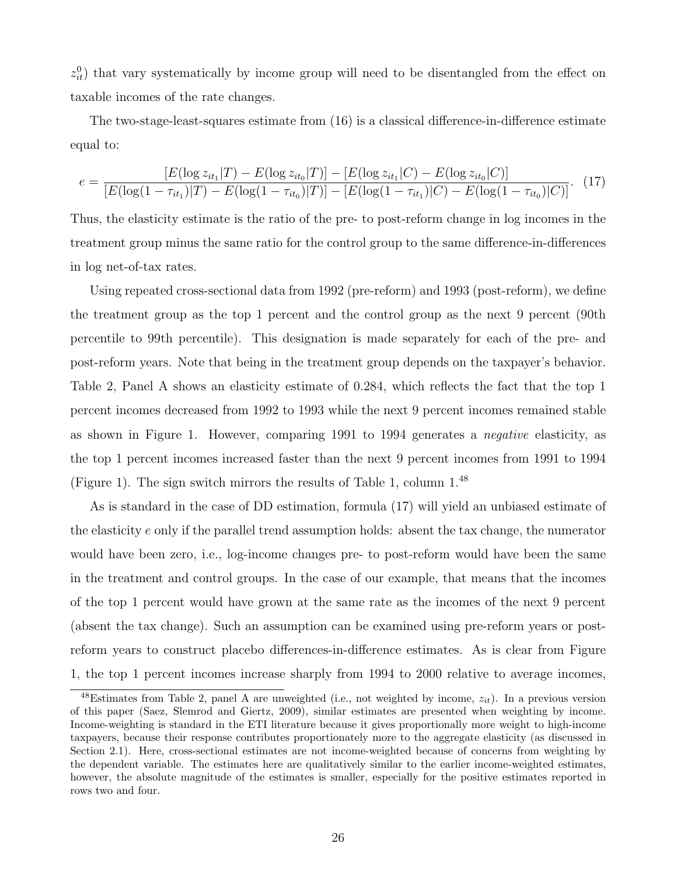$z_{it}^0$ ) that vary systematically by income group will need to be disentangled from the effect on taxable incomes of the rate changes.

The two-stage-least-squares estimate from (16) is a classical difference-in-difference estimate equal to:

$$
e = \frac{[E(\log z_{it_1}|T) - E(\log z_{it_0}|T)] - [E(\log z_{it_1}|C) - E(\log z_{it_0}|C)]}{[E(\log(1 - \tau_{it_1})|T) - E(\log(1 - \tau_{it_0})|T)] - [E(\log(1 - \tau_{it_1})|C) - E(\log(1 - \tau_{it_0})|C)]}.
$$
(17)

Thus, the elasticity estimate is the ratio of the pre- to post-reform change in log incomes in the treatment group minus the same ratio for the control group to the same difference-in-differences in log net-of-tax rates.

Using repeated cross-sectional data from 1992 (pre-reform) and 1993 (post-reform), we define the treatment group as the top 1 percent and the control group as the next 9 percent (90th percentile to 99th percentile). This designation is made separately for each of the pre- and post-reform years. Note that being in the treatment group depends on the taxpayer's behavior. Table 2, Panel A shows an elasticity estimate of 0.284, which reflects the fact that the top 1 percent incomes decreased from 1992 to 1993 while the next 9 percent incomes remained stable as shown in Figure 1. However, comparing 1991 to 1994 generates a negative elasticity, as the top 1 percent incomes increased faster than the next 9 percent incomes from 1991 to 1994 (Figure 1). The sign switch mirrors the results of Table 1, column 1.<sup>48</sup>

As is standard in the case of DD estimation, formula (17) will yield an unbiased estimate of the elasticity e only if the parallel trend assumption holds: absent the tax change, the numerator would have been zero, i.e., log-income changes pre- to post-reform would have been the same in the treatment and control groups. In the case of our example, that means that the incomes of the top 1 percent would have grown at the same rate as the incomes of the next 9 percent (absent the tax change). Such an assumption can be examined using pre-reform years or postreform years to construct placebo differences-in-difference estimates. As is clear from Figure 1, the top 1 percent incomes increase sharply from 1994 to 2000 relative to average incomes,

<sup>&</sup>lt;sup>48</sup>Estimates from Table 2, panel A are unweighted (i.e., not weighted by income,  $z_{it}$ ). In a previous version of this paper (Saez, Slemrod and Giertz, 2009), similar estimates are presented when weighting by income. Income-weighting is standard in the ETI literature because it gives proportionally more weight to high-income taxpayers, because their response contributes proportionately more to the aggregate elasticity (as discussed in Section 2.1). Here, cross-sectional estimates are not income-weighted because of concerns from weighting by the dependent variable. The estimates here are qualitatively similar to the earlier income-weighted estimates, however, the absolute magnitude of the estimates is smaller, especially for the positive estimates reported in rows two and four.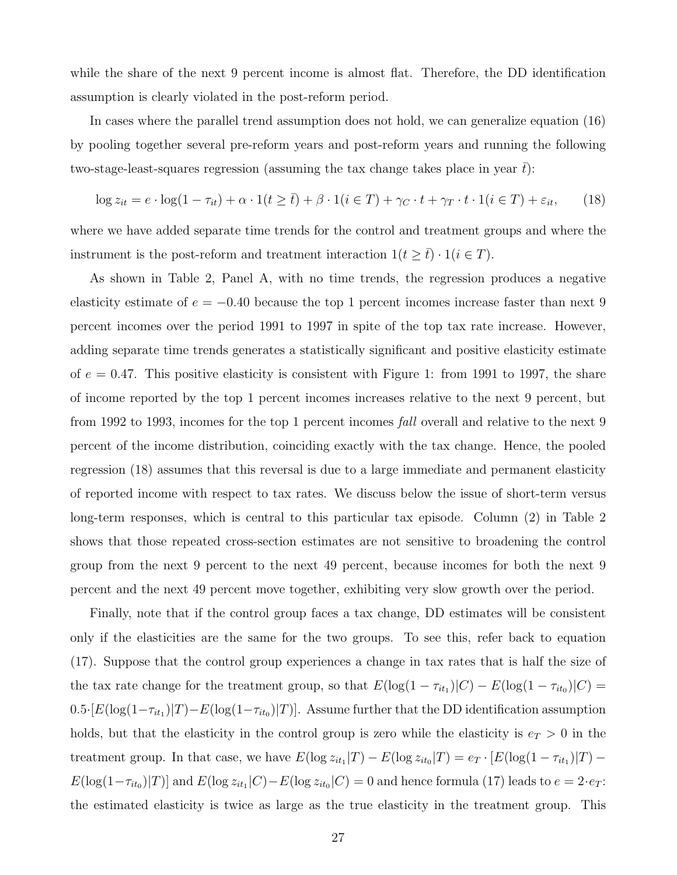while the share of the next 9 percent income is almost flat. Therefore, the DD identification assumption is clearly violated in the post-reform period.

In cases where the parallel trend assumption does not hold, we can generalize equation (16) by pooling together several pre-reform years and post-reform years and running the following two-stage-least-squares regression (assuming the tax change takes place in year  $t$ ):

$$
\log z_{it} = e \cdot \log(1 - \tau_{it}) + \alpha \cdot 1(t \ge \bar{t}) + \beta \cdot 1(i \in T) + \gamma_C \cdot t + \gamma_T \cdot t \cdot 1(i \in T) + \varepsilon_{it}, \qquad (18)
$$

where we have added separate time trends for the control and treatment groups and where the instrument is the post-reform and treatment interaction  $1(t \geq \overline{t}) \cdot 1(i \in T)$ .

As shown in Table 2, Panel A, with no time trends, the regression produces a negative elasticity estimate of  $e = -0.40$  because the top 1 percent incomes increase faster than next 9 percent incomes over the period 1991 to 1997 in spite of the top tax rate increase. However, adding separate time trends generates a statistically significant and positive elasticity estimate of  $e = 0.47$ . This positive elasticity is consistent with Figure 1: from 1991 to 1997, the share of income reported by the top 1 percent incomes increases relative to the next 9 percent, but from 1992 to 1993, incomes for the top 1 percent incomes fall overall and relative to the next 9 percent of the income distribution, coinciding exactly with the tax change. Hence, the pooled regression (18) assumes that this reversal is due to a large immediate and permanent elasticity of reported income with respect to tax rates. We discuss below the issue of short-term versus long-term responses, which is central to this particular tax episode. Column (2) in Table 2 shows that those repeated cross-section estimates are not sensitive to broadening the control group from the next 9 percent to the next 49 percent, because incomes for both the next 9 percent and the next 49 percent move together, exhibiting very slow growth over the period.

Finally, note that if the control group faces a tax change, DD estimates will be consistent only if the elasticities are the same for the two groups. To see this, refer back to equation (17). Suppose that the control group experiences a change in tax rates that is half the size of the tax rate change for the treatment group, so that  $E(\log(1 - \tau_{it_1})|C) - E(\log(1 - \tau_{it_0})|C) =$  $0.5\cdot [E(\log(1-\tau_{it_1})|T)-E(\log(1-\tau_{it_0})|T)].$  Assume further that the DD identification assumption holds, but that the elasticity in the control group is zero while the elasticity is  $e_T > 0$  in the treatment group. In that case, we have  $E(\log z_{it_1}|T) - E(\log z_{it_0}|T) = e_T \cdot [E(\log(1 - \tau_{it_1})|T) E(\log(1-\tau_{it_0})|T)]$  and  $E(\log z_{it_1}|C) - E(\log z_{it_0}|C) = 0$  and hence formula (17) leads to  $e = 2 \cdot e_T$ : the estimated elasticity is twice as large as the true elasticity in the treatment group. This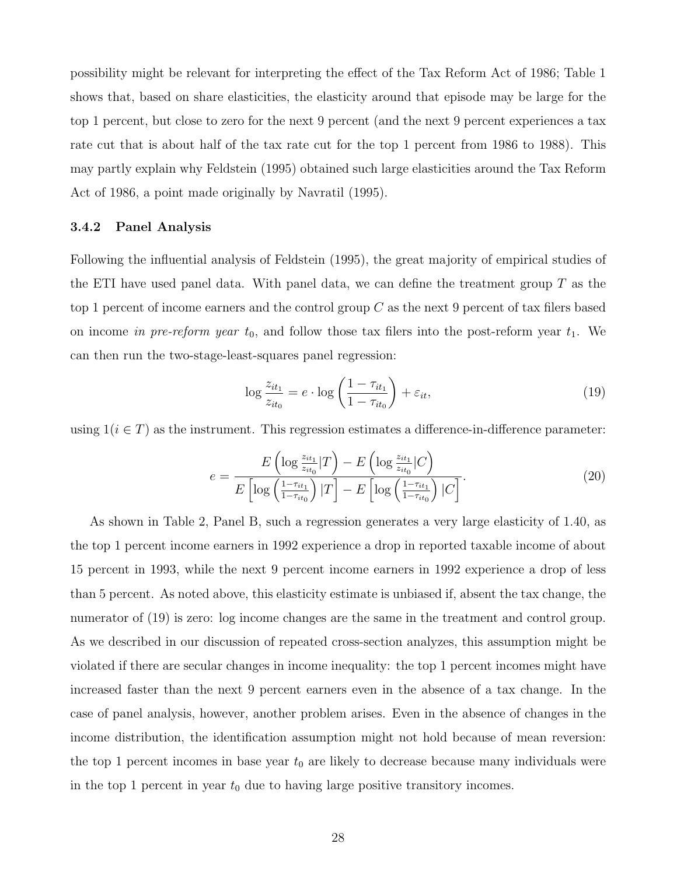possibility might be relevant for interpreting the effect of the Tax Reform Act of 1986; Table 1 shows that, based on share elasticities, the elasticity around that episode may be large for the top 1 percent, but close to zero for the next 9 percent (and the next 9 percent experiences a tax rate cut that is about half of the tax rate cut for the top 1 percent from 1986 to 1988). This may partly explain why Feldstein (1995) obtained such large elasticities around the Tax Reform Act of 1986, a point made originally by Navratil (1995).

#### 3.4.2 Panel Analysis

Following the influential analysis of Feldstein (1995), the great majority of empirical studies of the ETI have used panel data. With panel data, we can define the treatment group  $T$  as the top 1 percent of income earners and the control group  $C$  as the next 9 percent of tax filers based on income in pre-reform year  $t_0$ , and follow those tax filers into the post-reform year  $t_1$ . We can then run the two-stage-least-squares panel regression:

$$
\log \frac{z_{it_1}}{z_{it_0}} = e \cdot \log \left( \frac{1 - \tau_{it_1}}{1 - \tau_{it_0}} \right) + \varepsilon_{it},\tag{19}
$$

using  $1(i \in T)$  as the instrument. This regression estimates a difference-in-difference parameter:

$$
e = \frac{E\left(\log \frac{z_{it_1}}{z_{it_0}}|T\right) - E\left(\log \frac{z_{it_1}}{z_{it_0}}|C\right)}{E\left[\log \left(\frac{1-\tau_{it_1}}{1-\tau_{it_0}}\right)|T\right] - E\left[\log \left(\frac{1-\tau_{it_1}}{1-\tau_{it_0}}\right)|C\right]}.
$$
\n(20)

As shown in Table 2, Panel B, such a regression generates a very large elasticity of 1.40, as the top 1 percent income earners in 1992 experience a drop in reported taxable income of about 15 percent in 1993, while the next 9 percent income earners in 1992 experience a drop of less than 5 percent. As noted above, this elasticity estimate is unbiased if, absent the tax change, the numerator of  $(19)$  is zero: log income changes are the same in the treatment and control group. As we described in our discussion of repeated cross-section analyzes, this assumption might be violated if there are secular changes in income inequality: the top 1 percent incomes might have increased faster than the next 9 percent earners even in the absence of a tax change. In the case of panel analysis, however, another problem arises. Even in the absence of changes in the income distribution, the identification assumption might not hold because of mean reversion: the top 1 percent incomes in base year  $t_0$  are likely to decrease because many individuals were in the top 1 percent in year  $t_0$  due to having large positive transitory incomes.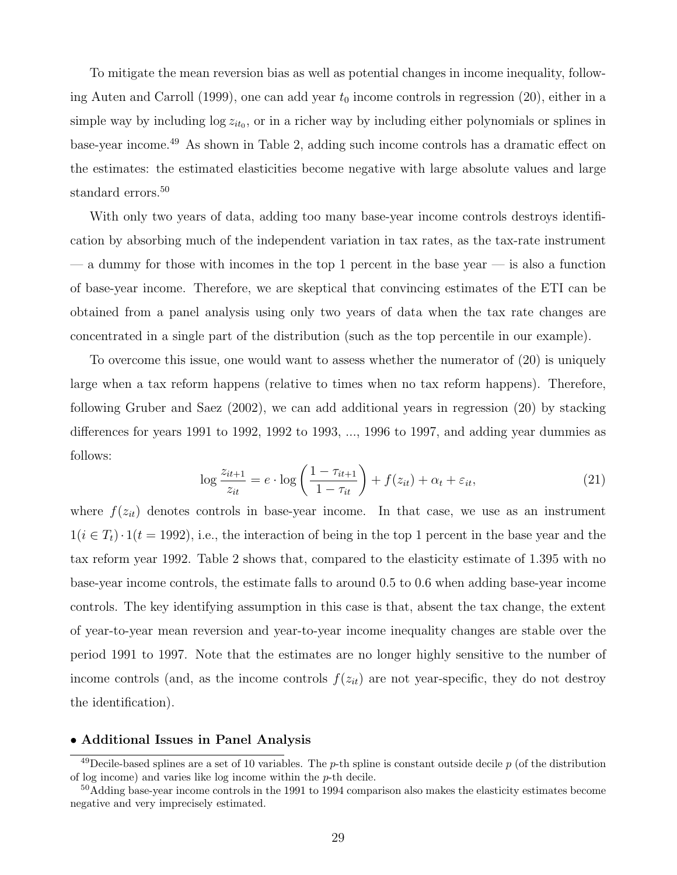To mitigate the mean reversion bias as well as potential changes in income inequality, following Auten and Carroll (1999), one can add year  $t_0$  income controls in regression (20), either in a simple way by including  $log z_{it_0}$ , or in a richer way by including either polynomials or splines in base-year income.<sup>49</sup> As shown in Table 2, adding such income controls has a dramatic effect on the estimates: the estimated elasticities become negative with large absolute values and large standard errors.<sup>50</sup>

With only two years of data, adding too many base-year income controls destroys identification by absorbing much of the independent variation in tax rates, as the tax-rate instrument — a dummy for those with incomes in the top 1 percent in the base year — is also a function of base-year income. Therefore, we are skeptical that convincing estimates of the ETI can be obtained from a panel analysis using only two years of data when the tax rate changes are concentrated in a single part of the distribution (such as the top percentile in our example).

To overcome this issue, one would want to assess whether the numerator of (20) is uniquely large when a tax reform happens (relative to times when no tax reform happens). Therefore, following Gruber and Saez (2002), we can add additional years in regression (20) by stacking differences for years 1991 to 1992, 1992 to 1993, ..., 1996 to 1997, and adding year dummies as follows:

$$
\log \frac{z_{it+1}}{z_{it}} = e \cdot \log \left( \frac{1 - \tau_{it+1}}{1 - \tau_{it}} \right) + f(z_{it}) + \alpha_t + \varepsilon_{it}, \tag{21}
$$

where  $f(z_{it})$  denotes controls in base-year income. In that case, we use as an instrument  $1(i \in T_t) \cdot 1(t = 1992)$ , i.e., the interaction of being in the top 1 percent in the base year and the tax reform year 1992. Table 2 shows that, compared to the elasticity estimate of 1.395 with no base-year income controls, the estimate falls to around 0.5 to 0.6 when adding base-year income controls. The key identifying assumption in this case is that, absent the tax change, the extent of year-to-year mean reversion and year-to-year income inequality changes are stable over the period 1991 to 1997. Note that the estimates are no longer highly sensitive to the number of income controls (and, as the income controls  $f(z_{it})$  are not year-specific, they do not destroy the identification).

#### • Additional Issues in Panel Analysis

<sup>&</sup>lt;sup>49</sup>Decile-based splines are a set of 10 variables. The p-th spline is constant outside decile p (of the distribution of log income) and varies like log income within the p-th decile.

<sup>&</sup>lt;sup>50</sup>Adding base-year income controls in the 1991 to 1994 comparison also makes the elasticity estimates become negative and very imprecisely estimated.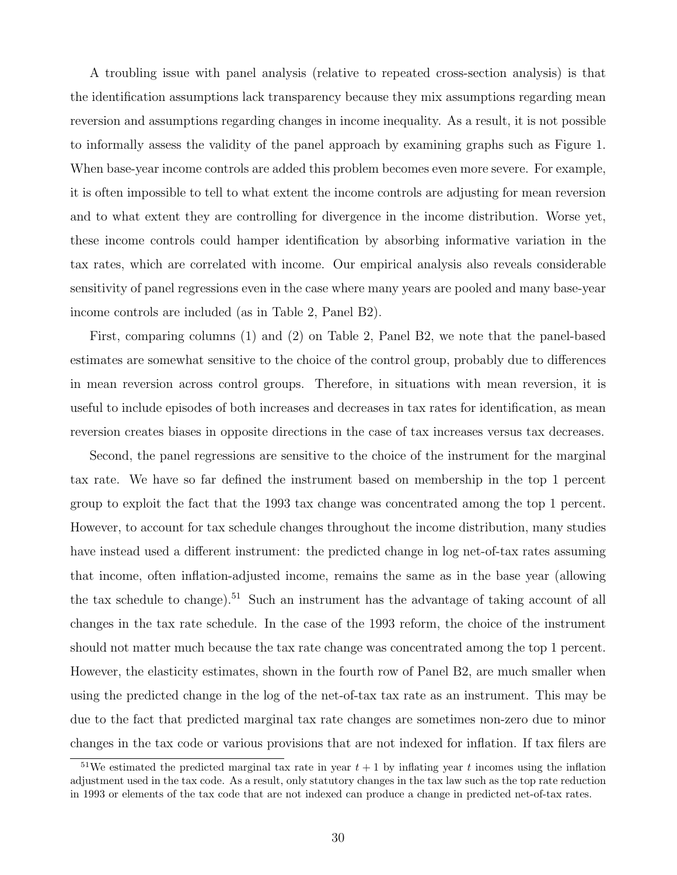A troubling issue with panel analysis (relative to repeated cross-section analysis) is that the identification assumptions lack transparency because they mix assumptions regarding mean reversion and assumptions regarding changes in income inequality. As a result, it is not possible to informally assess the validity of the panel approach by examining graphs such as Figure 1. When base-year income controls are added this problem becomes even more severe. For example, it is often impossible to tell to what extent the income controls are adjusting for mean reversion and to what extent they are controlling for divergence in the income distribution. Worse yet, these income controls could hamper identification by absorbing informative variation in the tax rates, which are correlated with income. Our empirical analysis also reveals considerable sensitivity of panel regressions even in the case where many years are pooled and many base-year income controls are included (as in Table 2, Panel B2).

First, comparing columns (1) and (2) on Table 2, Panel B2, we note that the panel-based estimates are somewhat sensitive to the choice of the control group, probably due to differences in mean reversion across control groups. Therefore, in situations with mean reversion, it is useful to include episodes of both increases and decreases in tax rates for identification, as mean reversion creates biases in opposite directions in the case of tax increases versus tax decreases.

Second, the panel regressions are sensitive to the choice of the instrument for the marginal tax rate. We have so far defined the instrument based on membership in the top 1 percent group to exploit the fact that the 1993 tax change was concentrated among the top 1 percent. However, to account for tax schedule changes throughout the income distribution, many studies have instead used a different instrument: the predicted change in log net-of-tax rates assuming that income, often inflation-adjusted income, remains the same as in the base year (allowing the tax schedule to change).<sup>51</sup> Such an instrument has the advantage of taking account of all changes in the tax rate schedule. In the case of the 1993 reform, the choice of the instrument should not matter much because the tax rate change was concentrated among the top 1 percent. However, the elasticity estimates, shown in the fourth row of Panel B2, are much smaller when using the predicted change in the log of the net-of-tax tax rate as an instrument. This may be due to the fact that predicted marginal tax rate changes are sometimes non-zero due to minor changes in the tax code or various provisions that are not indexed for inflation. If tax filers are

<sup>&</sup>lt;sup>51</sup>We estimated the predicted marginal tax rate in year  $t + 1$  by inflating year t incomes using the inflation adjustment used in the tax code. As a result, only statutory changes in the tax law such as the top rate reduction in 1993 or elements of the tax code that are not indexed can produce a change in predicted net-of-tax rates.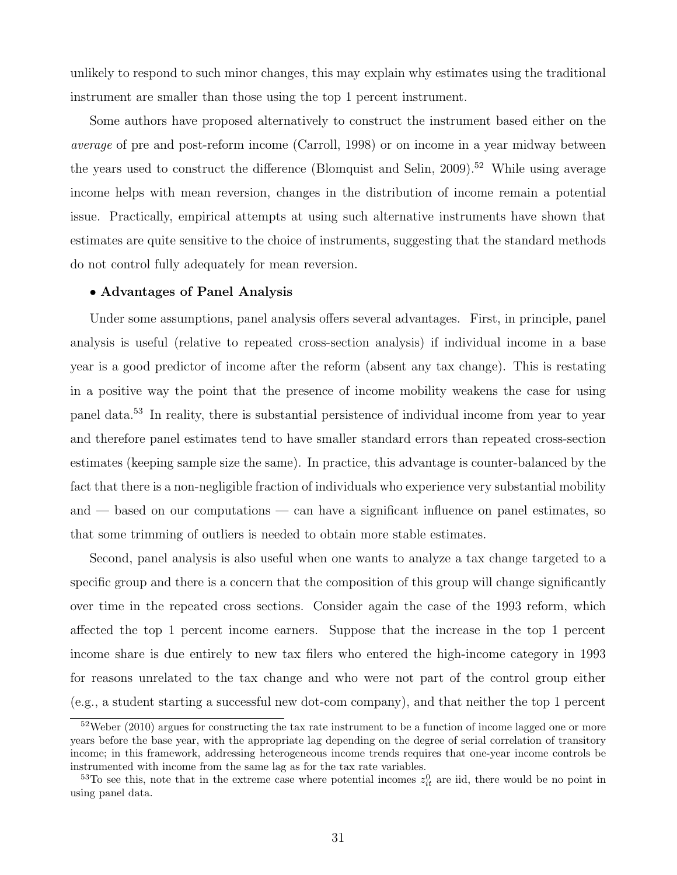unlikely to respond to such minor changes, this may explain why estimates using the traditional instrument are smaller than those using the top 1 percent instrument.

Some authors have proposed alternatively to construct the instrument based either on the average of pre and post-reform income (Carroll, 1998) or on income in a year midway between the years used to construct the difference (Blomquist and Selin,  $2009$ ).<sup>52</sup> While using average income helps with mean reversion, changes in the distribution of income remain a potential issue. Practically, empirical attempts at using such alternative instruments have shown that estimates are quite sensitive to the choice of instruments, suggesting that the standard methods do not control fully adequately for mean reversion.

#### • Advantages of Panel Analysis

Under some assumptions, panel analysis offers several advantages. First, in principle, panel analysis is useful (relative to repeated cross-section analysis) if individual income in a base year is a good predictor of income after the reform (absent any tax change). This is restating in a positive way the point that the presence of income mobility weakens the case for using panel data.<sup>53</sup> In reality, there is substantial persistence of individual income from year to year and therefore panel estimates tend to have smaller standard errors than repeated cross-section estimates (keeping sample size the same). In practice, this advantage is counter-balanced by the fact that there is a non-negligible fraction of individuals who experience very substantial mobility and — based on our computations — can have a significant influence on panel estimates, so that some trimming of outliers is needed to obtain more stable estimates.

Second, panel analysis is also useful when one wants to analyze a tax change targeted to a specific group and there is a concern that the composition of this group will change significantly over time in the repeated cross sections. Consider again the case of the 1993 reform, which affected the top 1 percent income earners. Suppose that the increase in the top 1 percent income share is due entirely to new tax filers who entered the high-income category in 1993 for reasons unrelated to the tax change and who were not part of the control group either (e.g., a student starting a successful new dot-com company), and that neither the top 1 percent

<sup>52</sup>Weber (2010) argues for constructing the tax rate instrument to be a function of income lagged one or more years before the base year, with the appropriate lag depending on the degree of serial correlation of transitory income; in this framework, addressing heterogeneous income trends requires that one-year income controls be instrumented with income from the same lag as for the tax rate variables.

<sup>&</sup>lt;sup>53</sup>To see this, note that in the extreme case where potential incomes  $z_{it}^0$  are iid, there would be no point in using panel data.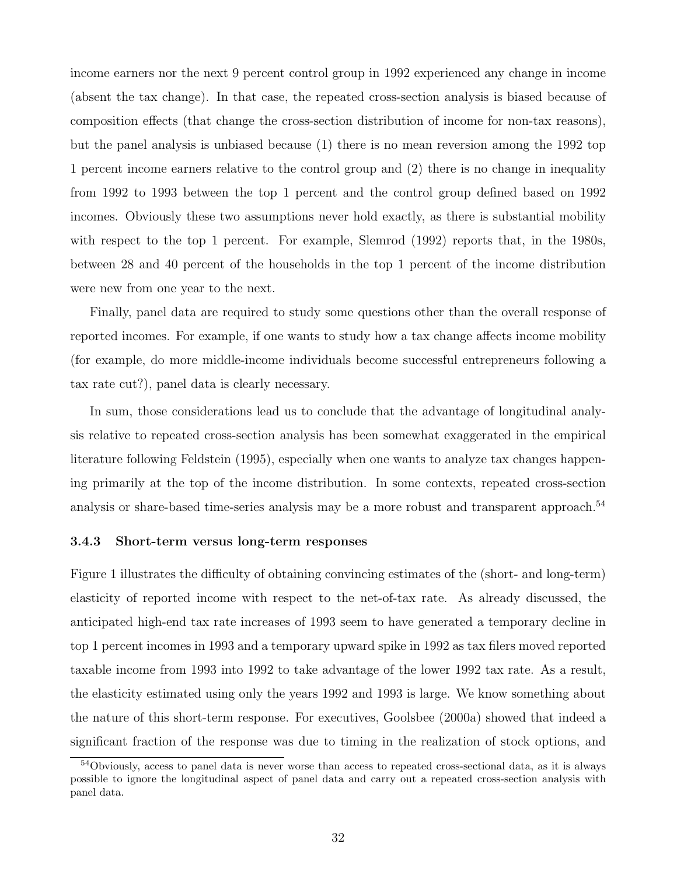income earners nor the next 9 percent control group in 1992 experienced any change in income (absent the tax change). In that case, the repeated cross-section analysis is biased because of composition effects (that change the cross-section distribution of income for non-tax reasons), but the panel analysis is unbiased because (1) there is no mean reversion among the 1992 top 1 percent income earners relative to the control group and (2) there is no change in inequality from 1992 to 1993 between the top 1 percent and the control group defined based on 1992 incomes. Obviously these two assumptions never hold exactly, as there is substantial mobility with respect to the top 1 percent. For example, Slemrod (1992) reports that, in the 1980s, between 28 and 40 percent of the households in the top 1 percent of the income distribution were new from one year to the next.

Finally, panel data are required to study some questions other than the overall response of reported incomes. For example, if one wants to study how a tax change affects income mobility (for example, do more middle-income individuals become successful entrepreneurs following a tax rate cut?), panel data is clearly necessary.

In sum, those considerations lead us to conclude that the advantage of longitudinal analysis relative to repeated cross-section analysis has been somewhat exaggerated in the empirical literature following Feldstein (1995), especially when one wants to analyze tax changes happening primarily at the top of the income distribution. In some contexts, repeated cross-section analysis or share-based time-series analysis may be a more robust and transparent approach.<sup>54</sup>

#### 3.4.3 Short-term versus long-term responses

Figure 1 illustrates the difficulty of obtaining convincing estimates of the (short- and long-term) elasticity of reported income with respect to the net-of-tax rate. As already discussed, the anticipated high-end tax rate increases of 1993 seem to have generated a temporary decline in top 1 percent incomes in 1993 and a temporary upward spike in 1992 as tax filers moved reported taxable income from 1993 into 1992 to take advantage of the lower 1992 tax rate. As a result, the elasticity estimated using only the years 1992 and 1993 is large. We know something about the nature of this short-term response. For executives, Goolsbee (2000a) showed that indeed a significant fraction of the response was due to timing in the realization of stock options, and

<sup>54</sup>Obviously, access to panel data is never worse than access to repeated cross-sectional data, as it is always possible to ignore the longitudinal aspect of panel data and carry out a repeated cross-section analysis with panel data.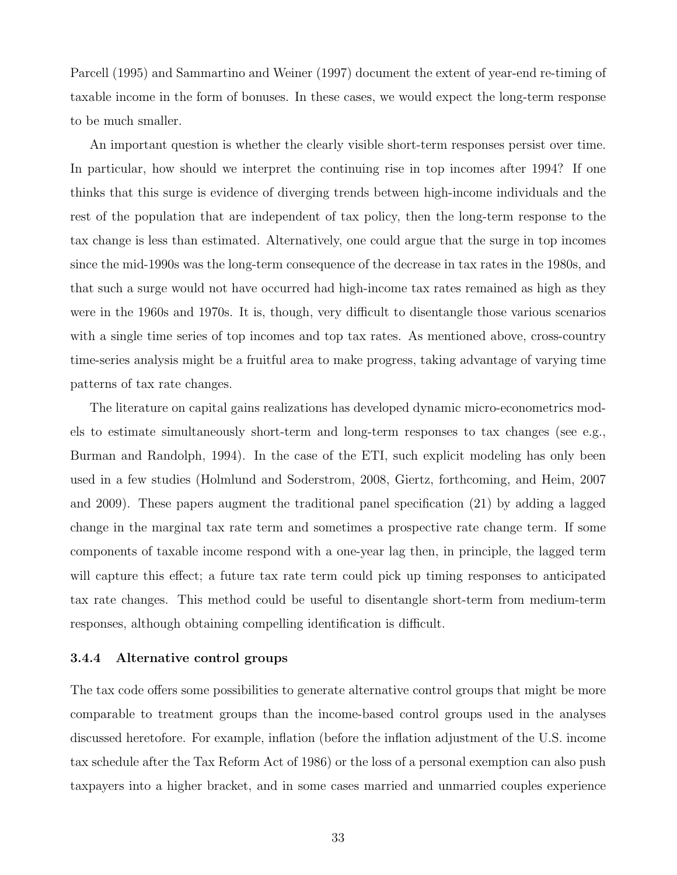Parcell (1995) and Sammartino and Weiner (1997) document the extent of year-end re-timing of taxable income in the form of bonuses. In these cases, we would expect the long-term response to be much smaller.

An important question is whether the clearly visible short-term responses persist over time. In particular, how should we interpret the continuing rise in top incomes after 1994? If one thinks that this surge is evidence of diverging trends between high-income individuals and the rest of the population that are independent of tax policy, then the long-term response to the tax change is less than estimated. Alternatively, one could argue that the surge in top incomes since the mid-1990s was the long-term consequence of the decrease in tax rates in the 1980s, and that such a surge would not have occurred had high-income tax rates remained as high as they were in the 1960s and 1970s. It is, though, very difficult to disentangle those various scenarios with a single time series of top incomes and top tax rates. As mentioned above, cross-country time-series analysis might be a fruitful area to make progress, taking advantage of varying time patterns of tax rate changes.

The literature on capital gains realizations has developed dynamic micro-econometrics models to estimate simultaneously short-term and long-term responses to tax changes (see e.g., Burman and Randolph, 1994). In the case of the ETI, such explicit modeling has only been used in a few studies (Holmlund and Soderstrom, 2008, Giertz, forthcoming, and Heim, 2007 and 2009). These papers augment the traditional panel specification (21) by adding a lagged change in the marginal tax rate term and sometimes a prospective rate change term. If some components of taxable income respond with a one-year lag then, in principle, the lagged term will capture this effect; a future tax rate term could pick up timing responses to anticipated tax rate changes. This method could be useful to disentangle short-term from medium-term responses, although obtaining compelling identification is difficult.

#### 3.4.4 Alternative control groups

The tax code offers some possibilities to generate alternative control groups that might be more comparable to treatment groups than the income-based control groups used in the analyses discussed heretofore. For example, inflation (before the inflation adjustment of the U.S. income tax schedule after the Tax Reform Act of 1986) or the loss of a personal exemption can also push taxpayers into a higher bracket, and in some cases married and unmarried couples experience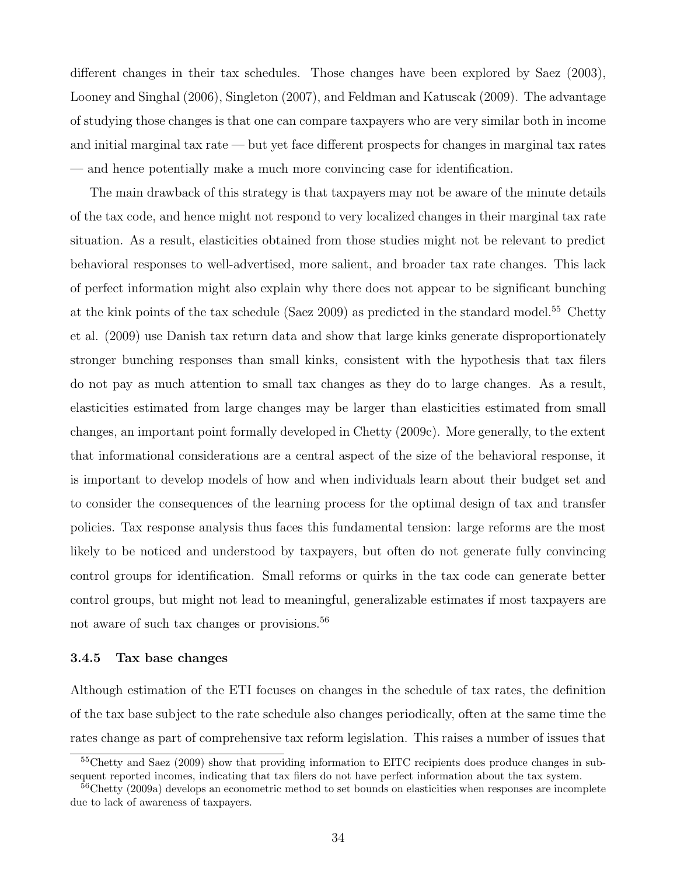different changes in their tax schedules. Those changes have been explored by Saez (2003), Looney and Singhal (2006), Singleton (2007), and Feldman and Katuscak (2009). The advantage of studying those changes is that one can compare taxpayers who are very similar both in income and initial marginal tax rate — but yet face different prospects for changes in marginal tax rates — and hence potentially make a much more convincing case for identification.

The main drawback of this strategy is that taxpayers may not be aware of the minute details of the tax code, and hence might not respond to very localized changes in their marginal tax rate situation. As a result, elasticities obtained from those studies might not be relevant to predict behavioral responses to well-advertised, more salient, and broader tax rate changes. This lack of perfect information might also explain why there does not appear to be significant bunching at the kink points of the tax schedule (Saez  $2009$ ) as predicted in the standard model.<sup>55</sup> Chetty et al. (2009) use Danish tax return data and show that large kinks generate disproportionately stronger bunching responses than small kinks, consistent with the hypothesis that tax filers do not pay as much attention to small tax changes as they do to large changes. As a result, elasticities estimated from large changes may be larger than elasticities estimated from small changes, an important point formally developed in Chetty (2009c). More generally, to the extent that informational considerations are a central aspect of the size of the behavioral response, it is important to develop models of how and when individuals learn about their budget set and to consider the consequences of the learning process for the optimal design of tax and transfer policies. Tax response analysis thus faces this fundamental tension: large reforms are the most likely to be noticed and understood by taxpayers, but often do not generate fully convincing control groups for identification. Small reforms or quirks in the tax code can generate better control groups, but might not lead to meaningful, generalizable estimates if most taxpayers are not aware of such tax changes or provisions.<sup>56</sup>

### 3.4.5 Tax base changes

Although estimation of the ETI focuses on changes in the schedule of tax rates, the definition of the tax base subject to the rate schedule also changes periodically, often at the same time the rates change as part of comprehensive tax reform legislation. This raises a number of issues that

<sup>55</sup>Chetty and Saez (2009) show that providing information to EITC recipients does produce changes in subsequent reported incomes, indicating that tax filers do not have perfect information about the tax system.

<sup>56</sup>Chetty (2009a) develops an econometric method to set bounds on elasticities when responses are incomplete due to lack of awareness of taxpayers.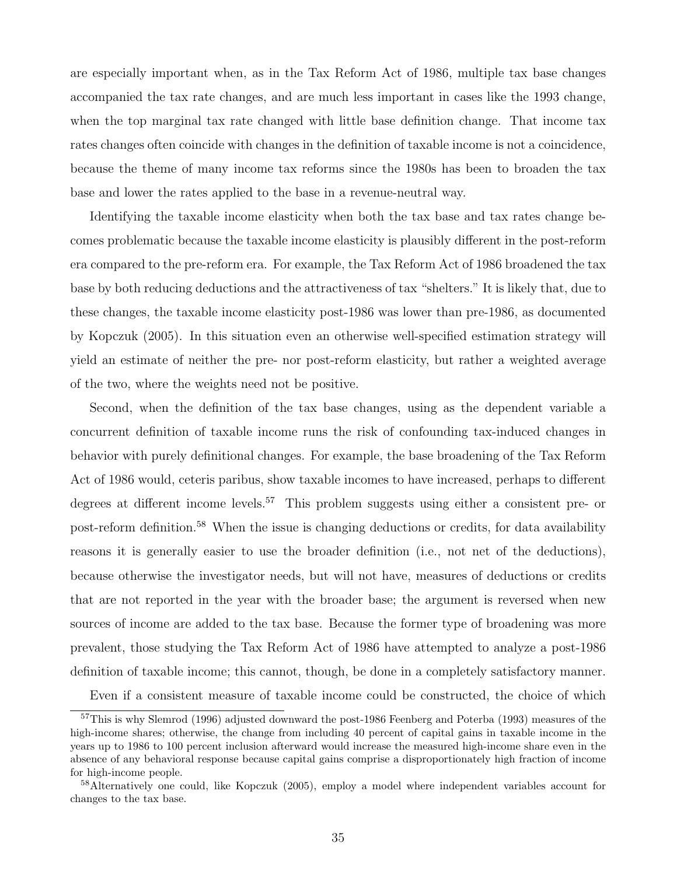are especially important when, as in the Tax Reform Act of 1986, multiple tax base changes accompanied the tax rate changes, and are much less important in cases like the 1993 change, when the top marginal tax rate changed with little base definition change. That income tax rates changes often coincide with changes in the definition of taxable income is not a coincidence, because the theme of many income tax reforms since the 1980s has been to broaden the tax base and lower the rates applied to the base in a revenue-neutral way.

Identifying the taxable income elasticity when both the tax base and tax rates change becomes problematic because the taxable income elasticity is plausibly different in the post-reform era compared to the pre-reform era. For example, the Tax Reform Act of 1986 broadened the tax base by both reducing deductions and the attractiveness of tax "shelters." It is likely that, due to these changes, the taxable income elasticity post-1986 was lower than pre-1986, as documented by Kopczuk (2005). In this situation even an otherwise well-specified estimation strategy will yield an estimate of neither the pre- nor post-reform elasticity, but rather a weighted average of the two, where the weights need not be positive.

Second, when the definition of the tax base changes, using as the dependent variable a concurrent definition of taxable income runs the risk of confounding tax-induced changes in behavior with purely definitional changes. For example, the base broadening of the Tax Reform Act of 1986 would, ceteris paribus, show taxable incomes to have increased, perhaps to different degrees at different income levels.<sup>57</sup> This problem suggests using either a consistent pre- or post-reform definition.<sup>58</sup> When the issue is changing deductions or credits, for data availability reasons it is generally easier to use the broader definition (i.e., not net of the deductions), because otherwise the investigator needs, but will not have, measures of deductions or credits that are not reported in the year with the broader base; the argument is reversed when new sources of income are added to the tax base. Because the former type of broadening was more prevalent, those studying the Tax Reform Act of 1986 have attempted to analyze a post-1986 definition of taxable income; this cannot, though, be done in a completely satisfactory manner.

Even if a consistent measure of taxable income could be constructed, the choice of which

<sup>57</sup>This is why Slemrod (1996) adjusted downward the post-1986 Feenberg and Poterba (1993) measures of the high-income shares; otherwise, the change from including 40 percent of capital gains in taxable income in the years up to 1986 to 100 percent inclusion afterward would increase the measured high-income share even in the absence of any behavioral response because capital gains comprise a disproportionately high fraction of income for high-income people.

<sup>&</sup>lt;sup>58</sup>Alternatively one could, like Kopczuk (2005), employ a model where independent variables account for changes to the tax base.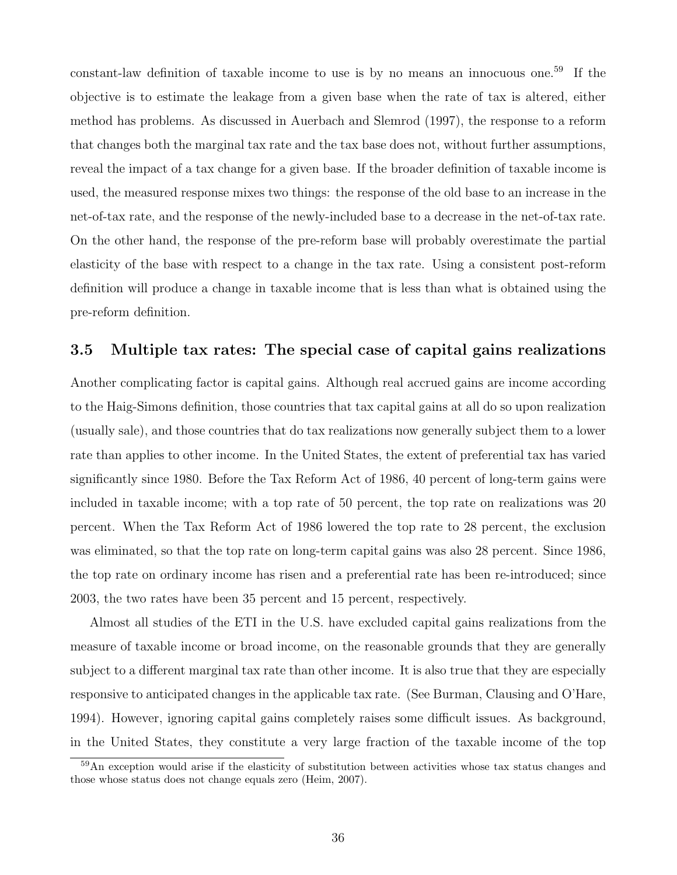constant-law definition of taxable income to use is by no means an innocuous one.<sup>59</sup> If the objective is to estimate the leakage from a given base when the rate of tax is altered, either method has problems. As discussed in Auerbach and Slemrod (1997), the response to a reform that changes both the marginal tax rate and the tax base does not, without further assumptions, reveal the impact of a tax change for a given base. If the broader definition of taxable income is used, the measured response mixes two things: the response of the old base to an increase in the net-of-tax rate, and the response of the newly-included base to a decrease in the net-of-tax rate. On the other hand, the response of the pre-reform base will probably overestimate the partial elasticity of the base with respect to a change in the tax rate. Using a consistent post-reform definition will produce a change in taxable income that is less than what is obtained using the pre-reform definition.

## 3.5 Multiple tax rates: The special case of capital gains realizations

Another complicating factor is capital gains. Although real accrued gains are income according to the Haig-Simons definition, those countries that tax capital gains at all do so upon realization (usually sale), and those countries that do tax realizations now generally subject them to a lower rate than applies to other income. In the United States, the extent of preferential tax has varied significantly since 1980. Before the Tax Reform Act of 1986, 40 percent of long-term gains were included in taxable income; with a top rate of 50 percent, the top rate on realizations was 20 percent. When the Tax Reform Act of 1986 lowered the top rate to 28 percent, the exclusion was eliminated, so that the top rate on long-term capital gains was also 28 percent. Since 1986, the top rate on ordinary income has risen and a preferential rate has been re-introduced; since 2003, the two rates have been 35 percent and 15 percent, respectively.

Almost all studies of the ETI in the U.S. have excluded capital gains realizations from the measure of taxable income or broad income, on the reasonable grounds that they are generally subject to a different marginal tax rate than other income. It is also true that they are especially responsive to anticipated changes in the applicable tax rate. (See Burman, Clausing and O'Hare, 1994). However, ignoring capital gains completely raises some difficult issues. As background, in the United States, they constitute a very large fraction of the taxable income of the top

<sup>59</sup>An exception would arise if the elasticity of substitution between activities whose tax status changes and those whose status does not change equals zero (Heim, 2007).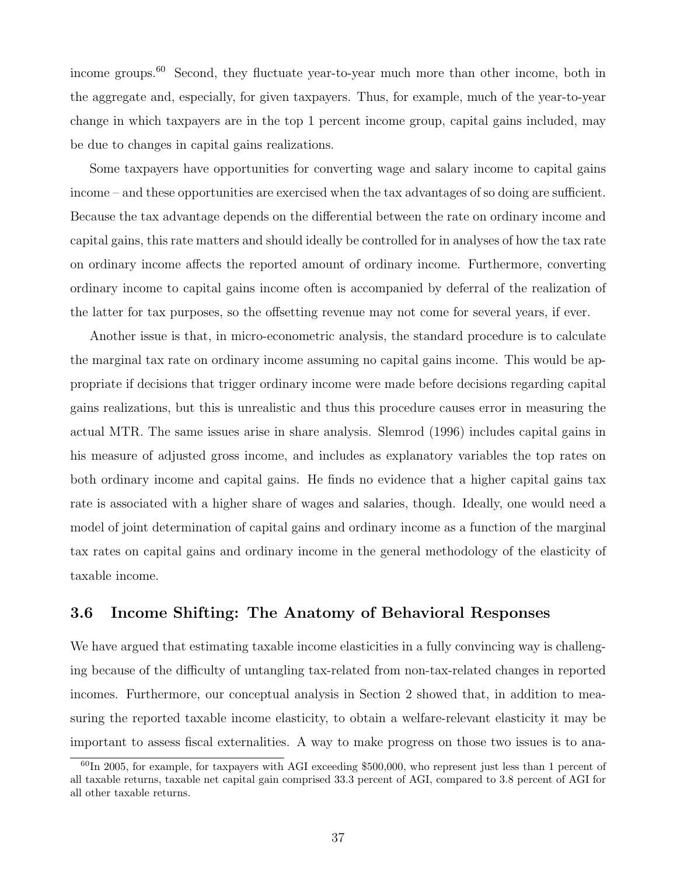income groups.<sup>60</sup> Second, they fluctuate year-to-year much more than other income, both in the aggregate and, especially, for given taxpayers. Thus, for example, much of the year-to-year change in which taxpayers are in the top 1 percent income group, capital gains included, may be due to changes in capital gains realizations.

Some taxpayers have opportunities for converting wage and salary income to capital gains income – and these opportunities are exercised when the tax advantages of so doing are sufficient. Because the tax advantage depends on the differential between the rate on ordinary income and capital gains, this rate matters and should ideally be controlled for in analyses of how the tax rate on ordinary income affects the reported amount of ordinary income. Furthermore, converting ordinary income to capital gains income often is accompanied by deferral of the realization of the latter for tax purposes, so the offsetting revenue may not come for several years, if ever.

Another issue is that, in micro-econometric analysis, the standard procedure is to calculate the marginal tax rate on ordinary income assuming no capital gains income. This would be appropriate if decisions that trigger ordinary income were made before decisions regarding capital gains realizations, but this is unrealistic and thus this procedure causes error in measuring the actual MTR. The same issues arise in share analysis. Slemrod (1996) includes capital gains in his measure of adjusted gross income, and includes as explanatory variables the top rates on both ordinary income and capital gains. He finds no evidence that a higher capital gains tax rate is associated with a higher share of wages and salaries, though. Ideally, one would need a model of joint determination of capital gains and ordinary income as a function of the marginal tax rates on capital gains and ordinary income in the general methodology of the elasticity of taxable income.

## 3.6 Income Shifting: The Anatomy of Behavioral Responses

We have argued that estimating taxable income elasticities in a fully convincing way is challenging because of the difficulty of untangling tax-related from non-tax-related changes in reported incomes. Furthermore, our conceptual analysis in Section 2 showed that, in addition to measuring the reported taxable income elasticity, to obtain a welfare-relevant elasticity it may be important to assess fiscal externalities. A way to make progress on those two issues is to ana-

 $^{60}$ In 2005, for example, for taxpayers with AGI exceeding \$500,000, who represent just less than 1 percent of all taxable returns, taxable net capital gain comprised 33.3 percent of AGI, compared to 3.8 percent of AGI for all other taxable returns.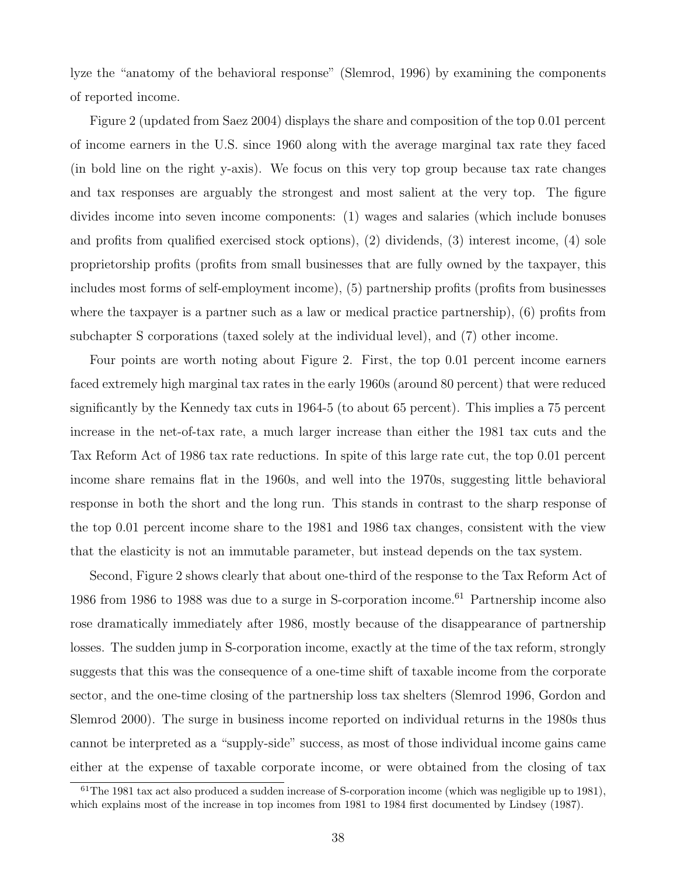lyze the "anatomy of the behavioral response" (Slemrod, 1996) by examining the components of reported income.

Figure 2 (updated from Saez 2004) displays the share and composition of the top 0.01 percent of income earners in the U.S. since 1960 along with the average marginal tax rate they faced (in bold line on the right y-axis). We focus on this very top group because tax rate changes and tax responses are arguably the strongest and most salient at the very top. The figure divides income into seven income components: (1) wages and salaries (which include bonuses and profits from qualified exercised stock options), (2) dividends, (3) interest income, (4) sole proprietorship profits (profits from small businesses that are fully owned by the taxpayer, this includes most forms of self-employment income), (5) partnership profits (profits from businesses where the taxpayer is a partner such as a law or medical practice partnership), (6) profits from subchapter S corporations (taxed solely at the individual level), and (7) other income.

Four points are worth noting about Figure 2. First, the top 0.01 percent income earners faced extremely high marginal tax rates in the early 1960s (around 80 percent) that were reduced significantly by the Kennedy tax cuts in 1964-5 (to about 65 percent). This implies a 75 percent increase in the net-of-tax rate, a much larger increase than either the 1981 tax cuts and the Tax Reform Act of 1986 tax rate reductions. In spite of this large rate cut, the top 0.01 percent income share remains flat in the 1960s, and well into the 1970s, suggesting little behavioral response in both the short and the long run. This stands in contrast to the sharp response of the top 0.01 percent income share to the 1981 and 1986 tax changes, consistent with the view that the elasticity is not an immutable parameter, but instead depends on the tax system.

Second, Figure 2 shows clearly that about one-third of the response to the Tax Reform Act of 1986 from 1986 to 1988 was due to a surge in S-corporation income.<sup>61</sup> Partnership income also rose dramatically immediately after 1986, mostly because of the disappearance of partnership losses. The sudden jump in S-corporation income, exactly at the time of the tax reform, strongly suggests that this was the consequence of a one-time shift of taxable income from the corporate sector, and the one-time closing of the partnership loss tax shelters (Slemrod 1996, Gordon and Slemrod 2000). The surge in business income reported on individual returns in the 1980s thus cannot be interpreted as a "supply-side" success, as most of those individual income gains came either at the expense of taxable corporate income, or were obtained from the closing of tax

 $61$ The 1981 tax act also produced a sudden increase of S-corporation income (which was negligible up to 1981), which explains most of the increase in top incomes from 1981 to 1984 first documented by Lindsey (1987).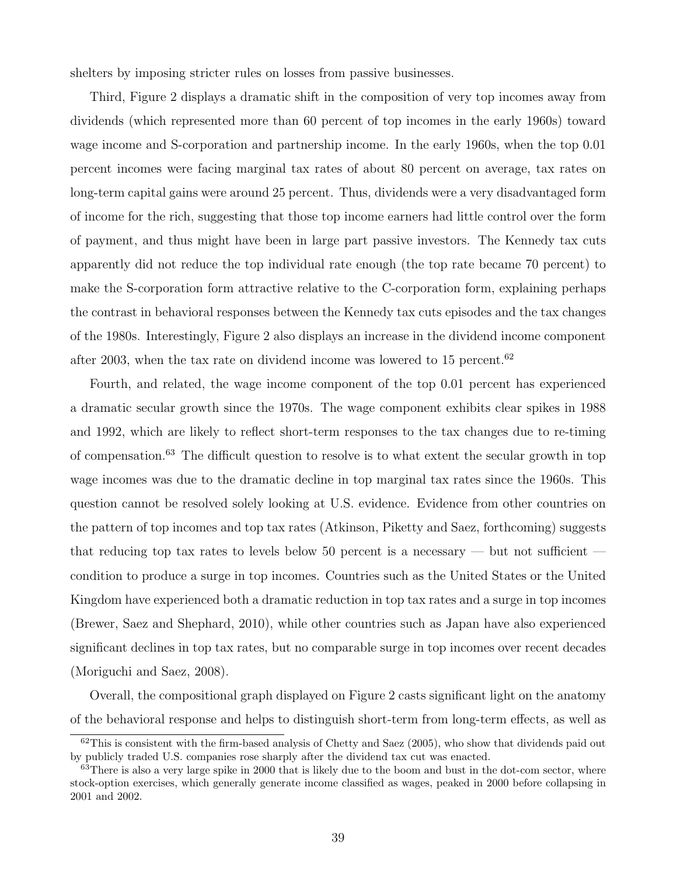shelters by imposing stricter rules on losses from passive businesses.

Third, Figure 2 displays a dramatic shift in the composition of very top incomes away from dividends (which represented more than 60 percent of top incomes in the early 1960s) toward wage income and S-corporation and partnership income. In the early 1960s, when the top 0.01 percent incomes were facing marginal tax rates of about 80 percent on average, tax rates on long-term capital gains were around 25 percent. Thus, dividends were a very disadvantaged form of income for the rich, suggesting that those top income earners had little control over the form of payment, and thus might have been in large part passive investors. The Kennedy tax cuts apparently did not reduce the top individual rate enough (the top rate became 70 percent) to make the S-corporation form attractive relative to the C-corporation form, explaining perhaps the contrast in behavioral responses between the Kennedy tax cuts episodes and the tax changes of the 1980s. Interestingly, Figure 2 also displays an increase in the dividend income component after 2003, when the tax rate on dividend income was lowered to  $15$  percent.<sup>62</sup>

Fourth, and related, the wage income component of the top 0.01 percent has experienced a dramatic secular growth since the 1970s. The wage component exhibits clear spikes in 1988 and 1992, which are likely to reflect short-term responses to the tax changes due to re-timing of compensation.<sup>63</sup> The difficult question to resolve is to what extent the secular growth in top wage incomes was due to the dramatic decline in top marginal tax rates since the 1960s. This question cannot be resolved solely looking at U.S. evidence. Evidence from other countries on the pattern of top incomes and top tax rates (Atkinson, Piketty and Saez, forthcoming) suggests that reducing top tax rates to levels below 50 percent is a necessary — but not sufficient condition to produce a surge in top incomes. Countries such as the United States or the United Kingdom have experienced both a dramatic reduction in top tax rates and a surge in top incomes (Brewer, Saez and Shephard, 2010), while other countries such as Japan have also experienced significant declines in top tax rates, but no comparable surge in top incomes over recent decades (Moriguchi and Saez, 2008).

Overall, the compositional graph displayed on Figure 2 casts significant light on the anatomy of the behavioral response and helps to distinguish short-term from long-term effects, as well as

 $62$ This is consistent with the firm-based analysis of Chetty and Saez (2005), who show that dividends paid out by publicly traded U.S. companies rose sharply after the dividend tax cut was enacted.

<sup>&</sup>lt;sup>63</sup>There is also a very large spike in 2000 that is likely due to the boom and bust in the dot-com sector, where stock-option exercises, which generally generate income classified as wages, peaked in 2000 before collapsing in 2001 and 2002.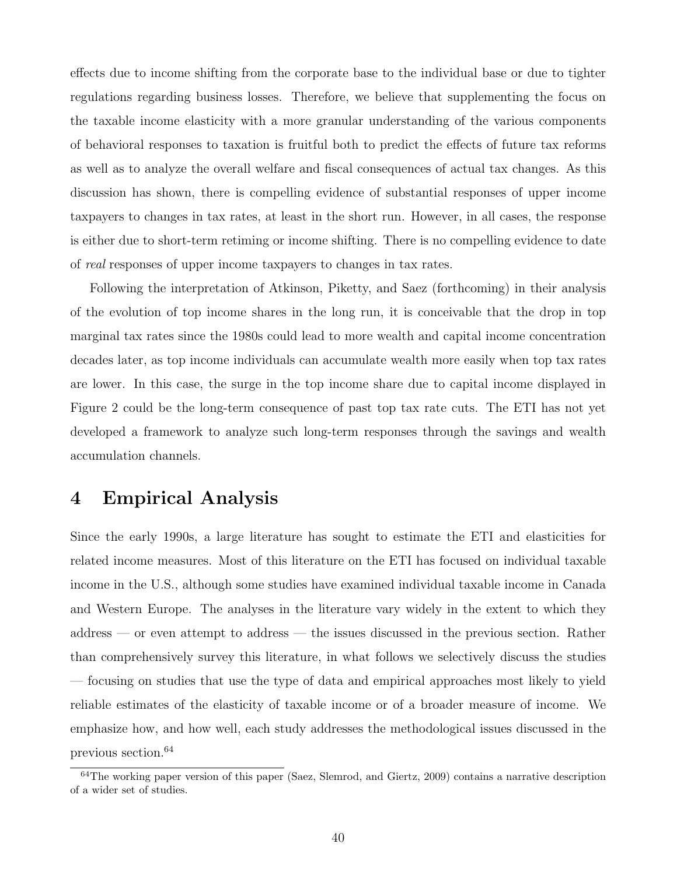effects due to income shifting from the corporate base to the individual base or due to tighter regulations regarding business losses. Therefore, we believe that supplementing the focus on the taxable income elasticity with a more granular understanding of the various components of behavioral responses to taxation is fruitful both to predict the effects of future tax reforms as well as to analyze the overall welfare and fiscal consequences of actual tax changes. As this discussion has shown, there is compelling evidence of substantial responses of upper income taxpayers to changes in tax rates, at least in the short run. However, in all cases, the response is either due to short-term retiming or income shifting. There is no compelling evidence to date of real responses of upper income taxpayers to changes in tax rates.

Following the interpretation of Atkinson, Piketty, and Saez (forthcoming) in their analysis of the evolution of top income shares in the long run, it is conceivable that the drop in top marginal tax rates since the 1980s could lead to more wealth and capital income concentration decades later, as top income individuals can accumulate wealth more easily when top tax rates are lower. In this case, the surge in the top income share due to capital income displayed in Figure 2 could be the long-term consequence of past top tax rate cuts. The ETI has not yet developed a framework to analyze such long-term responses through the savings and wealth accumulation channels.

## 4 Empirical Analysis

Since the early 1990s, a large literature has sought to estimate the ETI and elasticities for related income measures. Most of this literature on the ETI has focused on individual taxable income in the U.S., although some studies have examined individual taxable income in Canada and Western Europe. The analyses in the literature vary widely in the extent to which they address — or even attempt to address — the issues discussed in the previous section. Rather than comprehensively survey this literature, in what follows we selectively discuss the studies — focusing on studies that use the type of data and empirical approaches most likely to yield reliable estimates of the elasticity of taxable income or of a broader measure of income. We emphasize how, and how well, each study addresses the methodological issues discussed in the previous section.<sup>64</sup>

 $64$ The working paper version of this paper (Saez, Slemrod, and Giertz, 2009) contains a narrative description of a wider set of studies.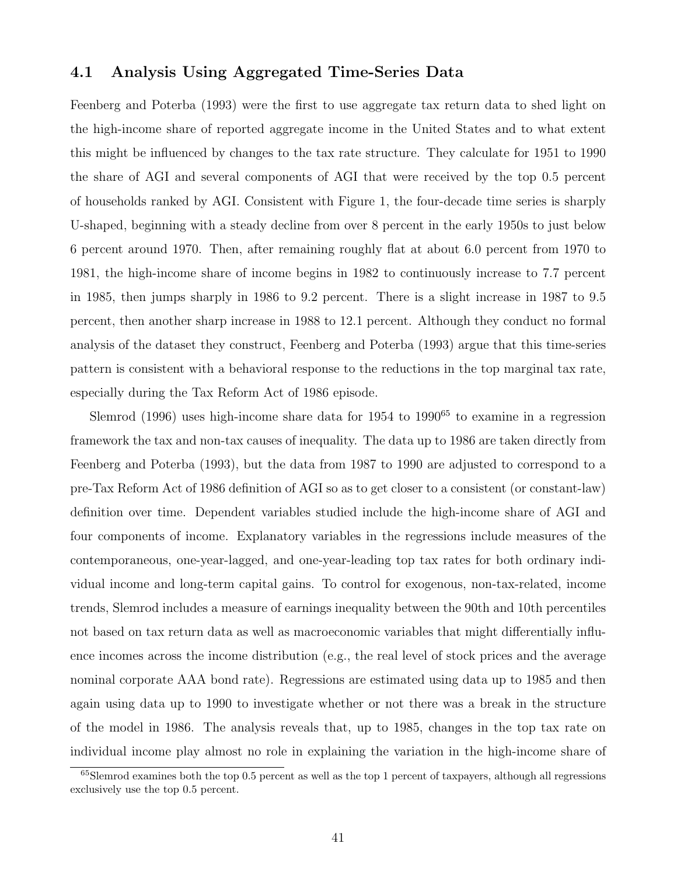## 4.1 Analysis Using Aggregated Time-Series Data

Feenberg and Poterba (1993) were the first to use aggregate tax return data to shed light on the high-income share of reported aggregate income in the United States and to what extent this might be influenced by changes to the tax rate structure. They calculate for 1951 to 1990 the share of AGI and several components of AGI that were received by the top 0.5 percent of households ranked by AGI. Consistent with Figure 1, the four-decade time series is sharply U-shaped, beginning with a steady decline from over 8 percent in the early 1950s to just below 6 percent around 1970. Then, after remaining roughly flat at about 6.0 percent from 1970 to 1981, the high-income share of income begins in 1982 to continuously increase to 7.7 percent in 1985, then jumps sharply in 1986 to 9.2 percent. There is a slight increase in 1987 to 9.5 percent, then another sharp increase in 1988 to 12.1 percent. Although they conduct no formal analysis of the dataset they construct, Feenberg and Poterba (1993) argue that this time-series pattern is consistent with a behavioral response to the reductions in the top marginal tax rate, especially during the Tax Reform Act of 1986 episode.

Slemrod (1996) uses high-income share data for  $1954$  to  $1990^{65}$  to examine in a regression framework the tax and non-tax causes of inequality. The data up to 1986 are taken directly from Feenberg and Poterba (1993), but the data from 1987 to 1990 are adjusted to correspond to a pre-Tax Reform Act of 1986 definition of AGI so as to get closer to a consistent (or constant-law) definition over time. Dependent variables studied include the high-income share of AGI and four components of income. Explanatory variables in the regressions include measures of the contemporaneous, one-year-lagged, and one-year-leading top tax rates for both ordinary individual income and long-term capital gains. To control for exogenous, non-tax-related, income trends, Slemrod includes a measure of earnings inequality between the 90th and 10th percentiles not based on tax return data as well as macroeconomic variables that might differentially influence incomes across the income distribution (e.g., the real level of stock prices and the average nominal corporate AAA bond rate). Regressions are estimated using data up to 1985 and then again using data up to 1990 to investigate whether or not there was a break in the structure of the model in 1986. The analysis reveals that, up to 1985, changes in the top tax rate on individual income play almost no role in explaining the variation in the high-income share of

 $^{65}$ Slemrod examines both the top 0.5 percent as well as the top 1 percent of taxpayers, although all regressions exclusively use the top 0.5 percent.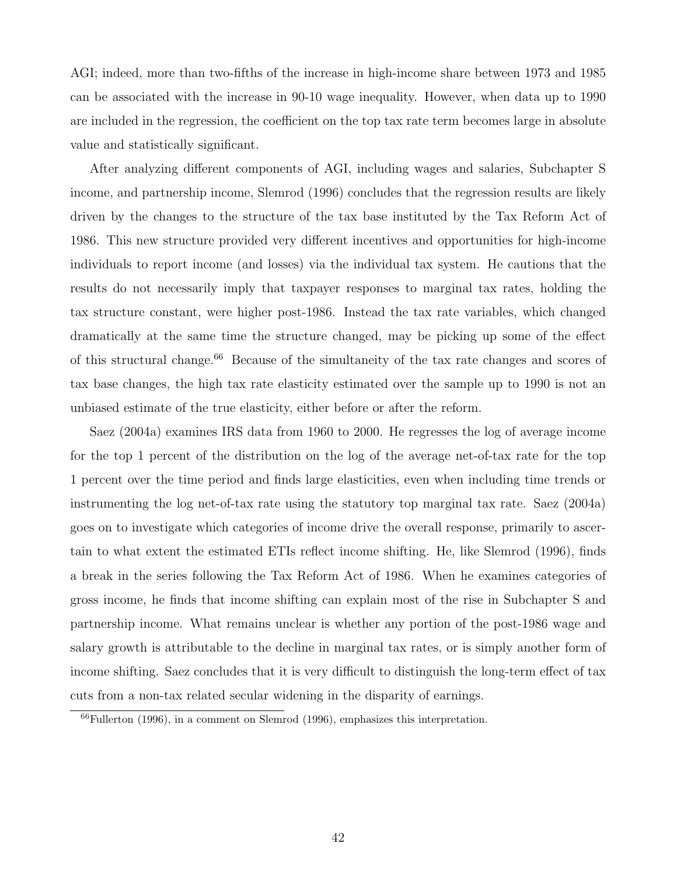AGI; indeed, more than two-fifths of the increase in high-income share between 1973 and 1985 can be associated with the increase in 90-10 wage inequality. However, when data up to 1990 are included in the regression, the coefficient on the top tax rate term becomes large in absolute value and statistically significant.

After analyzing different components of AGI, including wages and salaries, Subchapter S income, and partnership income, Slemrod (1996) concludes that the regression results are likely driven by the changes to the structure of the tax base instituted by the Tax Reform Act of 1986. This new structure provided very different incentives and opportunities for high-income individuals to report income (and losses) via the individual tax system. He cautions that the results do not necessarily imply that taxpayer responses to marginal tax rates, holding the tax structure constant, were higher post-1986. Instead the tax rate variables, which changed dramatically at the same time the structure changed, may be picking up some of the effect of this structural change.<sup>66</sup> Because of the simultaneity of the tax rate changes and scores of tax base changes, the high tax rate elasticity estimated over the sample up to 1990 is not an unbiased estimate of the true elasticity, either before or after the reform.

Saez (2004a) examines IRS data from 1960 to 2000. He regresses the log of average income for the top 1 percent of the distribution on the log of the average net-of-tax rate for the top 1 percent over the time period and finds large elasticities, even when including time trends or instrumenting the log net-of-tax rate using the statutory top marginal tax rate. Saez (2004a) goes on to investigate which categories of income drive the overall response, primarily to ascertain to what extent the estimated ETIs reflect income shifting. He, like Slemrod (1996), finds a break in the series following the Tax Reform Act of 1986. When he examines categories of gross income, he finds that income shifting can explain most of the rise in Subchapter S and partnership income. What remains unclear is whether any portion of the post-1986 wage and salary growth is attributable to the decline in marginal tax rates, or is simply another form of income shifting. Saez concludes that it is very difficult to distinguish the long-term effect of tax cuts from a non-tax related secular widening in the disparity of earnings.

 $66$ Fullerton (1996), in a comment on Slemrod (1996), emphasizes this interpretation.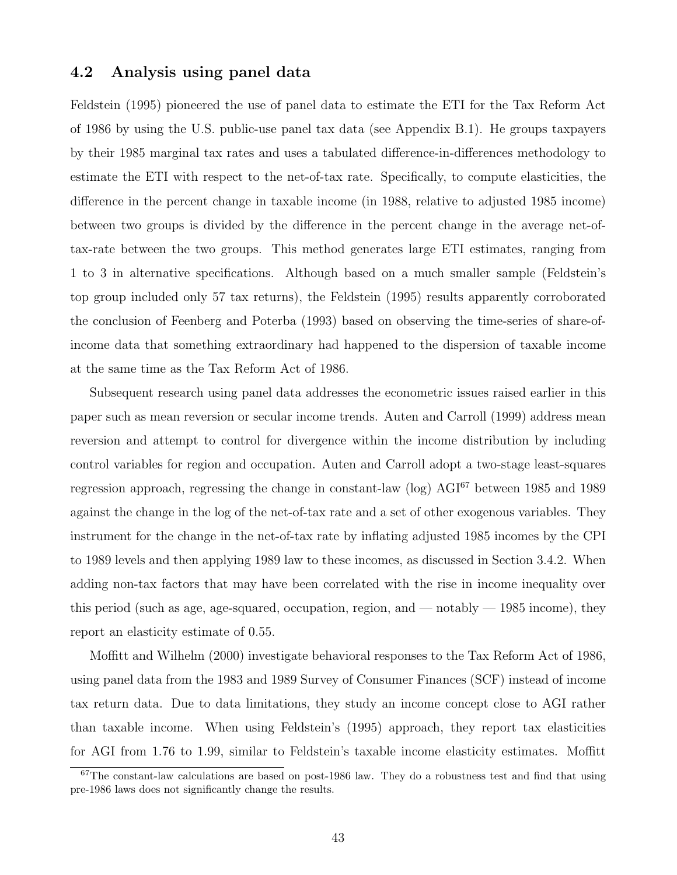## 4.2 Analysis using panel data

Feldstein (1995) pioneered the use of panel data to estimate the ETI for the Tax Reform Act of 1986 by using the U.S. public-use panel tax data (see Appendix B.1). He groups taxpayers by their 1985 marginal tax rates and uses a tabulated difference-in-differences methodology to estimate the ETI with respect to the net-of-tax rate. Specifically, to compute elasticities, the difference in the percent change in taxable income (in 1988, relative to adjusted 1985 income) between two groups is divided by the difference in the percent change in the average net-oftax-rate between the two groups. This method generates large ETI estimates, ranging from 1 to 3 in alternative specifications. Although based on a much smaller sample (Feldstein's top group included only 57 tax returns), the Feldstein (1995) results apparently corroborated the conclusion of Feenberg and Poterba (1993) based on observing the time-series of share-ofincome data that something extraordinary had happened to the dispersion of taxable income at the same time as the Tax Reform Act of 1986.

Subsequent research using panel data addresses the econometric issues raised earlier in this paper such as mean reversion or secular income trends. Auten and Carroll (1999) address mean reversion and attempt to control for divergence within the income distribution by including control variables for region and occupation. Auten and Carroll adopt a two-stage least-squares regression approach, regressing the change in constant-law (log) AGI<sup>67</sup> between 1985 and 1989 against the change in the log of the net-of-tax rate and a set of other exogenous variables. They instrument for the change in the net-of-tax rate by inflating adjusted 1985 incomes by the CPI to 1989 levels and then applying 1989 law to these incomes, as discussed in Section 3.4.2. When adding non-tax factors that may have been correlated with the rise in income inequality over this period (such as age, age-squared, occupation, region, and  $-$  notably  $-1985$  income), they report an elasticity estimate of 0.55.

Moffitt and Wilhelm (2000) investigate behavioral responses to the Tax Reform Act of 1986, using panel data from the 1983 and 1989 Survey of Consumer Finances (SCF) instead of income tax return data. Due to data limitations, they study an income concept close to AGI rather than taxable income. When using Feldstein's (1995) approach, they report tax elasticities for AGI from 1.76 to 1.99, similar to Feldstein's taxable income elasticity estimates. Moffitt

 $67$ The constant-law calculations are based on post-1986 law. They do a robustness test and find that using pre-1986 laws does not significantly change the results.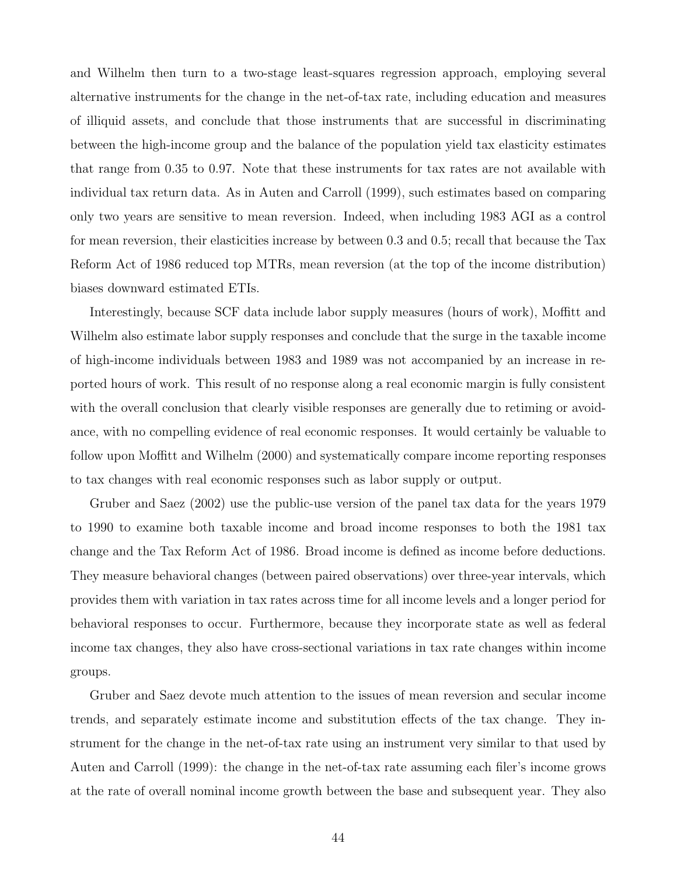and Wilhelm then turn to a two-stage least-squares regression approach, employing several alternative instruments for the change in the net-of-tax rate, including education and measures of illiquid assets, and conclude that those instruments that are successful in discriminating between the high-income group and the balance of the population yield tax elasticity estimates that range from 0.35 to 0.97. Note that these instruments for tax rates are not available with individual tax return data. As in Auten and Carroll (1999), such estimates based on comparing only two years are sensitive to mean reversion. Indeed, when including 1983 AGI as a control for mean reversion, their elasticities increase by between 0.3 and 0.5; recall that because the Tax Reform Act of 1986 reduced top MTRs, mean reversion (at the top of the income distribution) biases downward estimated ETIs.

Interestingly, because SCF data include labor supply measures (hours of work), Moffitt and Wilhelm also estimate labor supply responses and conclude that the surge in the taxable income of high-income individuals between 1983 and 1989 was not accompanied by an increase in reported hours of work. This result of no response along a real economic margin is fully consistent with the overall conclusion that clearly visible responses are generally due to retiming or avoidance, with no compelling evidence of real economic responses. It would certainly be valuable to follow upon Moffitt and Wilhelm (2000) and systematically compare income reporting responses to tax changes with real economic responses such as labor supply or output.

Gruber and Saez (2002) use the public-use version of the panel tax data for the years 1979 to 1990 to examine both taxable income and broad income responses to both the 1981 tax change and the Tax Reform Act of 1986. Broad income is defined as income before deductions. They measure behavioral changes (between paired observations) over three-year intervals, which provides them with variation in tax rates across time for all income levels and a longer period for behavioral responses to occur. Furthermore, because they incorporate state as well as federal income tax changes, they also have cross-sectional variations in tax rate changes within income groups.

Gruber and Saez devote much attention to the issues of mean reversion and secular income trends, and separately estimate income and substitution effects of the tax change. They instrument for the change in the net-of-tax rate using an instrument very similar to that used by Auten and Carroll (1999): the change in the net-of-tax rate assuming each filer's income grows at the rate of overall nominal income growth between the base and subsequent year. They also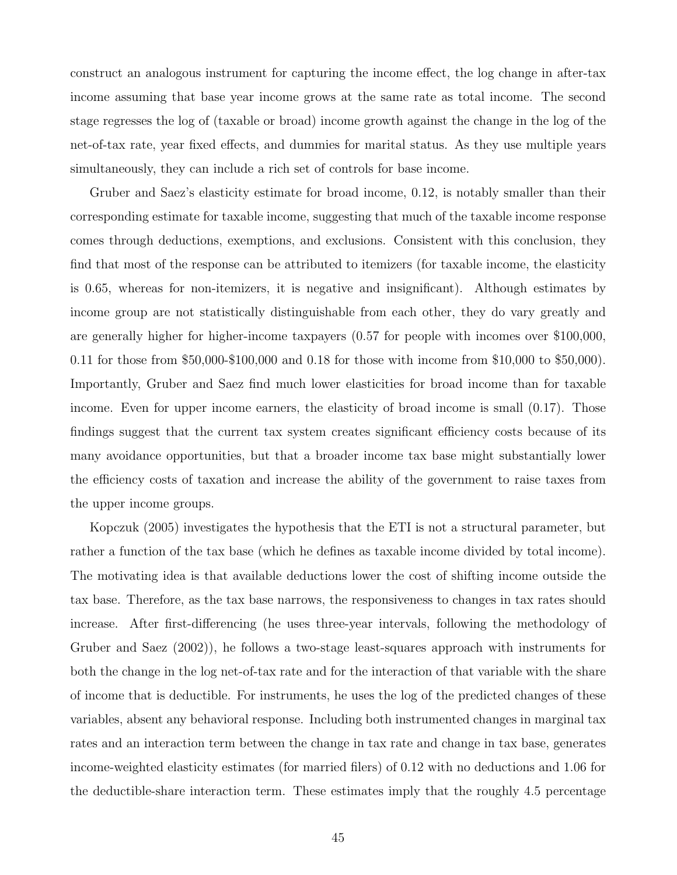construct an analogous instrument for capturing the income effect, the log change in after-tax income assuming that base year income grows at the same rate as total income. The second stage regresses the log of (taxable or broad) income growth against the change in the log of the net-of-tax rate, year fixed effects, and dummies for marital status. As they use multiple years simultaneously, they can include a rich set of controls for base income.

Gruber and Saez's elasticity estimate for broad income, 0.12, is notably smaller than their corresponding estimate for taxable income, suggesting that much of the taxable income response comes through deductions, exemptions, and exclusions. Consistent with this conclusion, they find that most of the response can be attributed to itemizers (for taxable income, the elasticity is 0.65, whereas for non-itemizers, it is negative and insignificant). Although estimates by income group are not statistically distinguishable from each other, they do vary greatly and are generally higher for higher-income taxpayers (0.57 for people with incomes over \$100,000, 0.11 for those from \$50,000-\$100,000 and 0.18 for those with income from \$10,000 to \$50,000). Importantly, Gruber and Saez find much lower elasticities for broad income than for taxable income. Even for upper income earners, the elasticity of broad income is small (0.17). Those findings suggest that the current tax system creates significant efficiency costs because of its many avoidance opportunities, but that a broader income tax base might substantially lower the efficiency costs of taxation and increase the ability of the government to raise taxes from the upper income groups.

Kopczuk (2005) investigates the hypothesis that the ETI is not a structural parameter, but rather a function of the tax base (which he defines as taxable income divided by total income). The motivating idea is that available deductions lower the cost of shifting income outside the tax base. Therefore, as the tax base narrows, the responsiveness to changes in tax rates should increase. After first-differencing (he uses three-year intervals, following the methodology of Gruber and Saez (2002)), he follows a two-stage least-squares approach with instruments for both the change in the log net-of-tax rate and for the interaction of that variable with the share of income that is deductible. For instruments, he uses the log of the predicted changes of these variables, absent any behavioral response. Including both instrumented changes in marginal tax rates and an interaction term between the change in tax rate and change in tax base, generates income-weighted elasticity estimates (for married filers) of 0.12 with no deductions and 1.06 for the deductible-share interaction term. These estimates imply that the roughly 4.5 percentage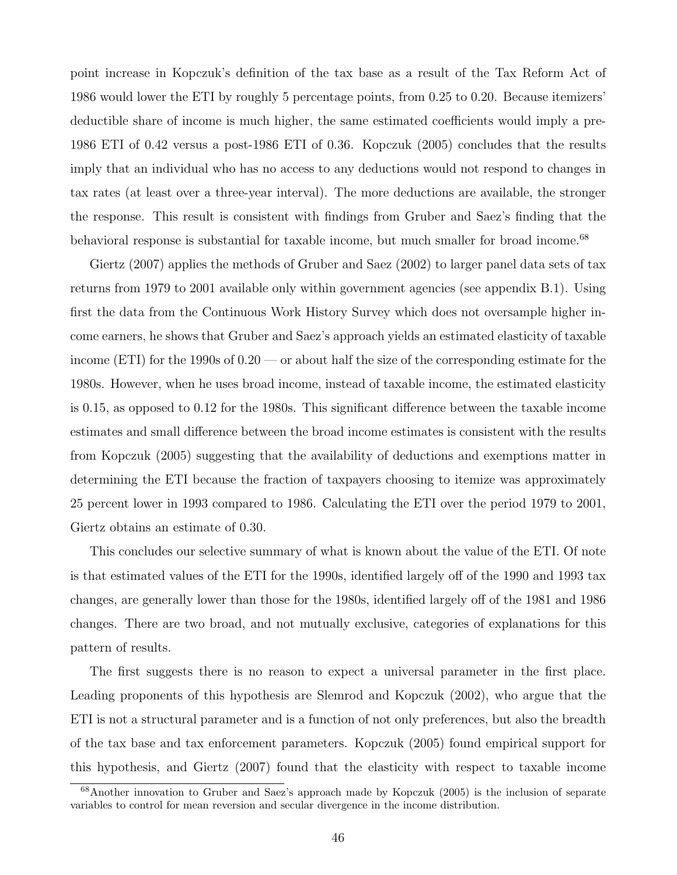point increase in Kopczuk's definition of the tax base as a result of the Tax Reform Act of 1986 would lower the ETI by roughly 5 percentage points, from 0.25 to 0.20. Because itemizers' deductible share of income is much higher, the same estimated coefficients would imply a pre-1986 ETI of 0.42 versus a post-1986 ETI of 0.36. Kopczuk (2005) concludes that the results imply that an individual who has no access to any deductions would not respond to changes in tax rates (at least over a three-year interval). The more deductions are available, the stronger the response. This result is consistent with findings from Gruber and Saez's finding that the behavioral response is substantial for taxable income, but much smaller for broad income.<sup>68</sup>

Giertz (2007) applies the methods of Gruber and Saez (2002) to larger panel data sets of tax returns from 1979 to 2001 available only within government agencies (see appendix B.1). Using first the data from the Continuous Work History Survey which does not oversample higher income earners, he shows that Gruber and Saez's approach yields an estimated elasticity of taxable income (ETI) for the 1990s of  $0.20$  — or about half the size of the corresponding estimate for the 1980s. However, when he uses broad income, instead of taxable income, the estimated elasticity is 0.15, as opposed to 0.12 for the 1980s. This significant difference between the taxable income estimates and small difference between the broad income estimates is consistent with the results from Kopczuk (2005) suggesting that the availability of deductions and exemptions matter in determining the ETI because the fraction of taxpayers choosing to itemize was approximately 25 percent lower in 1993 compared to 1986. Calculating the ETI over the period 1979 to 2001, Giertz obtains an estimate of 0.30.

This concludes our selective summary of what is known about the value of the ETI. Of note is that estimated values of the ETI for the 1990s, identified largely off of the 1990 and 1993 tax changes, are generally lower than those for the 1980s, identified largely off of the 1981 and 1986 changes. There are two broad, and not mutually exclusive, categories of explanations for this pattern of results.

The first suggests there is no reason to expect a universal parameter in the first place. Leading proponents of this hypothesis are Slemrod and Kopczuk (2002), who argue that the ETI is not a structural parameter and is a function of not only preferences, but also the breadth of the tax base and tax enforcement parameters. Kopczuk (2005) found empirical support for this hypothesis, and Giertz (2007) found that the elasticity with respect to taxable income

<sup>68</sup>Another innovation to Gruber and Saez's approach made by Kopczuk (2005) is the inclusion of separate variables to control for mean reversion and secular divergence in the income distribution.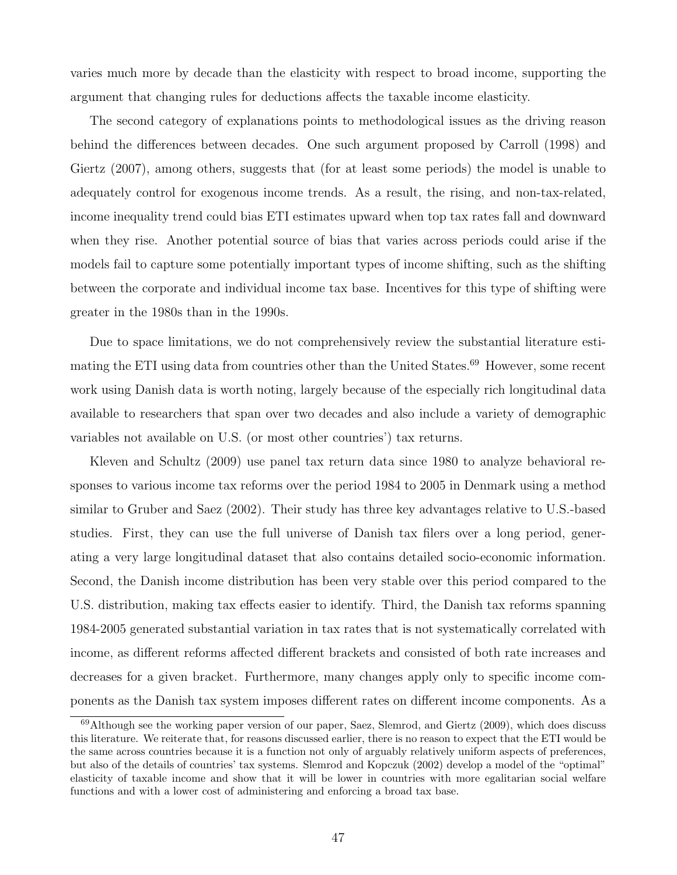varies much more by decade than the elasticity with respect to broad income, supporting the argument that changing rules for deductions affects the taxable income elasticity.

The second category of explanations points to methodological issues as the driving reason behind the differences between decades. One such argument proposed by Carroll (1998) and Giertz (2007), among others, suggests that (for at least some periods) the model is unable to adequately control for exogenous income trends. As a result, the rising, and non-tax-related, income inequality trend could bias ETI estimates upward when top tax rates fall and downward when they rise. Another potential source of bias that varies across periods could arise if the models fail to capture some potentially important types of income shifting, such as the shifting between the corporate and individual income tax base. Incentives for this type of shifting were greater in the 1980s than in the 1990s.

Due to space limitations, we do not comprehensively review the substantial literature estimating the ETI using data from countries other than the United States.<sup>69</sup> However, some recent work using Danish data is worth noting, largely because of the especially rich longitudinal data available to researchers that span over two decades and also include a variety of demographic variables not available on U.S. (or most other countries') tax returns.

Kleven and Schultz (2009) use panel tax return data since 1980 to analyze behavioral responses to various income tax reforms over the period 1984 to 2005 in Denmark using a method similar to Gruber and Saez (2002). Their study has three key advantages relative to U.S.-based studies. First, they can use the full universe of Danish tax filers over a long period, generating a very large longitudinal dataset that also contains detailed socio-economic information. Second, the Danish income distribution has been very stable over this period compared to the U.S. distribution, making tax effects easier to identify. Third, the Danish tax reforms spanning 1984-2005 generated substantial variation in tax rates that is not systematically correlated with income, as different reforms affected different brackets and consisted of both rate increases and decreases for a given bracket. Furthermore, many changes apply only to specific income components as the Danish tax system imposes different rates on different income components. As a

<sup>69</sup>Although see the working paper version of our paper, Saez, Slemrod, and Giertz (2009), which does discuss this literature. We reiterate that, for reasons discussed earlier, there is no reason to expect that the ETI would be the same across countries because it is a function not only of arguably relatively uniform aspects of preferences, but also of the details of countries' tax systems. Slemrod and Kopczuk (2002) develop a model of the "optimal" elasticity of taxable income and show that it will be lower in countries with more egalitarian social welfare functions and with a lower cost of administering and enforcing a broad tax base.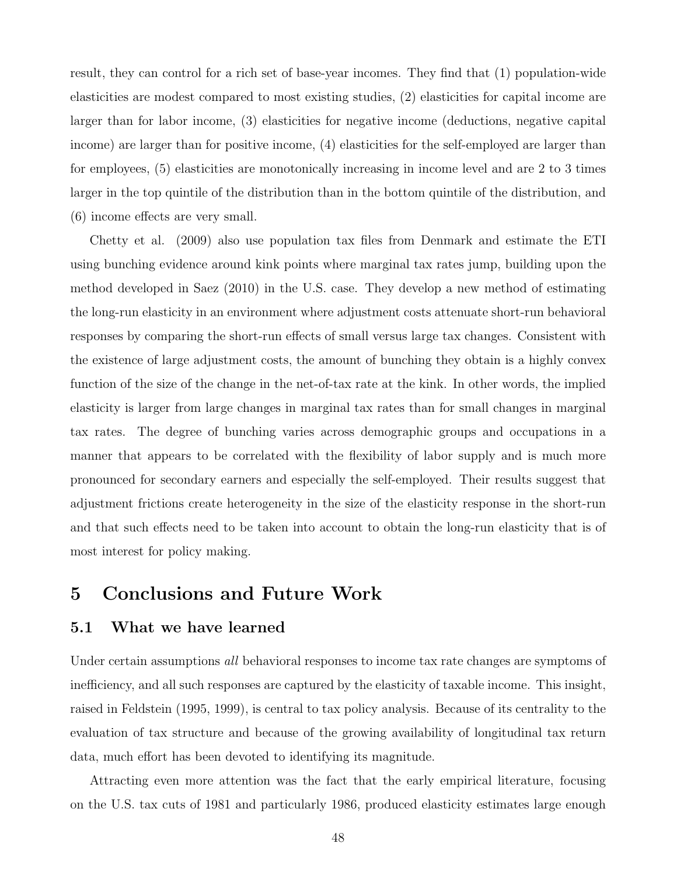result, they can control for a rich set of base-year incomes. They find that (1) population-wide elasticities are modest compared to most existing studies, (2) elasticities for capital income are larger than for labor income, (3) elasticities for negative income (deductions, negative capital income) are larger than for positive income, (4) elasticities for the self-employed are larger than for employees, (5) elasticities are monotonically increasing in income level and are 2 to 3 times larger in the top quintile of the distribution than in the bottom quintile of the distribution, and (6) income effects are very small.

Chetty et al. (2009) also use population tax files from Denmark and estimate the ETI using bunching evidence around kink points where marginal tax rates jump, building upon the method developed in Saez (2010) in the U.S. case. They develop a new method of estimating the long-run elasticity in an environment where adjustment costs attenuate short-run behavioral responses by comparing the short-run effects of small versus large tax changes. Consistent with the existence of large adjustment costs, the amount of bunching they obtain is a highly convex function of the size of the change in the net-of-tax rate at the kink. In other words, the implied elasticity is larger from large changes in marginal tax rates than for small changes in marginal tax rates. The degree of bunching varies across demographic groups and occupations in a manner that appears to be correlated with the flexibility of labor supply and is much more pronounced for secondary earners and especially the self-employed. Their results suggest that adjustment frictions create heterogeneity in the size of the elasticity response in the short-run and that such effects need to be taken into account to obtain the long-run elasticity that is of most interest for policy making.

## 5 Conclusions and Future Work

## 5.1 What we have learned

Under certain assumptions *all* behavioral responses to income tax rate changes are symptoms of inefficiency, and all such responses are captured by the elasticity of taxable income. This insight, raised in Feldstein (1995, 1999), is central to tax policy analysis. Because of its centrality to the evaluation of tax structure and because of the growing availability of longitudinal tax return data, much effort has been devoted to identifying its magnitude.

Attracting even more attention was the fact that the early empirical literature, focusing on the U.S. tax cuts of 1981 and particularly 1986, produced elasticity estimates large enough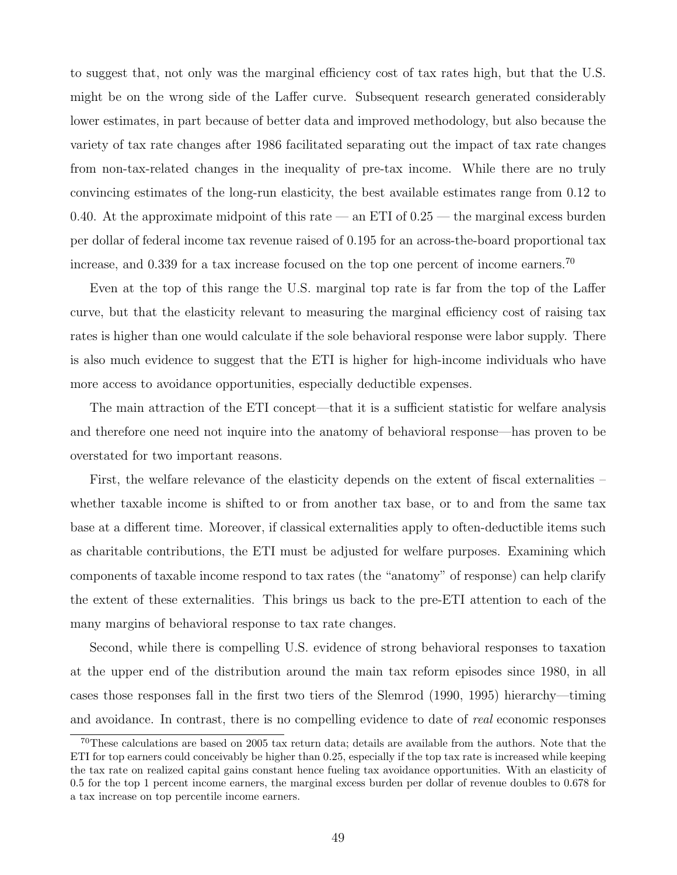to suggest that, not only was the marginal efficiency cost of tax rates high, but that the U.S. might be on the wrong side of the Laffer curve. Subsequent research generated considerably lower estimates, in part because of better data and improved methodology, but also because the variety of tax rate changes after 1986 facilitated separating out the impact of tax rate changes from non-tax-related changes in the inequality of pre-tax income. While there are no truly convincing estimates of the long-run elasticity, the best available estimates range from 0.12 to 0.40. At the approximate midpoint of this rate — an ETI of  $0.25$  — the marginal excess burden per dollar of federal income tax revenue raised of 0.195 for an across-the-board proportional tax increase, and 0.339 for a tax increase focused on the top one percent of income earners.<sup>70</sup>

Even at the top of this range the U.S. marginal top rate is far from the top of the Laffer curve, but that the elasticity relevant to measuring the marginal efficiency cost of raising tax rates is higher than one would calculate if the sole behavioral response were labor supply. There is also much evidence to suggest that the ETI is higher for high-income individuals who have more access to avoidance opportunities, especially deductible expenses.

The main attraction of the ETI concept—that it is a sufficient statistic for welfare analysis and therefore one need not inquire into the anatomy of behavioral response—has proven to be overstated for two important reasons.

First, the welfare relevance of the elasticity depends on the extent of fiscal externalities – whether taxable income is shifted to or from another tax base, or to and from the same tax base at a different time. Moreover, if classical externalities apply to often-deductible items such as charitable contributions, the ETI must be adjusted for welfare purposes. Examining which components of taxable income respond to tax rates (the "anatomy" of response) can help clarify the extent of these externalities. This brings us back to the pre-ETI attention to each of the many margins of behavioral response to tax rate changes.

Second, while there is compelling U.S. evidence of strong behavioral responses to taxation at the upper end of the distribution around the main tax reform episodes since 1980, in all cases those responses fall in the first two tiers of the Slemrod (1990, 1995) hierarchy—timing and avoidance. In contrast, there is no compelling evidence to date of real economic responses

<sup>70</sup>These calculations are based on 2005 tax return data; details are available from the authors. Note that the ETI for top earners could conceivably be higher than 0.25, especially if the top tax rate is increased while keeping the tax rate on realized capital gains constant hence fueling tax avoidance opportunities. With an elasticity of 0.5 for the top 1 percent income earners, the marginal excess burden per dollar of revenue doubles to 0.678 for a tax increase on top percentile income earners.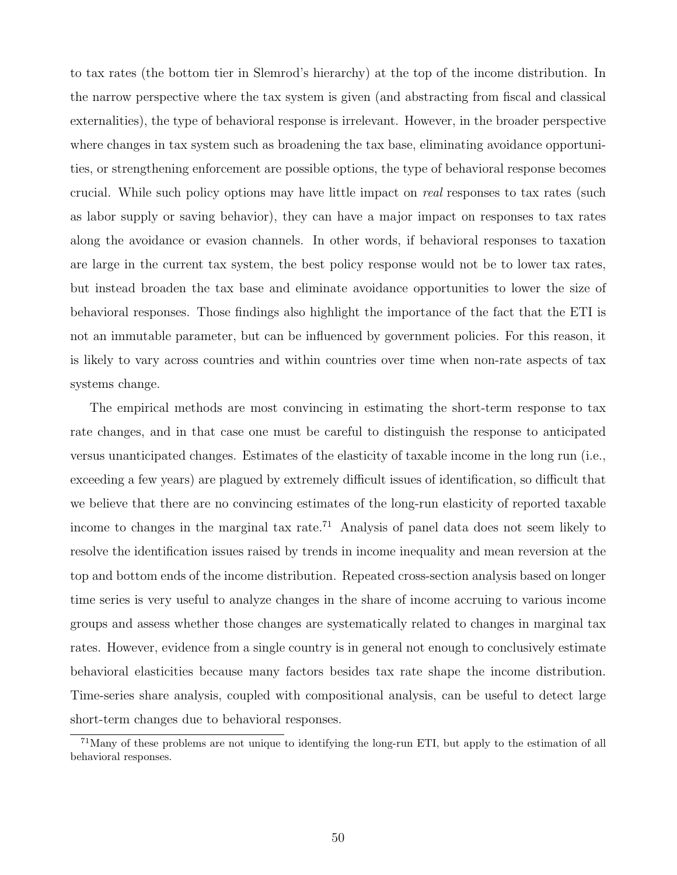to tax rates (the bottom tier in Slemrod's hierarchy) at the top of the income distribution. In the narrow perspective where the tax system is given (and abstracting from fiscal and classical externalities), the type of behavioral response is irrelevant. However, in the broader perspective where changes in tax system such as broadening the tax base, eliminating avoidance opportunities, or strengthening enforcement are possible options, the type of behavioral response becomes crucial. While such policy options may have little impact on real responses to tax rates (such as labor supply or saving behavior), they can have a major impact on responses to tax rates along the avoidance or evasion channels. In other words, if behavioral responses to taxation are large in the current tax system, the best policy response would not be to lower tax rates, but instead broaden the tax base and eliminate avoidance opportunities to lower the size of behavioral responses. Those findings also highlight the importance of the fact that the ETI is not an immutable parameter, but can be influenced by government policies. For this reason, it is likely to vary across countries and within countries over time when non-rate aspects of tax systems change.

The empirical methods are most convincing in estimating the short-term response to tax rate changes, and in that case one must be careful to distinguish the response to anticipated versus unanticipated changes. Estimates of the elasticity of taxable income in the long run (i.e., exceeding a few years) are plagued by extremely difficult issues of identification, so difficult that we believe that there are no convincing estimates of the long-run elasticity of reported taxable income to changes in the marginal tax rate.<sup>71</sup> Analysis of panel data does not seem likely to resolve the identification issues raised by trends in income inequality and mean reversion at the top and bottom ends of the income distribution. Repeated cross-section analysis based on longer time series is very useful to analyze changes in the share of income accruing to various income groups and assess whether those changes are systematically related to changes in marginal tax rates. However, evidence from a single country is in general not enough to conclusively estimate behavioral elasticities because many factors besides tax rate shape the income distribution. Time-series share analysis, coupled with compositional analysis, can be useful to detect large short-term changes due to behavioral responses.

<sup>71</sup>Many of these problems are not unique to identifying the long-run ETI, but apply to the estimation of all behavioral responses.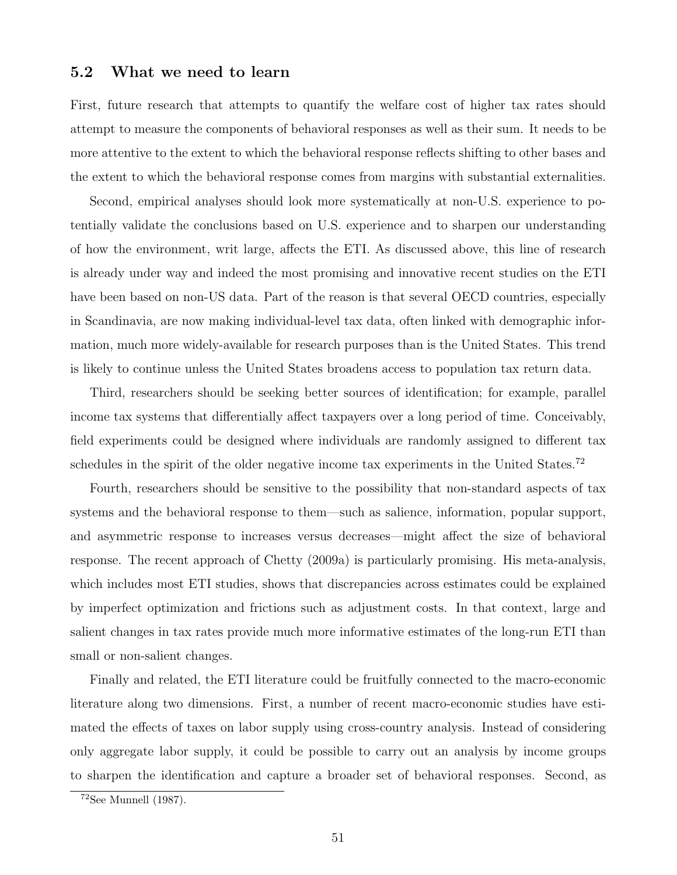### 5.2 What we need to learn

First, future research that attempts to quantify the welfare cost of higher tax rates should attempt to measure the components of behavioral responses as well as their sum. It needs to be more attentive to the extent to which the behavioral response reflects shifting to other bases and the extent to which the behavioral response comes from margins with substantial externalities.

Second, empirical analyses should look more systematically at non-U.S. experience to potentially validate the conclusions based on U.S. experience and to sharpen our understanding of how the environment, writ large, affects the ETI. As discussed above, this line of research is already under way and indeed the most promising and innovative recent studies on the ETI have been based on non-US data. Part of the reason is that several OECD countries, especially in Scandinavia, are now making individual-level tax data, often linked with demographic information, much more widely-available for research purposes than is the United States. This trend is likely to continue unless the United States broadens access to population tax return data.

Third, researchers should be seeking better sources of identification; for example, parallel income tax systems that differentially affect taxpayers over a long period of time. Conceivably, field experiments could be designed where individuals are randomly assigned to different tax schedules in the spirit of the older negative income tax experiments in the United States.<sup>72</sup>

Fourth, researchers should be sensitive to the possibility that non-standard aspects of tax systems and the behavioral response to them—such as salience, information, popular support, and asymmetric response to increases versus decreases—might affect the size of behavioral response. The recent approach of Chetty (2009a) is particularly promising. His meta-analysis, which includes most ETI studies, shows that discrepancies across estimates could be explained by imperfect optimization and frictions such as adjustment costs. In that context, large and salient changes in tax rates provide much more informative estimates of the long-run ETI than small or non-salient changes.

Finally and related, the ETI literature could be fruitfully connected to the macro-economic literature along two dimensions. First, a number of recent macro-economic studies have estimated the effects of taxes on labor supply using cross-country analysis. Instead of considering only aggregate labor supply, it could be possible to carry out an analysis by income groups to sharpen the identification and capture a broader set of behavioral responses. Second, as

 $72$ See Munnell (1987).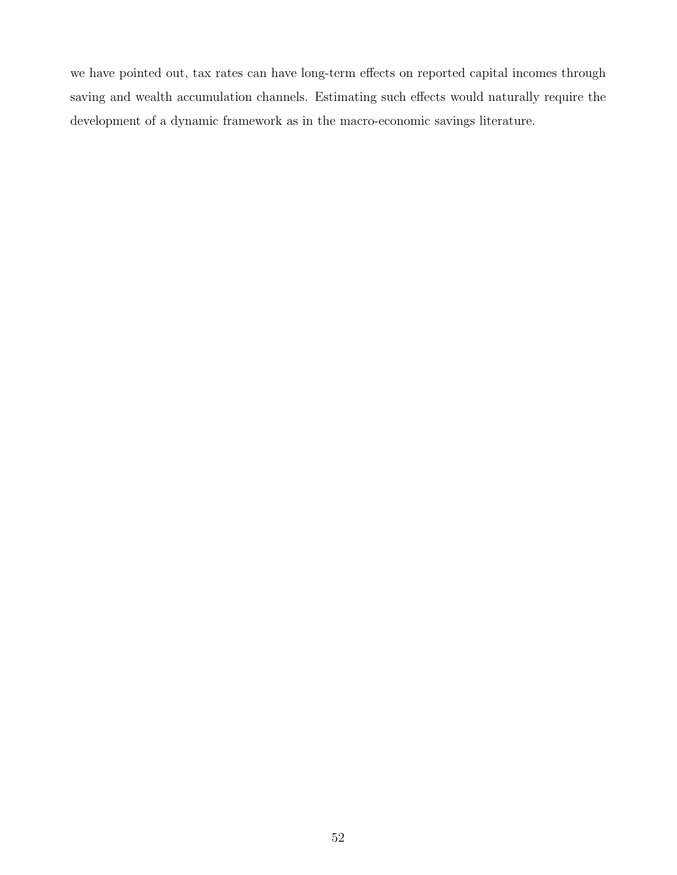we have pointed out, tax rates can have long-term effects on reported capital incomes through saving and wealth accumulation channels. Estimating such effects would naturally require the development of a dynamic framework as in the macro-economic savings literature.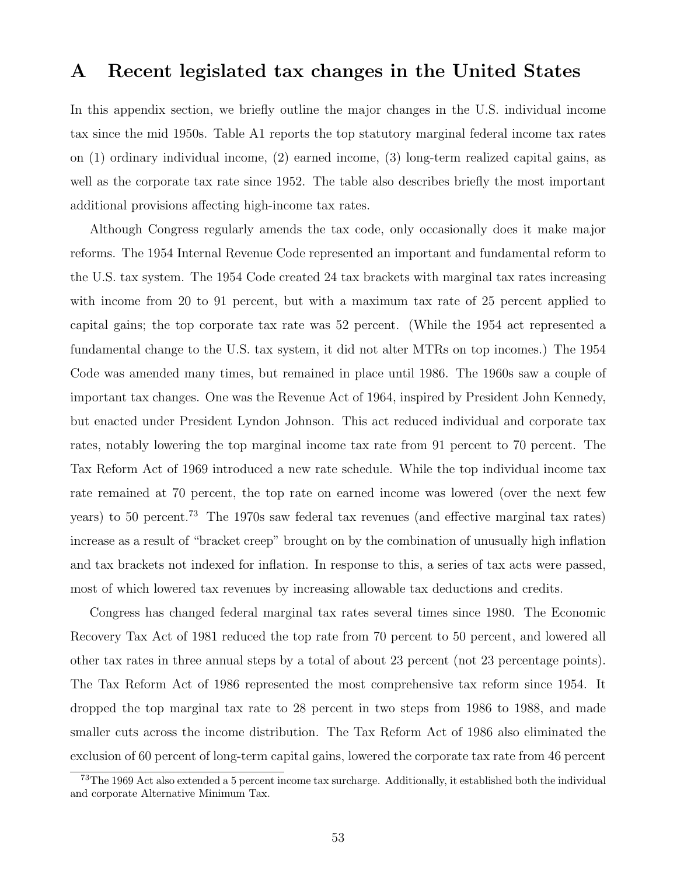## A Recent legislated tax changes in the United States

In this appendix section, we briefly outline the major changes in the U.S. individual income tax since the mid 1950s. Table A1 reports the top statutory marginal federal income tax rates on (1) ordinary individual income, (2) earned income, (3) long-term realized capital gains, as well as the corporate tax rate since 1952. The table also describes briefly the most important additional provisions affecting high-income tax rates.

Although Congress regularly amends the tax code, only occasionally does it make major reforms. The 1954 Internal Revenue Code represented an important and fundamental reform to the U.S. tax system. The 1954 Code created 24 tax brackets with marginal tax rates increasing with income from 20 to 91 percent, but with a maximum tax rate of 25 percent applied to capital gains; the top corporate tax rate was 52 percent. (While the 1954 act represented a fundamental change to the U.S. tax system, it did not alter MTRs on top incomes.) The 1954 Code was amended many times, but remained in place until 1986. The 1960s saw a couple of important tax changes. One was the Revenue Act of 1964, inspired by President John Kennedy, but enacted under President Lyndon Johnson. This act reduced individual and corporate tax rates, notably lowering the top marginal income tax rate from 91 percent to 70 percent. The Tax Reform Act of 1969 introduced a new rate schedule. While the top individual income tax rate remained at 70 percent, the top rate on earned income was lowered (over the next few years) to 50 percent.<sup>73</sup> The 1970s saw federal tax revenues (and effective marginal tax rates) increase as a result of "bracket creep" brought on by the combination of unusually high inflation and tax brackets not indexed for inflation. In response to this, a series of tax acts were passed, most of which lowered tax revenues by increasing allowable tax deductions and credits.

Congress has changed federal marginal tax rates several times since 1980. The Economic Recovery Tax Act of 1981 reduced the top rate from 70 percent to 50 percent, and lowered all other tax rates in three annual steps by a total of about 23 percent (not 23 percentage points). The Tax Reform Act of 1986 represented the most comprehensive tax reform since 1954. It dropped the top marginal tax rate to 28 percent in two steps from 1986 to 1988, and made smaller cuts across the income distribution. The Tax Reform Act of 1986 also eliminated the exclusion of 60 percent of long-term capital gains, lowered the corporate tax rate from 46 percent

<sup>&</sup>lt;sup>73</sup>The 1969 Act also extended a 5 percent income tax surcharge. Additionally, it established both the individual and corporate Alternative Minimum Tax.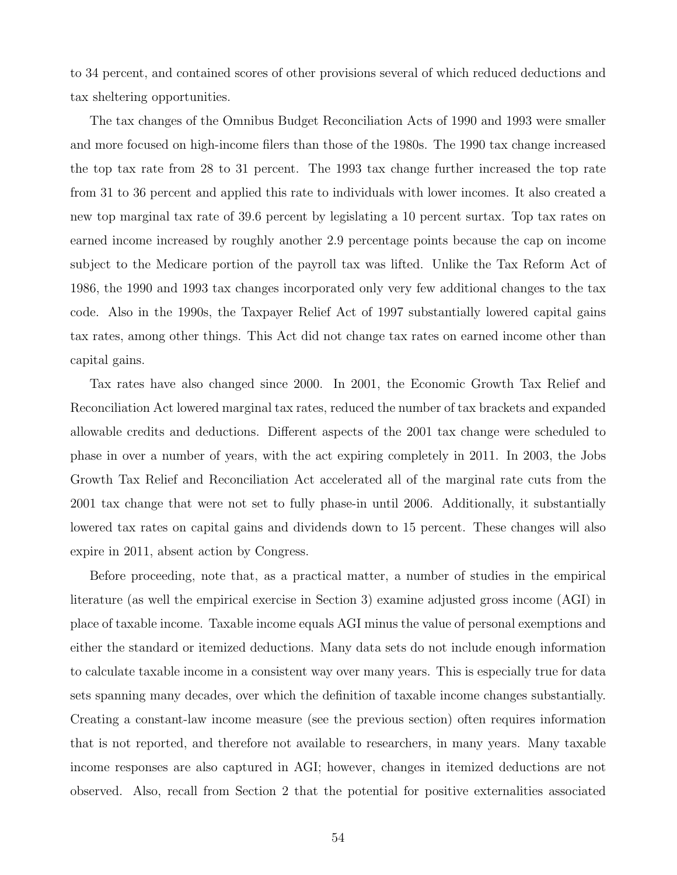to 34 percent, and contained scores of other provisions several of which reduced deductions and tax sheltering opportunities.

The tax changes of the Omnibus Budget Reconciliation Acts of 1990 and 1993 were smaller and more focused on high-income filers than those of the 1980s. The 1990 tax change increased the top tax rate from 28 to 31 percent. The 1993 tax change further increased the top rate from 31 to 36 percent and applied this rate to individuals with lower incomes. It also created a new top marginal tax rate of 39.6 percent by legislating a 10 percent surtax. Top tax rates on earned income increased by roughly another 2.9 percentage points because the cap on income subject to the Medicare portion of the payroll tax was lifted. Unlike the Tax Reform Act of 1986, the 1990 and 1993 tax changes incorporated only very few additional changes to the tax code. Also in the 1990s, the Taxpayer Relief Act of 1997 substantially lowered capital gains tax rates, among other things. This Act did not change tax rates on earned income other than capital gains.

Tax rates have also changed since 2000. In 2001, the Economic Growth Tax Relief and Reconciliation Act lowered marginal tax rates, reduced the number of tax brackets and expanded allowable credits and deductions. Different aspects of the 2001 tax change were scheduled to phase in over a number of years, with the act expiring completely in 2011. In 2003, the Jobs Growth Tax Relief and Reconciliation Act accelerated all of the marginal rate cuts from the 2001 tax change that were not set to fully phase-in until 2006. Additionally, it substantially lowered tax rates on capital gains and dividends down to 15 percent. These changes will also expire in 2011, absent action by Congress.

Before proceeding, note that, as a practical matter, a number of studies in the empirical literature (as well the empirical exercise in Section 3) examine adjusted gross income (AGI) in place of taxable income. Taxable income equals AGI minus the value of personal exemptions and either the standard or itemized deductions. Many data sets do not include enough information to calculate taxable income in a consistent way over many years. This is especially true for data sets spanning many decades, over which the definition of taxable income changes substantially. Creating a constant-law income measure (see the previous section) often requires information that is not reported, and therefore not available to researchers, in many years. Many taxable income responses are also captured in AGI; however, changes in itemized deductions are not observed. Also, recall from Section 2 that the potential for positive externalities associated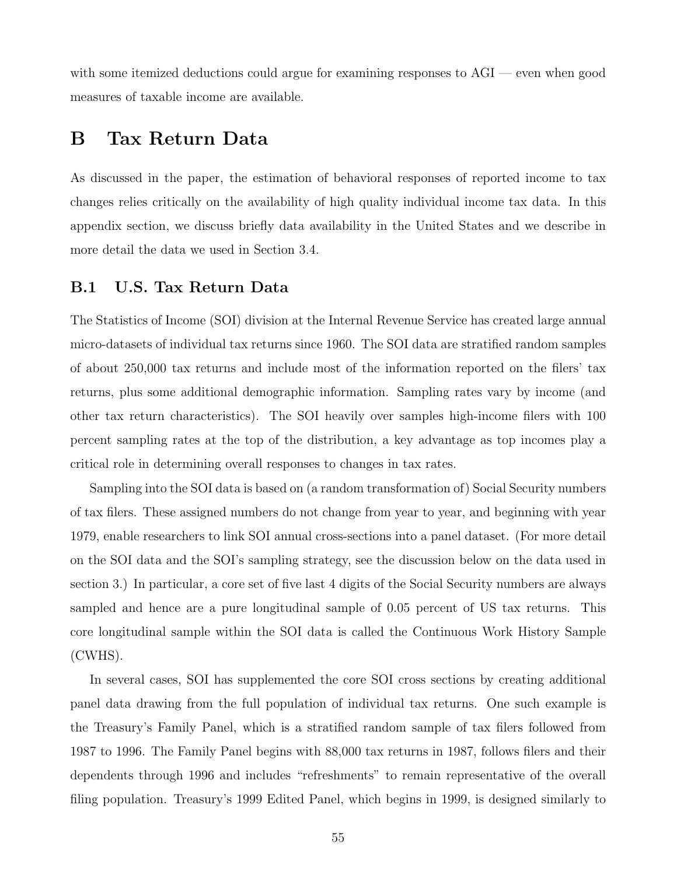with some itemized deductions could argue for examining responses to AGI — even when good measures of taxable income are available.

## B Tax Return Data

As discussed in the paper, the estimation of behavioral responses of reported income to tax changes relies critically on the availability of high quality individual income tax data. In this appendix section, we discuss briefly data availability in the United States and we describe in more detail the data we used in Section 3.4.

## B.1 U.S. Tax Return Data

The Statistics of Income (SOI) division at the Internal Revenue Service has created large annual micro-datasets of individual tax returns since 1960. The SOI data are stratified random samples of about 250,000 tax returns and include most of the information reported on the filers' tax returns, plus some additional demographic information. Sampling rates vary by income (and other tax return characteristics). The SOI heavily over samples high-income filers with 100 percent sampling rates at the top of the distribution, a key advantage as top incomes play a critical role in determining overall responses to changes in tax rates.

Sampling into the SOI data is based on (a random transformation of) Social Security numbers of tax filers. These assigned numbers do not change from year to year, and beginning with year 1979, enable researchers to link SOI annual cross-sections into a panel dataset. (For more detail on the SOI data and the SOI's sampling strategy, see the discussion below on the data used in section 3.) In particular, a core set of five last 4 digits of the Social Security numbers are always sampled and hence are a pure longitudinal sample of 0.05 percent of US tax returns. This core longitudinal sample within the SOI data is called the Continuous Work History Sample (CWHS).

In several cases, SOI has supplemented the core SOI cross sections by creating additional panel data drawing from the full population of individual tax returns. One such example is the Treasury's Family Panel, which is a stratified random sample of tax filers followed from 1987 to 1996. The Family Panel begins with 88,000 tax returns in 1987, follows filers and their dependents through 1996 and includes "refreshments" to remain representative of the overall filing population. Treasury's 1999 Edited Panel, which begins in 1999, is designed similarly to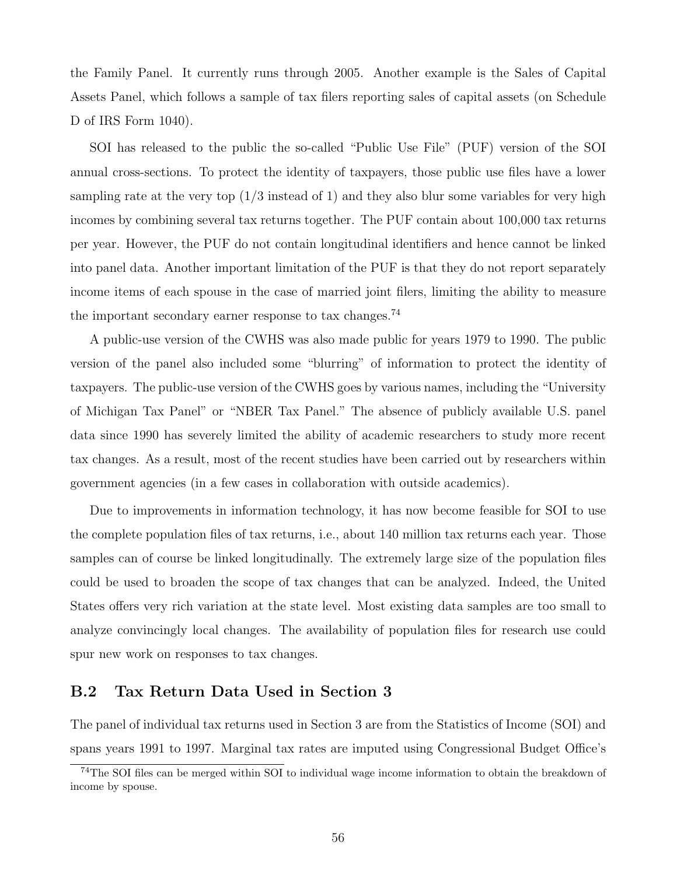the Family Panel. It currently runs through 2005. Another example is the Sales of Capital Assets Panel, which follows a sample of tax filers reporting sales of capital assets (on Schedule D of IRS Form  $1040$ ).

SOI has released to the public the so-called "Public Use File" (PUF) version of the SOI annual cross-sections. To protect the identity of taxpayers, those public use files have a lower sampling rate at the very top  $(1/3$  instead of 1) and they also blur some variables for very high incomes by combining several tax returns together. The PUF contain about 100,000 tax returns per year. However, the PUF do not contain longitudinal identifiers and hence cannot be linked into panel data. Another important limitation of the PUF is that they do not report separately income items of each spouse in the case of married joint filers, limiting the ability to measure the important secondary earner response to tax changes.<sup>74</sup>

A public-use version of the CWHS was also made public for years 1979 to 1990. The public version of the panel also included some "blurring" of information to protect the identity of taxpayers. The public-use version of the CWHS goes by various names, including the "University of Michigan Tax Panel" or "NBER Tax Panel." The absence of publicly available U.S. panel data since 1990 has severely limited the ability of academic researchers to study more recent tax changes. As a result, most of the recent studies have been carried out by researchers within government agencies (in a few cases in collaboration with outside academics).

Due to improvements in information technology, it has now become feasible for SOI to use the complete population files of tax returns, i.e., about 140 million tax returns each year. Those samples can of course be linked longitudinally. The extremely large size of the population files could be used to broaden the scope of tax changes that can be analyzed. Indeed, the United States offers very rich variation at the state level. Most existing data samples are too small to analyze convincingly local changes. The availability of population files for research use could spur new work on responses to tax changes.

## B.2 Tax Return Data Used in Section 3

The panel of individual tax returns used in Section 3 are from the Statistics of Income (SOI) and spans years 1991 to 1997. Marginal tax rates are imputed using Congressional Budget Office's

<sup>74</sup>The SOI files can be merged within SOI to individual wage income information to obtain the breakdown of income by spouse.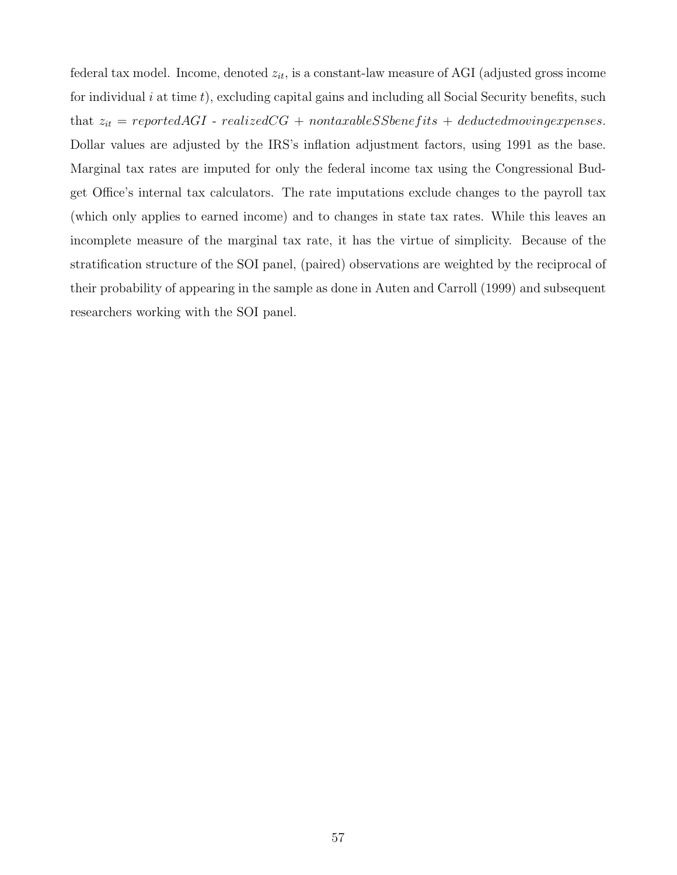federal tax model. Income, denoted  $z_{it}$ , is a constant-law measure of AGI (adjusted gross income for individual i at time  $t$ ), excluding capital gains and including all Social Security benefits, such that  $z_{it} = reported AGI$  - realizedCG + nontaxableSSbenefits + deducted moving expenses. Dollar values are adjusted by the IRS's inflation adjustment factors, using 1991 as the base. Marginal tax rates are imputed for only the federal income tax using the Congressional Budget Office's internal tax calculators. The rate imputations exclude changes to the payroll tax (which only applies to earned income) and to changes in state tax rates. While this leaves an incomplete measure of the marginal tax rate, it has the virtue of simplicity. Because of the stratification structure of the SOI panel, (paired) observations are weighted by the reciprocal of their probability of appearing in the sample as done in Auten and Carroll (1999) and subsequent researchers working with the SOI panel.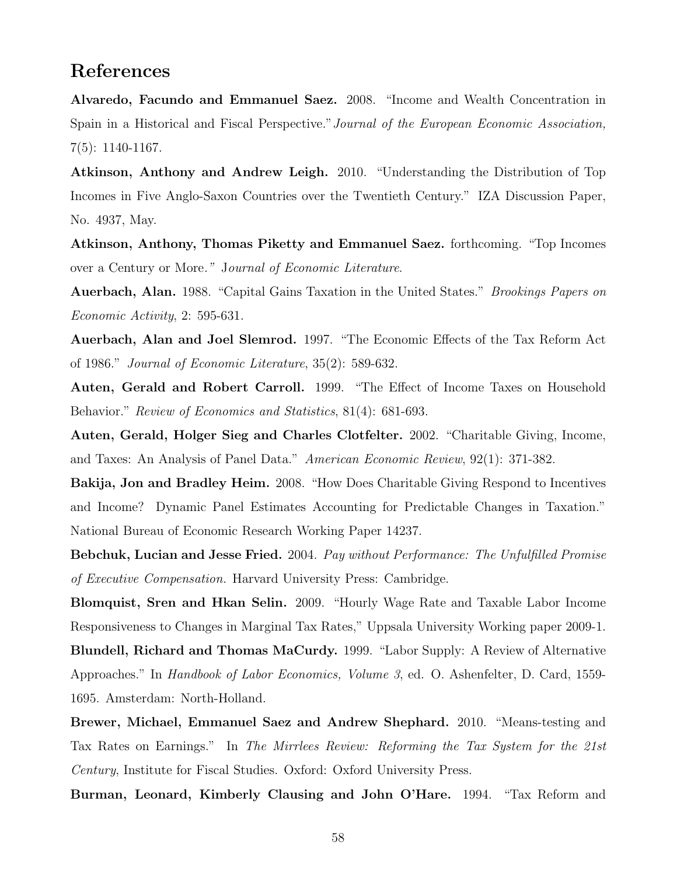## References

Alvaredo, Facundo and Emmanuel Saez. 2008. "Income and Wealth Concentration in Spain in a Historical and Fiscal Perspective."Journal of the European Economic Association, 7(5): 1140-1167.

Atkinson, Anthony and Andrew Leigh. 2010. "Understanding the Distribution of Top Incomes in Five Anglo-Saxon Countries over the Twentieth Century." IZA Discussion Paper, No. 4937, May.

Atkinson, Anthony, Thomas Piketty and Emmanuel Saez. forthcoming. "Top Incomes over a Century or More." Journal of Economic Literature.

Auerbach, Alan. 1988. "Capital Gains Taxation in the United States." Brookings Papers on Economic Activity, 2: 595-631.

Auerbach, Alan and Joel Slemrod. 1997. "The Economic Effects of the Tax Reform Act of 1986." Journal of Economic Literature, 35(2): 589-632.

Auten, Gerald and Robert Carroll. 1999. "The Effect of Income Taxes on Household Behavior." Review of Economics and Statistics, 81(4): 681-693.

Auten, Gerald, Holger Sieg and Charles Clotfelter. 2002. "Charitable Giving, Income, and Taxes: An Analysis of Panel Data." American Economic Review, 92(1): 371-382.

Bakija, Jon and Bradley Heim. 2008. "How Does Charitable Giving Respond to Incentives and Income? Dynamic Panel Estimates Accounting for Predictable Changes in Taxation." National Bureau of Economic Research Working Paper 14237.

Bebchuk, Lucian and Jesse Fried. 2004. Pay without Performance: The Unfulfilled Promise of Executive Compensation. Harvard University Press: Cambridge.

Blomquist, Sren and Hkan Selin. 2009. "Hourly Wage Rate and Taxable Labor Income Responsiveness to Changes in Marginal Tax Rates," Uppsala University Working paper 2009-1. Blundell, Richard and Thomas MaCurdy. 1999. "Labor Supply: A Review of Alternative Approaches." In Handbook of Labor Economics, Volume 3, ed. O. Ashenfelter, D. Card, 1559- 1695. Amsterdam: North-Holland.

Brewer, Michael, Emmanuel Saez and Andrew Shephard. 2010. "Means-testing and Tax Rates on Earnings." In The Mirrlees Review: Reforming the Tax System for the 21st Century, Institute for Fiscal Studies. Oxford: Oxford University Press.

Burman, Leonard, Kimberly Clausing and John O'Hare. 1994. "Tax Reform and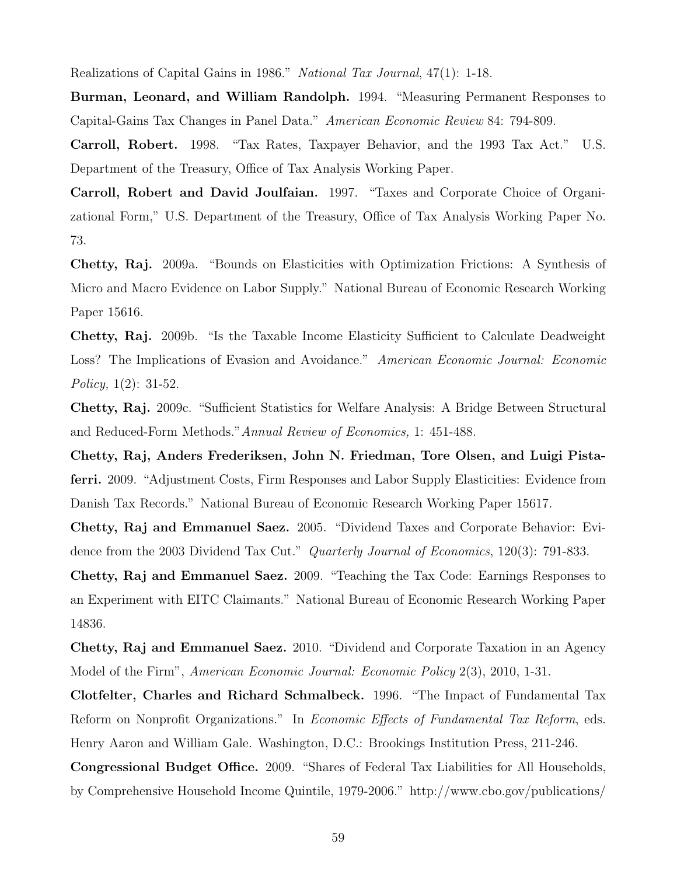Realizations of Capital Gains in 1986." National Tax Journal, 47(1): 1-18.

Burman, Leonard, and William Randolph. 1994. "Measuring Permanent Responses to Capital-Gains Tax Changes in Panel Data." American Economic Review 84: 794-809.

Carroll, Robert. 1998. "Tax Rates, Taxpayer Behavior, and the 1993 Tax Act." U.S. Department of the Treasury, Office of Tax Analysis Working Paper.

Carroll, Robert and David Joulfaian. 1997. "Taxes and Corporate Choice of Organizational Form," U.S. Department of the Treasury, Office of Tax Analysis Working Paper No. 73.

Chetty, Raj. 2009a. "Bounds on Elasticities with Optimization Frictions: A Synthesis of Micro and Macro Evidence on Labor Supply." National Bureau of Economic Research Working Paper 15616.

Chetty, Raj. 2009b. "Is the Taxable Income Elasticity Sufficient to Calculate Deadweight Loss? The Implications of Evasion and Avoidance." American Economic Journal: Economic Policy, 1(2): 31-52.

Chetty, Raj. 2009c. "Sufficient Statistics for Welfare Analysis: A Bridge Between Structural and Reduced-Form Methods."Annual Review of Economics, 1: 451-488.

Chetty, Raj, Anders Frederiksen, John N. Friedman, Tore Olsen, and Luigi Pistaferri. 2009. "Adjustment Costs, Firm Responses and Labor Supply Elasticities: Evidence from Danish Tax Records." National Bureau of Economic Research Working Paper 15617.

Chetty, Raj and Emmanuel Saez. 2005. "Dividend Taxes and Corporate Behavior: Evidence from the 2003 Dividend Tax Cut." *Quarterly Journal of Economics*, 120(3): 791-833.

Chetty, Raj and Emmanuel Saez. 2009. "Teaching the Tax Code: Earnings Responses to an Experiment with EITC Claimants." National Bureau of Economic Research Working Paper 14836.

Chetty, Raj and Emmanuel Saez. 2010. "Dividend and Corporate Taxation in an Agency Model of the Firm", American Economic Journal: Economic Policy 2(3), 2010, 1-31.

Clotfelter, Charles and Richard Schmalbeck. 1996. "The Impact of Fundamental Tax Reform on Nonprofit Organizations." In *Economic Effects of Fundamental Tax Reform*, eds. Henry Aaron and William Gale. Washington, D.C.: Brookings Institution Press, 211-246. Congressional Budget Office. 2009. "Shares of Federal Tax Liabilities for All Households,

by Comprehensive Household Income Quintile, 1979-2006." http://www.cbo.gov/publications/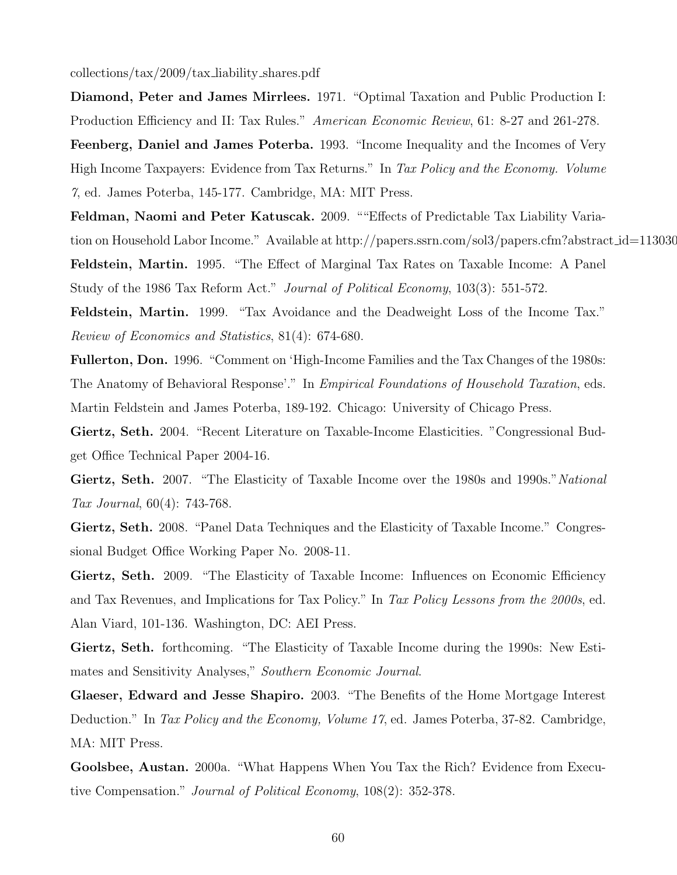collections/tax/2009/tax liability shares.pdf

Diamond, Peter and James Mirrlees. 1971. "Optimal Taxation and Public Production I: Production Efficiency and II: Tax Rules." American Economic Review, 61: 8-27 and 261-278. Feenberg, Daniel and James Poterba. 1993. "Income Inequality and the Incomes of Very High Income Taxpayers: Evidence from Tax Returns." In Tax Policy and the Economy. Volume

7, ed. James Poterba, 145-177. Cambridge, MA: MIT Press.

Feldman, Naomi and Peter Katuscak. 2009. ""Effects of Predictable Tax Liability Variation on Household Labor Income." Available at http://papers.ssrn.com/sol3/papers.cfm?abstract\_id=113030. Feldstein, Martin. 1995. "The Effect of Marginal Tax Rates on Taxable Income: A Panel Study of the 1986 Tax Reform Act." Journal of Political Economy, 103(3): 551-572.

Feldstein, Martin. 1999. "Tax Avoidance and the Deadweight Loss of the Income Tax." Review of Economics and Statistics, 81(4): 674-680.

Fullerton, Don. 1996. "Comment on 'High-Income Families and the Tax Changes of the 1980s: The Anatomy of Behavioral Response'." In Empirical Foundations of Household Taxation, eds. Martin Feldstein and James Poterba, 189-192. Chicago: University of Chicago Press.

Giertz, Seth. 2004. "Recent Literature on Taxable-Income Elasticities. "Congressional Budget Office Technical Paper 2004-16.

Giertz, Seth. 2007. "The Elasticity of Taxable Income over the 1980s and 1990s." National Tax Journal, 60(4): 743-768.

Giertz, Seth. 2008. "Panel Data Techniques and the Elasticity of Taxable Income." Congressional Budget Office Working Paper No. 2008-11.

Giertz, Seth. 2009. "The Elasticity of Taxable Income: Influences on Economic Efficiency and Tax Revenues, and Implications for Tax Policy." In Tax Policy Lessons from the 2000s, ed. Alan Viard, 101-136. Washington, DC: AEI Press.

Giertz, Seth. forthcoming. "The Elasticity of Taxable Income during the 1990s: New Estimates and Sensitivity Analyses," Southern Economic Journal.

Glaeser, Edward and Jesse Shapiro. 2003. "The Benefits of the Home Mortgage Interest Deduction." In Tax Policy and the Economy, Volume 17, ed. James Poterba, 37-82. Cambridge, MA: MIT Press.

Goolsbee, Austan. 2000a. "What Happens When You Tax the Rich? Evidence from Executive Compensation." Journal of Political Economy, 108(2): 352-378.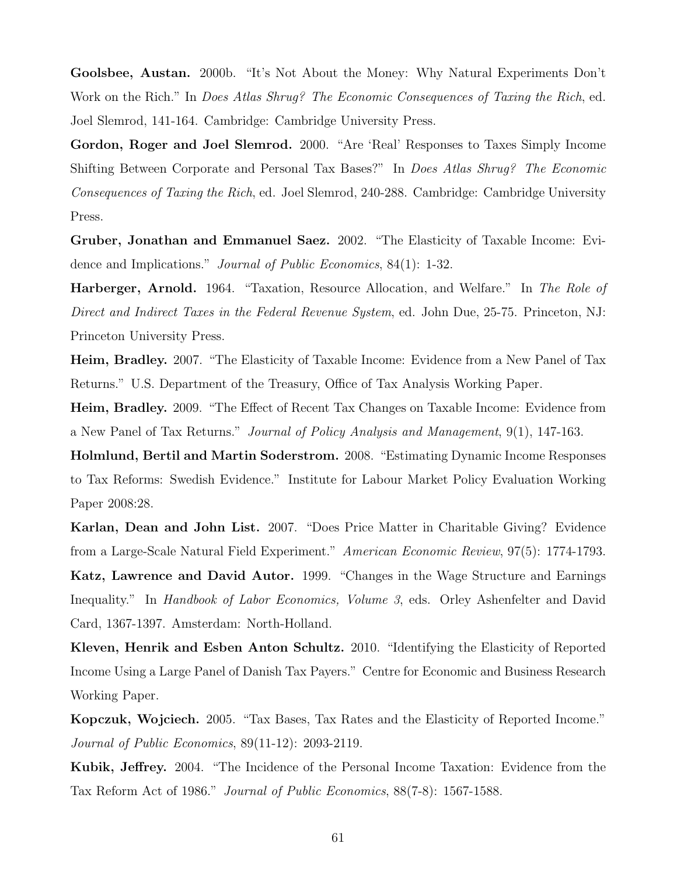Goolsbee, Austan. 2000b. "It's Not About the Money: Why Natural Experiments Don't Work on the Rich." In *Does Atlas Shrug? The Economic Consequences of Taxing the Rich*, ed. Joel Slemrod, 141-164. Cambridge: Cambridge University Press.

Gordon, Roger and Joel Slemrod. 2000. "Are 'Real' Responses to Taxes Simply Income Shifting Between Corporate and Personal Tax Bases?" In Does Atlas Shrug? The Economic Consequences of Taxing the Rich, ed. Joel Slemrod, 240-288. Cambridge: Cambridge University Press.

Gruber, Jonathan and Emmanuel Saez. 2002. "The Elasticity of Taxable Income: Evidence and Implications." Journal of Public Economics, 84(1): 1-32.

Harberger, Arnold. 1964. "Taxation, Resource Allocation, and Welfare." In The Role of Direct and Indirect Taxes in the Federal Revenue System, ed. John Due, 25-75. Princeton, NJ: Princeton University Press.

Heim, Bradley. 2007. "The Elasticity of Taxable Income: Evidence from a New Panel of Tax Returns." U.S. Department of the Treasury, Office of Tax Analysis Working Paper.

Heim, Bradley. 2009. "The Effect of Recent Tax Changes on Taxable Income: Evidence from a New Panel of Tax Returns." Journal of Policy Analysis and Management, 9(1), 147-163.

Holmlund, Bertil and Martin Soderstrom. 2008. "Estimating Dynamic Income Responses to Tax Reforms: Swedish Evidence." Institute for Labour Market Policy Evaluation Working Paper 2008:28.

Karlan, Dean and John List. 2007. "Does Price Matter in Charitable Giving? Evidence from a Large-Scale Natural Field Experiment." American Economic Review, 97(5): 1774-1793.

Katz, Lawrence and David Autor. 1999. "Changes in the Wage Structure and Earnings Inequality." In Handbook of Labor Economics, Volume 3, eds. Orley Ashenfelter and David Card, 1367-1397. Amsterdam: North-Holland.

Kleven, Henrik and Esben Anton Schultz. 2010. "Identifying the Elasticity of Reported Income Using a Large Panel of Danish Tax Payers." Centre for Economic and Business Research Working Paper.

Kopczuk, Wojciech. 2005. "Tax Bases, Tax Rates and the Elasticity of Reported Income." Journal of Public Economics, 89(11-12): 2093-2119.

Kubik, Jeffrey. 2004. "The Incidence of the Personal Income Taxation: Evidence from the Tax Reform Act of 1986." Journal of Public Economics, 88(7-8): 1567-1588.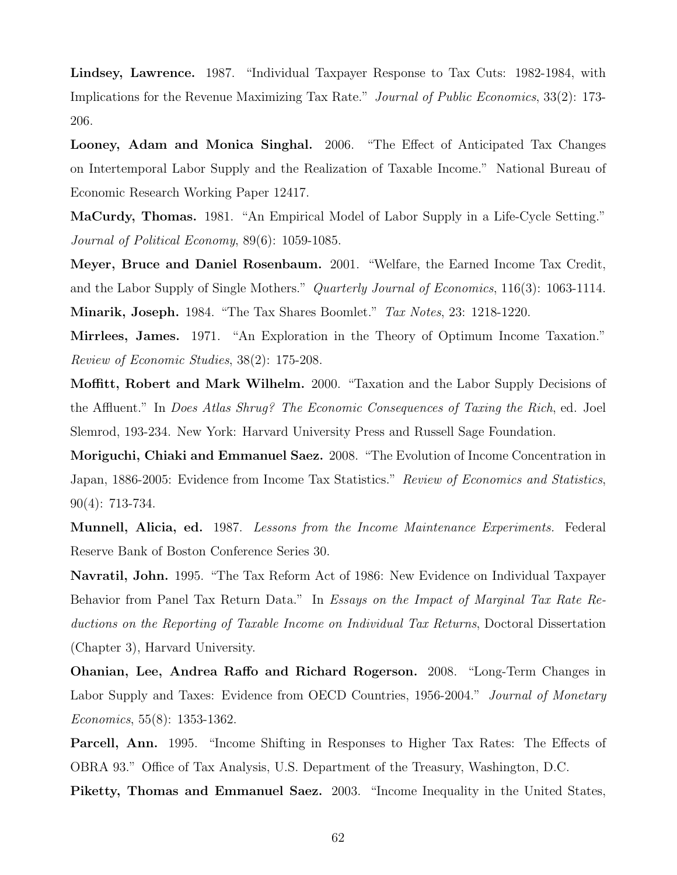Lindsey, Lawrence. 1987. "Individual Taxpayer Response to Tax Cuts: 1982-1984, with Implications for the Revenue Maximizing Tax Rate." Journal of Public Economics, 33(2): 173- 206.

Looney, Adam and Monica Singhal. 2006. "The Effect of Anticipated Tax Changes on Intertemporal Labor Supply and the Realization of Taxable Income." National Bureau of Economic Research Working Paper 12417.

MaCurdy, Thomas. 1981. "An Empirical Model of Labor Supply in a Life-Cycle Setting." Journal of Political Economy, 89(6): 1059-1085.

Meyer, Bruce and Daniel Rosenbaum. 2001. "Welfare, the Earned Income Tax Credit, and the Labor Supply of Single Mothers." Quarterly Journal of Economics, 116(3): 1063-1114. Minarik, Joseph. 1984. "The Tax Shares Boomlet." Tax Notes, 23: 1218-1220.

Mirrlees, James. 1971. "An Exploration in the Theory of Optimum Income Taxation." Review of Economic Studies, 38(2): 175-208.

Moffitt, Robert and Mark Wilhelm. 2000. "Taxation and the Labor Supply Decisions of the Affluent." In Does Atlas Shrug? The Economic Consequences of Taxing the Rich, ed. Joel Slemrod, 193-234. New York: Harvard University Press and Russell Sage Foundation.

Moriguchi, Chiaki and Emmanuel Saez. 2008. "The Evolution of Income Concentration in Japan, 1886-2005: Evidence from Income Tax Statistics." Review of Economics and Statistics, 90(4): 713-734.

Munnell, Alicia, ed. 1987. Lessons from the Income Maintenance Experiments. Federal Reserve Bank of Boston Conference Series 30.

Navratil, John. 1995. "The Tax Reform Act of 1986: New Evidence on Individual Taxpayer Behavior from Panel Tax Return Data." In Essays on the Impact of Marginal Tax Rate Reductions on the Reporting of Taxable Income on Individual Tax Returns, Doctoral Dissertation (Chapter 3), Harvard University.

Ohanian, Lee, Andrea Raffo and Richard Rogerson. 2008. "Long-Term Changes in Labor Supply and Taxes: Evidence from OECD Countries, 1956-2004." Journal of Monetary Economics, 55(8): 1353-1362.

Parcell, Ann. 1995. "Income Shifting in Responses to Higher Tax Rates: The Effects of OBRA 93." Office of Tax Analysis, U.S. Department of the Treasury, Washington, D.C.

Piketty, Thomas and Emmanuel Saez. 2003. "Income Inequality in the United States,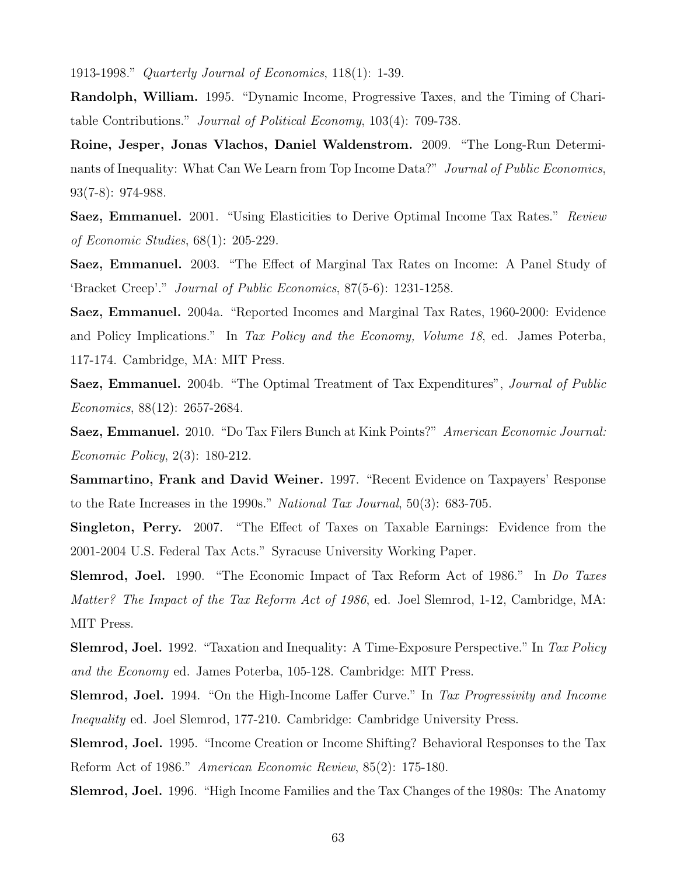1913-1998." Quarterly Journal of Economics, 118(1): 1-39.

Randolph, William. 1995. "Dynamic Income, Progressive Taxes, and the Timing of Charitable Contributions." Journal of Political Economy, 103(4): 709-738.

Roine, Jesper, Jonas Vlachos, Daniel Waldenstrom. 2009. "The Long-Run Determinants of Inequality: What Can We Learn from Top Income Data?" Journal of Public Economics, 93(7-8): 974-988.

Saez, Emmanuel. 2001. "Using Elasticities to Derive Optimal Income Tax Rates." Review of Economic Studies, 68(1): 205-229.

Saez, Emmanuel. 2003. "The Effect of Marginal Tax Rates on Income: A Panel Study of 'Bracket Creep'." Journal of Public Economics, 87(5-6): 1231-1258.

Saez, Emmanuel. 2004a. "Reported Incomes and Marginal Tax Rates, 1960-2000: Evidence and Policy Implications." In Tax Policy and the Economy, Volume 18, ed. James Poterba, 117-174. Cambridge, MA: MIT Press.

**Saez, Emmanuel.** 2004b. "The Optimal Treatment of Tax Expenditures", *Journal of Public* Economics, 88(12): 2657-2684.

Saez, Emmanuel. 2010. "Do Tax Filers Bunch at Kink Points?" American Economic Journal: Economic Policy, 2(3): 180-212.

Sammartino, Frank and David Weiner. 1997. "Recent Evidence on Taxpayers' Response to the Rate Increases in the 1990s." National Tax Journal, 50(3): 683-705.

Singleton, Perry. 2007. "The Effect of Taxes on Taxable Earnings: Evidence from the 2001-2004 U.S. Federal Tax Acts." Syracuse University Working Paper.

Slemrod, Joel. 1990. "The Economic Impact of Tax Reform Act of 1986." In *Do Taxes* Matter? The Impact of the Tax Reform Act of 1986, ed. Joel Slemrod, 1-12, Cambridge, MA: MIT Press.

Slemrod, Joel. 1992. "Taxation and Inequality: A Time-Exposure Perspective." In Tax Policy and the Economy ed. James Poterba, 105-128. Cambridge: MIT Press.

Slemrod, Joel. 1994. "On the High-Income Laffer Curve." In Tax Progressivity and Income Inequality ed. Joel Slemrod, 177-210. Cambridge: Cambridge University Press.

Slemrod, Joel. 1995. "Income Creation or Income Shifting? Behavioral Responses to the Tax Reform Act of 1986." American Economic Review, 85(2): 175-180.

Slemrod, Joel. 1996. "High Income Families and the Tax Changes of the 1980s: The Anatomy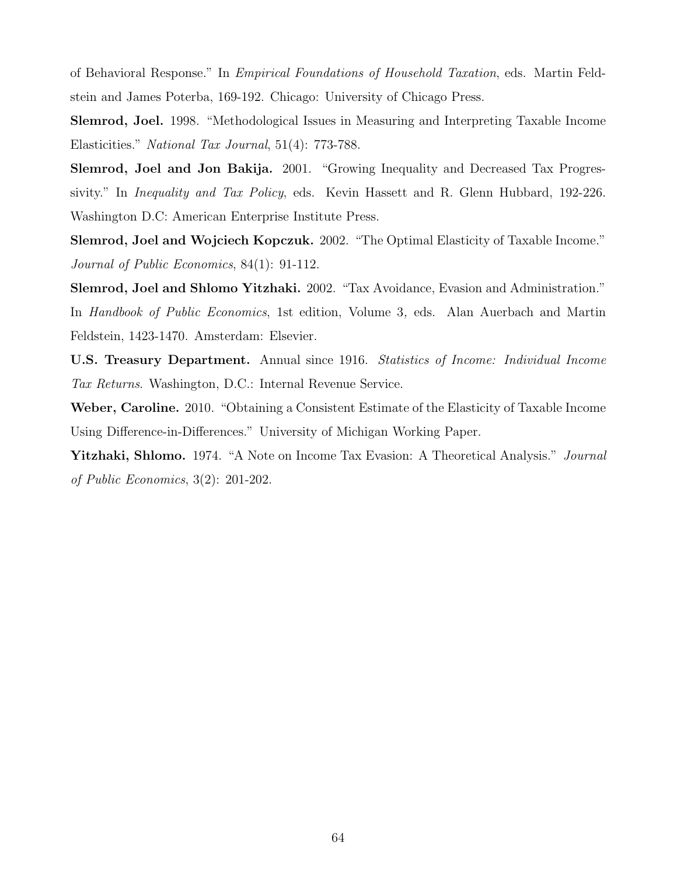of Behavioral Response." In Empirical Foundations of Household Taxation, eds. Martin Feldstein and James Poterba, 169-192. Chicago: University of Chicago Press.

Slemrod, Joel. 1998. "Methodological Issues in Measuring and Interpreting Taxable Income Elasticities." National Tax Journal, 51(4): 773-788.

Slemrod, Joel and Jon Bakija. 2001. "Growing Inequality and Decreased Tax Progressivity." In *Inequality and Tax Policy*, eds. Kevin Hassett and R. Glenn Hubbard, 192-226. Washington D.C: American Enterprise Institute Press.

Slemrod, Joel and Wojciech Kopczuk. 2002. "The Optimal Elasticity of Taxable Income." Journal of Public Economics, 84(1): 91-112.

Slemrod, Joel and Shlomo Yitzhaki. 2002. "Tax Avoidance, Evasion and Administration." In Handbook of Public Economics, 1st edition, Volume 3, eds. Alan Auerbach and Martin Feldstein, 1423-1470. Amsterdam: Elsevier.

U.S. Treasury Department. Annual since 1916. Statistics of Income: Individual Income Tax Returns. Washington, D.C.: Internal Revenue Service.

Weber, Caroline. 2010. "Obtaining a Consistent Estimate of the Elasticity of Taxable Income Using Difference-in-Differences." University of Michigan Working Paper.

Yitzhaki, Shlomo. 1974. "A Note on Income Tax Evasion: A Theoretical Analysis." Journal of Public Economics, 3(2): 201-202.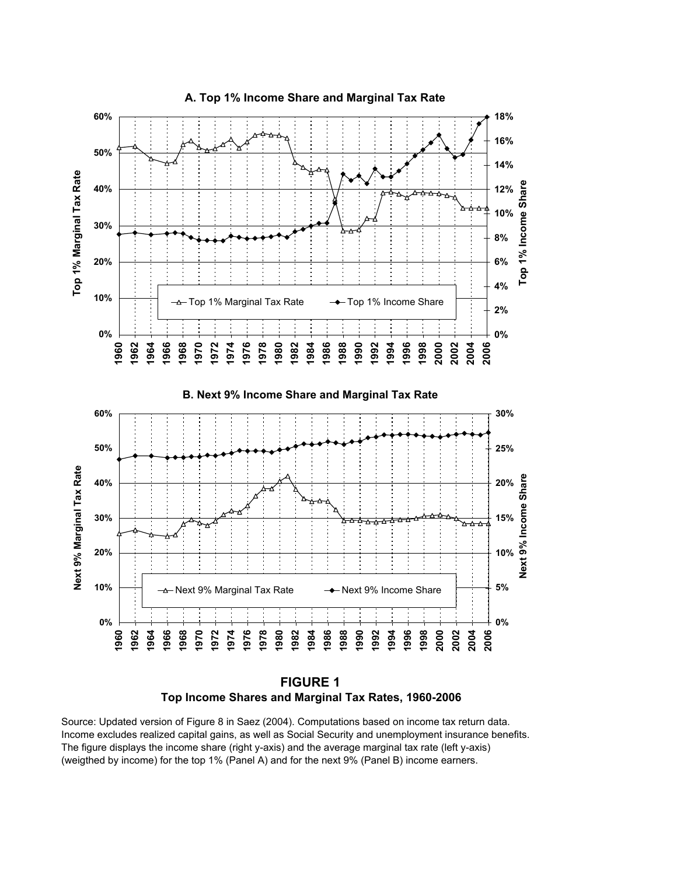

**FIGURE 1** Top Income Shares and Marginal Tax Rates, 1960-2006

Source: Updated version of Figure 8 in Saez (2004). Computations based on income tax return data. Income excludes realized capital gains, as well as Social Security and unemployment insurance benefits. The figure displays the income share (right y-axis) and the average marginal tax rate (left y-axis) (weigthed by income) for the top 1% (Panel A) and for the next 9% (Panel B) income earners.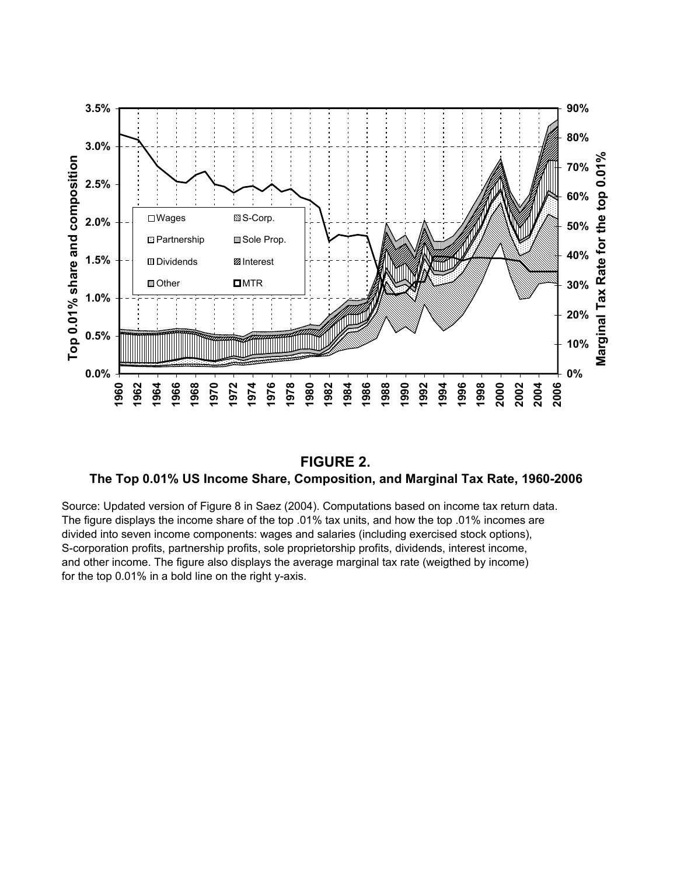

## **FIGURE 2.** The Top 0.01% US Income Share, Composition, and Marginal Tax Rate, 1960-2006

Source: Updated version of Figure 8 in Saez (2004). Computations based on income tax return data. The figure displays the income share of the top .01% tax units, and how the top .01% incomes are divided into seven income components: wages and salaries (including exercised stock options), S-corporation profits, partnership profits, sole proprietorship profits, dividends, interest income, and other income. The figure also displays the average marginal tax rate (weigthed by income) for the top 0.01% in a bold line on the right y-axis.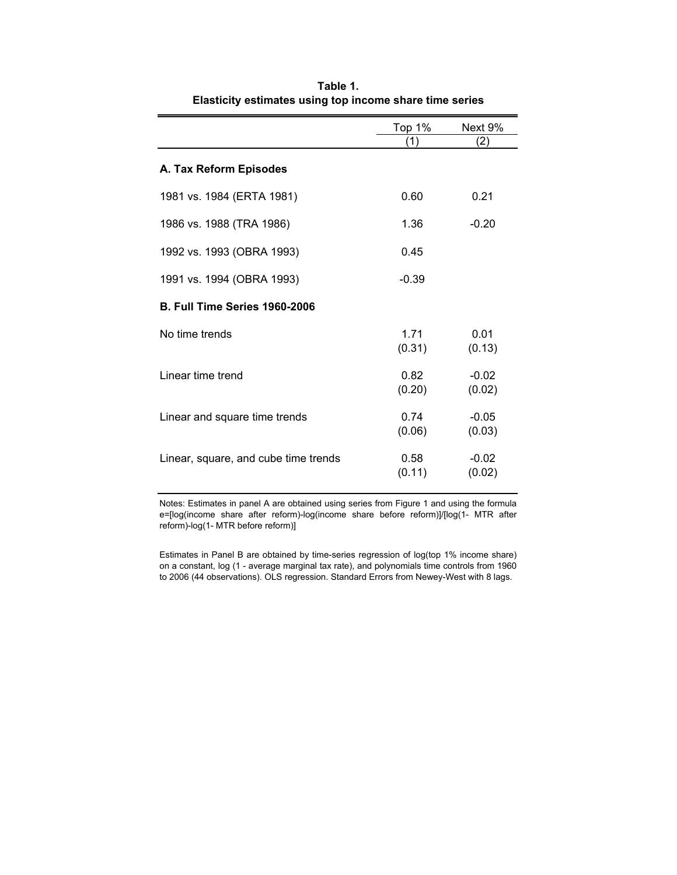|                                      | <b>Top 1%</b>  | Next 9%           |  |  |
|--------------------------------------|----------------|-------------------|--|--|
|                                      | (1)            | (2)               |  |  |
| A. Tax Reform Episodes               |                |                   |  |  |
| 1981 vs. 1984 (ERTA 1981)            | 0.60           | 0.21              |  |  |
| 1986 vs. 1988 (TRA 1986)             | 1.36           | $-0.20$           |  |  |
| 1992 vs. 1993 (OBRA 1993)            | 0.45           |                   |  |  |
| 1991 vs. 1994 (OBRA 1993)            | $-0.39$        |                   |  |  |
| <b>B. Full Time Series 1960-2006</b> |                |                   |  |  |
| No time trends                       | 1.71<br>(0.31) | 0.01<br>(0.13)    |  |  |
| Linear time trend                    | 0.82<br>(0.20) | $-0.02$<br>(0.02) |  |  |
| Linear and square time trends        | 0.74<br>(0.06) | $-0.05$<br>(0.03) |  |  |
| Linear, square, and cube time trends | 0.58<br>(0.11) | $-0.02$<br>(0.02) |  |  |

Table 1. Elasticity estimates using top income share time series

Notes: Estimates in panel A are obtained using series from Figure 1 and using the formula e=[log(income share after reform)-log(income share before reform)]/[log(1- MTR after reform)-log(1- MTR before reform)]

Estimates in Panel B are obtained by time-series regression of log(top 1% income share) on a constant, log (1 - average marginal tax rate), and polynomials time controls from 1960 to 2006 (44 observations). OLS regression. Standard Errors from Newey-West with 8 lags.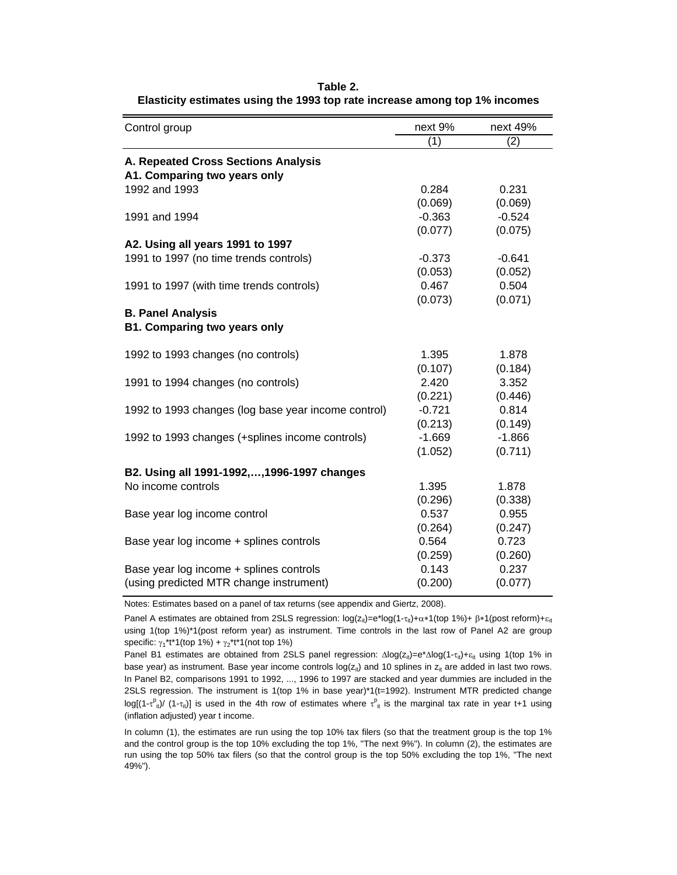| Control group                                       | next 9%          | next 49%         |
|-----------------------------------------------------|------------------|------------------|
|                                                     | (1)              | (2)              |
| A. Repeated Cross Sections Analysis                 |                  |                  |
| A1. Comparing two years only                        |                  |                  |
| 1992 and 1993                                       | 0.284            | 0.231            |
|                                                     | (0.069)          | (0.069)          |
| 1991 and 1994                                       | $-0.363$         | $-0.524$         |
|                                                     | (0.077)          | (0.075)          |
| A2. Using all years 1991 to 1997                    |                  |                  |
| 1991 to 1997 (no time trends controls)              | $-0.373$         | $-0.641$         |
|                                                     | (0.053)          | (0.052)          |
| 1991 to 1997 (with time trends controls)            | 0.467            | 0.504            |
|                                                     | (0.073)          | (0.071)          |
| <b>B. Panel Analysis</b>                            |                  |                  |
| <b>B1. Comparing two years only</b>                 |                  |                  |
|                                                     |                  |                  |
| 1992 to 1993 changes (no controls)                  | 1.395<br>(0.107) | 1.878            |
| 1991 to 1994 changes (no controls)                  | 2.420            | (0.184)<br>3.352 |
|                                                     | (0.221)          | (0.446)          |
| 1992 to 1993 changes (log base year income control) | $-0.721$         | 0.814            |
|                                                     | (0.213)          | (0.149)          |
| 1992 to 1993 changes (+splines income controls)     | $-1.669$         | $-1.866$         |
|                                                     | (1.052)          | (0.711)          |
|                                                     |                  |                  |
| B2. Using all 1991-1992,, 1996-1997 changes         |                  |                  |
| No income controls                                  | 1.395            | 1.878            |
|                                                     | (0.296)          | (0.338)          |
| Base year log income control                        | 0.537            | 0.955            |
|                                                     | (0.264)          | (0.247)          |
| Base year log income + splines controls             | 0.564            | 0.723            |
|                                                     | (0.259)          | (0.260)          |
| Base year log income + splines controls             | 0.143            | 0.237            |
| (using predicted MTR change instrument)             | (0.200)          | (0.077)          |

**Elasticity estimates using the 1993 top rate increase among top 1% incomes Table 2.**

 $\overline{a}$ 

Notes: Estimates based on a panel of tax returns (see appendix and Giertz, 2008).

Panel A estimates are obtained from 2SLS regression:  $log(z_{it})=e^{*}log(1-\tau_{it})+\alpha*1(top 1\%)+ \beta*1(post reform)+\epsilon_{it}$ using 1(top 1%)\*1(post reform year) as instrument. Time controls in the last row of Panel A2 are group specific:  $\gamma_1$ <sup>\*</sup>t\*1(top 1%) +  $\gamma_2$ <sup>\*</sup>t\*1(not top 1%)

Panel B1 estimates are obtained from 2SLS panel regression:  $\Delta$ log( $z_{it}$ )=e\* $\Delta$ log(1- $\tau_{it}$ )+ $\varepsilon_{it}$  using 1(top 1% in base year) as instrument. Base year income controls  $log(z_{it})$  and 10 splines in  $z_{it}$  are added in last two rows. In Panel B2, comparisons 1991 to 1992, ..., 1996 to 1997 are stacked and year dummies are included in the 2SLS regression. The instrument is 1(top 1% in base year)\*1(t=1992). Instrument MTR predicted change log[(1- $\tau_{\rm it}^{\rm p})/$  (1- $\tau_{\rm it}$ )] is used in the 4th row of estimates where  $\tau_{\rm it}^{\rm p}$  is the marginal tax rate in year t+1 using (inflation adjusted) year t income.

In column (1), the estimates are run using the top 10% tax filers (so that the treatment group is the top 1% and the control group is the top 10% excluding the top 1%, "The next 9%"). In column (2), the estimates are run using the top 50% tax filers (so that the control group is the top 50% excluding the top 1%, "The next 49%").